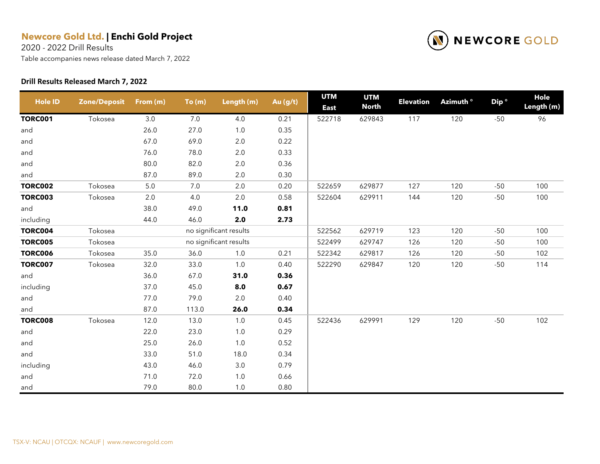2020 - 2022 Drill Results

Table accompanies news release dated March 7, 2022

#### **Drill Results Released March 7, 2022**



| <b>Hole ID</b> | <b>Zone/Deposit</b> | From (m) | To(m) | Length (m)             | Au (g/t) | <b>UTM</b><br><b>East</b> | <b>UTM</b><br><b>North</b> | <b>Elevation</b> | Azimuth <sup>o</sup> | Dip <sup>o</sup> | <b>Hole</b><br>Length (m) |
|----------------|---------------------|----------|-------|------------------------|----------|---------------------------|----------------------------|------------------|----------------------|------------------|---------------------------|
| <b>TORC001</b> | Tokosea             | $3.0\,$  | 7.0   | 4.0                    | 0.21     | 522718                    | 629843                     | 117              | 120                  | $-50$            | 96                        |
| and            |                     | 26.0     | 27.0  | $1.0$                  | 0.35     |                           |                            |                  |                      |                  |                           |
| and            |                     | 67.0     | 69.0  | $2.0\,$                | 0.22     |                           |                            |                  |                      |                  |                           |
| and            |                     | 76.0     | 78.0  | $2.0\,$                | 0.33     |                           |                            |                  |                      |                  |                           |
| and            |                     | 80.0     | 82.0  | $2.0\,$                | 0.36     |                           |                            |                  |                      |                  |                           |
| and            |                     | 87.0     | 89.0  | $2.0\,$                | 0.30     |                           |                            |                  |                      |                  |                           |
| <b>TORC002</b> | Tokosea             | $5.0\,$  | 7.0   | 2.0                    | 0.20     | 522659                    | 629877                     | 127              | 120                  | $-50$            | 100                       |
| <b>TORC003</b> | Tokosea             | 2.0      | 4.0   | 2.0                    | 0.58     | 522604                    | 629911                     | 144              | 120                  | $-50$            | 100                       |
| and            |                     | 38.0     | 49.0  | 11.0                   | 0.81     |                           |                            |                  |                      |                  |                           |
| including      |                     | 44.0     | 46.0  | 2.0                    | 2.73     |                           |                            |                  |                      |                  |                           |
| <b>TORC004</b> | Tokosea             |          |       | no significant results |          | 522562                    | 629719                     | 123              | 120                  | $-50$            | 100                       |
| <b>TORC005</b> | Tokosea             |          |       | no significant results |          | 522499                    | 629747                     | 126              | 120                  | $-50$            | 100                       |
| <b>TORC006</b> | Tokosea             | 35.0     | 36.0  | 1.0                    | 0.21     | 522342                    | 629817                     | 126              | 120                  | $-50$            | 102                       |
| <b>TORC007</b> | Tokosea             | 32.0     | 33.0  | $1.0$                  | 0.40     | 522290                    | 629847                     | 120              | 120                  | $-50$            | 114                       |
| and            |                     | 36.0     | 67.0  | 31.0                   | 0.36     |                           |                            |                  |                      |                  |                           |
| including      |                     | 37.0     | 45.0  | 8.0                    | 0.67     |                           |                            |                  |                      |                  |                           |
| and            |                     | 77.0     | 79.0  | 2.0                    | 0.40     |                           |                            |                  |                      |                  |                           |
| and            |                     | 87.0     | 113.0 | 26.0                   | 0.34     |                           |                            |                  |                      |                  |                           |
| <b>TORC008</b> | Tokosea             | 12.0     | 13.0  | 1.0                    | 0.45     | 522436                    | 629991                     | 129              | 120                  | $-50$            | 102                       |
| and            |                     | 22.0     | 23.0  | 1.0                    | 0.29     |                           |                            |                  |                      |                  |                           |
| and            |                     | 25.0     | 26.0  | $1.0$                  | 0.52     |                           |                            |                  |                      |                  |                           |
| and            |                     | 33.0     | 51.0  | 18.0                   | 0.34     |                           |                            |                  |                      |                  |                           |
| including      |                     | 43.0     | 46.0  | $3.0\,$                | 0.79     |                           |                            |                  |                      |                  |                           |
| and            |                     | 71.0     | 72.0  | $1.0$                  | 0.66     |                           |                            |                  |                      |                  |                           |
| and            |                     | 79.0     | 80.0  | 1.0                    | 0.80     |                           |                            |                  |                      |                  |                           |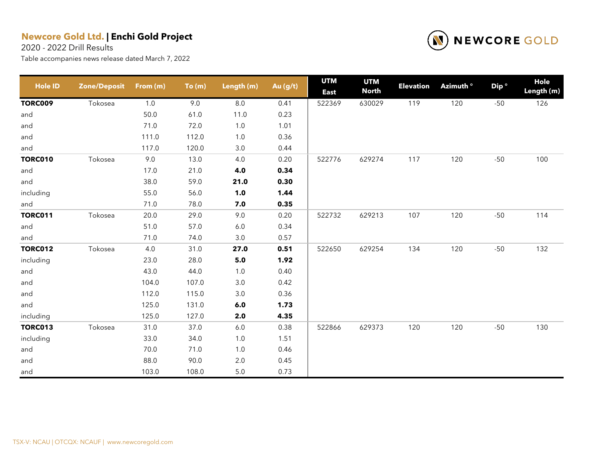2020 - 2022 Drill Results



| <b>Hole ID</b> | <b>Zone/Deposit</b> | From (m) | To(m) | Length (m) | Au (g/t) | <b>UTM</b><br><b>East</b> | <b>UTM</b><br><b>North</b> | <b>Elevation</b> | Azimuth <sup>o</sup> | Dip <sup>o</sup> | Hole<br>Length (m) |
|----------------|---------------------|----------|-------|------------|----------|---------------------------|----------------------------|------------------|----------------------|------------------|--------------------|
| <b>TORC009</b> | Tokosea             | 1.0      | 9.0   | $8.0\,$    | 0.41     | 522369                    | 630029                     | 119              | 120                  | $-50$            | 126                |
| and            |                     | 50.0     | 61.0  | 11.0       | 0.23     |                           |                            |                  |                      |                  |                    |
| and            |                     | 71.0     | 72.0  | 1.0        | 1.01     |                           |                            |                  |                      |                  |                    |
| and            |                     | 111.0    | 112.0 | $1.0$      | 0.36     |                           |                            |                  |                      |                  |                    |
| and            |                     | 117.0    | 120.0 | 3.0        | 0.44     |                           |                            |                  |                      |                  |                    |
| <b>TORC010</b> | Tokosea             | 9.0      | 13.0  | 4.0        | 0.20     | 522776                    | 629274                     | 117              | 120                  | $-50$            | 100                |
| and            |                     | 17.0     | 21.0  | 4.0        | 0.34     |                           |                            |                  |                      |                  |                    |
| and            |                     | 38.0     | 59.0  | 21.0       | 0.30     |                           |                            |                  |                      |                  |                    |
| including      |                     | 55.0     | 56.0  | 1.0        | 1.44     |                           |                            |                  |                      |                  |                    |
| and            |                     | 71.0     | 78.0  | 7.0        | 0.35     |                           |                            |                  |                      |                  |                    |
| <b>TORC011</b> | Tokosea             | 20.0     | 29.0  | 9.0        | 0.20     | 522732                    | 629213                     | 107              | 120                  | $-50$            | 114                |
| and            |                     | 51.0     | 57.0  | 6.0        | 0.34     |                           |                            |                  |                      |                  |                    |
| and            |                     | 71.0     | 74.0  | 3.0        | 0.57     |                           |                            |                  |                      |                  |                    |
| <b>TORC012</b> | Tokosea             | $4.0\,$  | 31.0  | 27.0       | 0.51     | 522650                    | 629254                     | 134              | 120                  | $-50$            | 132                |
| including      |                     | 23.0     | 28.0  | $5.0$      | 1.92     |                           |                            |                  |                      |                  |                    |
| and            |                     | 43.0     | 44.0  | 1.0        | 0.40     |                           |                            |                  |                      |                  |                    |
| and            |                     | 104.0    | 107.0 | 3.0        | 0.42     |                           |                            |                  |                      |                  |                    |
| and            |                     | 112.0    | 115.0 | 3.0        | 0.36     |                           |                            |                  |                      |                  |                    |
| and            |                     | 125.0    | 131.0 | 6.0        | 1.73     |                           |                            |                  |                      |                  |                    |
| including      |                     | 125.0    | 127.0 | 2.0        | 4.35     |                           |                            |                  |                      |                  |                    |
| <b>TORC013</b> | Tokosea             | 31.0     | 37.0  | 6.0        | 0.38     | 522866                    | 629373                     | 120              | 120                  | $-50$            | 130                |
| including      |                     | 33.0     | 34.0  | $1.0$      | 1.51     |                           |                            |                  |                      |                  |                    |
| and            |                     | 70.0     | 71.0  | $1.0$      | 0.46     |                           |                            |                  |                      |                  |                    |
| and            |                     | 88.0     | 90.0  | $2.0\,$    | 0.45     |                           |                            |                  |                      |                  |                    |
| and            |                     | 103.0    | 108.0 | $5.0\,$    | 0.73     |                           |                            |                  |                      |                  |                    |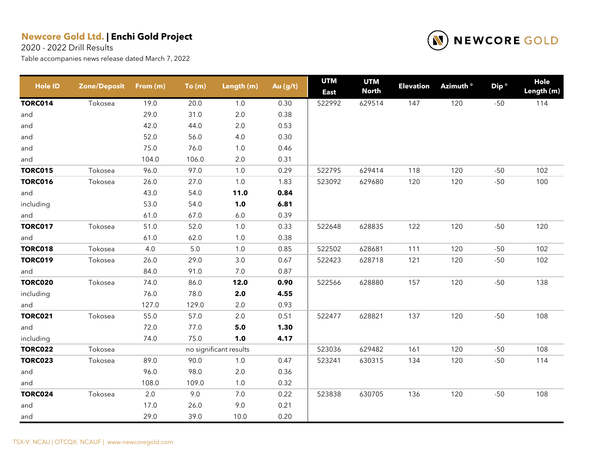2020 - 2022 Drill Results



| <b>Hole ID</b> | <b>Zone/Deposit</b> | From $(m)$ | To(m)   | Length (m)             | Au (g/t) | <b>UTM</b><br><b>East</b> | <b>UTM</b><br><b>North</b> | <b>Elevation</b> | Azimuth <sup>o</sup> | Dip <sup>o</sup> | <b>Hole</b><br>Length (m) |
|----------------|---------------------|------------|---------|------------------------|----------|---------------------------|----------------------------|------------------|----------------------|------------------|---------------------------|
| <b>TORC014</b> | Tokosea             | 19.0       | 20.0    | $1.0$                  | 0.30     | 522992                    | 629514                     | 147              | 120                  | $-50$            | 114                       |
| and            |                     | 29.0       | 31.0    | $2.0\,$                | 0.38     |                           |                            |                  |                      |                  |                           |
| and            |                     | 42.0       | 44.0    | 2.0                    | 0.53     |                           |                            |                  |                      |                  |                           |
| and            |                     | 52.0       | 56.0    | 4.0                    | 0.30     |                           |                            |                  |                      |                  |                           |
| and            |                     | 75.0       | 76.0    | 1.0                    | 0.46     |                           |                            |                  |                      |                  |                           |
| and            |                     | 104.0      | 106.0   | $2.0\,$                | 0.31     |                           |                            |                  |                      |                  |                           |
| <b>TORC015</b> | Tokosea             | 96.0       | 97.0    | 1.0                    | 0.29     | 522795                    | 629414                     | 118              | 120                  | $-50$            | 102                       |
| <b>TORC016</b> | Tokosea             | 26.0       | 27.0    | $1.0\,$                | 1.83     | 523092                    | 629680                     | 120              | 120                  | $-50$            | 100                       |
| and            |                     | 43.0       | 54.0    | 11.0                   | 0.84     |                           |                            |                  |                      |                  |                           |
| including      |                     | 53.0       | 54.0    | 1.0                    | 6.81     |                           |                            |                  |                      |                  |                           |
| and            |                     | 61.0       | 67.0    | $6.0\,$                | 0.39     |                           |                            |                  |                      |                  |                           |
| <b>TORC017</b> | Tokosea             | 51.0       | 52.0    | $1.0$                  | 0.33     | 522648                    | 628835                     | 122              | 120                  | $-50$            | 120                       |
| and            |                     | 61.0       | 62.0    | $1.0\,$                | 0.38     |                           |                            |                  |                      |                  |                           |
| <b>TORC018</b> | Tokosea             | 4.0        | $5.0\,$ | 1.0                    | 0.85     | 522502                    | 628681                     | 111              | 120                  | $-50$            | 102                       |
| <b>TORC019</b> | Tokosea             | 26.0       | 29.0    | $3.0\,$                | 0.67     | 522423                    | 628718                     | 121              | 120                  | $-50$            | 102                       |
| and            |                     | 84.0       | 91.0    | 7.0                    | 0.87     |                           |                            |                  |                      |                  |                           |
| <b>TORC020</b> | Tokosea             | 74.0       | 86.0    | 12.0                   | 0.90     | 522566                    | 628880                     | 157              | 120                  | $-50$            | 138                       |
| including      |                     | 76.0       | 78.0    | 2.0                    | 4.55     |                           |                            |                  |                      |                  |                           |
| and            |                     | 127.0      | 129.0   | 2.0                    | 0.93     |                           |                            |                  |                      |                  |                           |
| <b>TORC021</b> | Tokosea             | 55.0       | 57.0    | $2.0\,$                | 0.51     | 522477                    | 628821                     | 137              | 120                  | $-50$            | 108                       |
| and            |                     | 72.0       | 77.0    | 5.0                    | 1.30     |                           |                            |                  |                      |                  |                           |
| including      |                     | 74.0       | 75.0    | 1.0                    | 4.17     |                           |                            |                  |                      |                  |                           |
| <b>TORC022</b> | Tokosea             |            |         | no significant results |          | 523036                    | 629482                     | 161              | 120                  | $-50$            | 108                       |
| <b>TORC023</b> | Tokosea             | 89.0       | 90.0    | $1.0$                  | 0.47     | 523241                    | 630315                     | 134              | 120                  | $-50$            | 114                       |
| and            |                     | 96.0       | 98.0    | $2.0\,$                | 0.36     |                           |                            |                  |                      |                  |                           |
| and            |                     | 108.0      | 109.0   | 1.0                    | 0.32     |                           |                            |                  |                      |                  |                           |
| <b>TORC024</b> | Tokosea             | 2.0        | 9.0     | $7.0\,$                | 0.22     | 523838                    | 630705                     | 136              | 120                  | $-50$            | 108                       |
| and            |                     | 17.0       | 26.0    | 9.0                    | 0.21     |                           |                            |                  |                      |                  |                           |
| and            |                     | 29.0       | 39.0    | 10.0                   | 0.20     |                           |                            |                  |                      |                  |                           |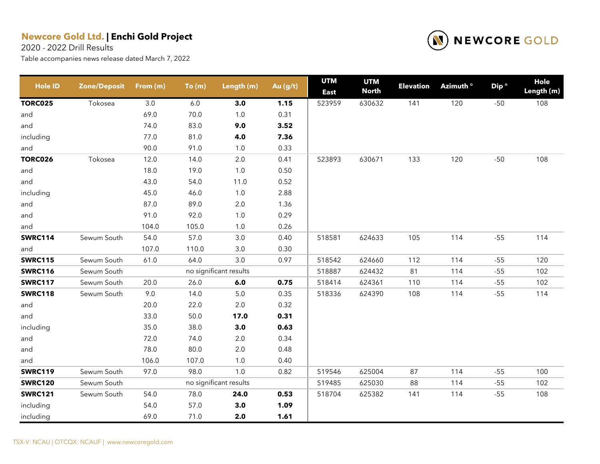2020 - 2022 Drill Results



| <b>Hole ID</b> | <b>Zone/Deposit</b> | From $(m)$ | To(m)   | Length (m)             | Au (g/t) | <b>UTM</b><br><b>East</b> | <b>UTM</b><br><b>North</b> | <b>Elevation</b> | Azimuth ° | Dip <sup>o</sup> | Hole<br>Length (m) |
|----------------|---------------------|------------|---------|------------------------|----------|---------------------------|----------------------------|------------------|-----------|------------------|--------------------|
| <b>TORC025</b> | Tokosea             | $3.0\,$    | $6.0\,$ | 3.0                    | 1.15     | 523959                    | 630632                     | 141              | 120       | $-50$            | 108                |
| and            |                     | 69.0       | 70.0    | $1.0$                  | 0.31     |                           |                            |                  |           |                  |                    |
| and            |                     | 74.0       | 83.0    | 9.0                    | 3.52     |                           |                            |                  |           |                  |                    |
| including      |                     | 77.0       | 81.0    | 4.0                    | 7.36     |                           |                            |                  |           |                  |                    |
| and            |                     | 90.0       | 91.0    | $1.0\,$                | 0.33     |                           |                            |                  |           |                  |                    |
| <b>TORC026</b> | Tokosea             | 12.0       | 14.0    | $2.0\,$                | 0.41     | 523893                    | 630671                     | 133              | 120       | $-50$            | 108                |
| and            |                     | 18.0       | 19.0    | $1.0$                  | 0.50     |                           |                            |                  |           |                  |                    |
| and            |                     | 43.0       | 54.0    | 11.0                   | 0.52     |                           |                            |                  |           |                  |                    |
| including      |                     | 45.0       | 46.0    | $1.0\,$                | 2.88     |                           |                            |                  |           |                  |                    |
| and            |                     | 87.0       | 89.0    | $2.0\,$                | 1.36     |                           |                            |                  |           |                  |                    |
| and            |                     | 91.0       | 92.0    | $1.0$                  | 0.29     |                           |                            |                  |           |                  |                    |
| and            |                     | 104.0      | 105.0   | $1.0$                  | 0.26     |                           |                            |                  |           |                  |                    |
| <b>SWRC114</b> | Sewum South         | 54.0       | 57.0    | $3.0\,$                | 0.40     | 518581                    | 624633                     | 105              | 114       | $-55$            | 114                |
| and            |                     | 107.0      | 110.0   | 3.0                    | 0.30     |                           |                            |                  |           |                  |                    |
| <b>SWRC115</b> | Sewum South         | 61.0       | 64.0    | $3.0\,$                | 0.97     | 518542                    | 624660                     | 112              | 114       | $-55$            | 120                |
| <b>SWRC116</b> | Sewum South         |            |         | no significant results |          | 518887                    | 624432                     | 81               | 114       | $-55$            | 102                |
| <b>SWRC117</b> | Sewum South         | 20.0       | 26.0    | 6.0                    | 0.75     | 518414                    | 624361                     | 110              | 114       | $-55$            | 102                |
| <b>SWRC118</b> | Sewum South         | 9.0        | 14.0    | $5.0\,$                | 0.35     | 518336                    | 624390                     | 108              | 114       | $-55$            | 114                |
| and            |                     | 20.0       | 22.0    | $2.0\,$                | 0.32     |                           |                            |                  |           |                  |                    |
| and            |                     | 33.0       | 50.0    | 17.0                   | 0.31     |                           |                            |                  |           |                  |                    |
| including      |                     | 35.0       | 38.0    | 3.0                    | 0.63     |                           |                            |                  |           |                  |                    |
| and            |                     | 72.0       | 74.0    | $2.0\,$                | 0.34     |                           |                            |                  |           |                  |                    |
| and            |                     | 78.0       | 80.0    | $2.0\,$                | 0.48     |                           |                            |                  |           |                  |                    |
| and            |                     | 106.0      | 107.0   | 1.0                    | 0.40     |                           |                            |                  |           |                  |                    |
| <b>SWRC119</b> | Sewum South         | 97.0       | 98.0    | $1.0$                  | 0.82     | 519546                    | 625004                     | 87               | 114       | $-55$            | 100                |
| <b>SWRC120</b> | Sewum South         |            |         | no significant results |          | 519485                    | 625030                     | 88               | 114       | $-55$            | 102                |
| <b>SWRC121</b> | Sewum South         | 54.0       | 78.0    | 24.0                   | 0.53     | 518704                    | 625382                     | 141              | 114       | $-55$            | 108                |
| including      |                     | 54.0       | 57.0    | 3.0                    | 1.09     |                           |                            |                  |           |                  |                    |
| including      |                     | 69.0       | 71.0    | 2.0                    | 1.61     |                           |                            |                  |           |                  |                    |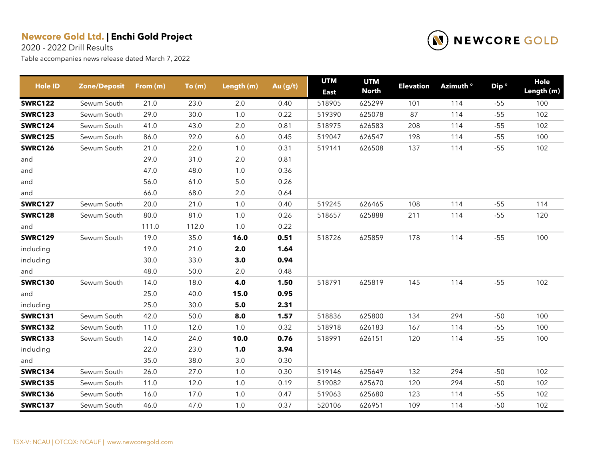2020 - 2022 Drill Results

| <b>Hole ID</b> | <b>Zone/Deposit</b> | From (m) | To(m) | Length (m) | Au (g/t) | <b>UTM</b><br><b>East</b> | <b>UTM</b><br><b>North</b> | <b>Elevation</b> | Azimuth <sup>o</sup> | Dip <sup>o</sup> | Hole<br>Length (m) |
|----------------|---------------------|----------|-------|------------|----------|---------------------------|----------------------------|------------------|----------------------|------------------|--------------------|
| <b>SWRC122</b> | Sewum South         | 21.0     | 23.0  | 2.0        | 0.40     | 518905                    | 625299                     | 101              | 114                  | $-55$            | 100                |
| <b>SWRC123</b> | Sewum South         | 29.0     | 30.0  | 1.0        | 0.22     | 519390                    | 625078                     | 87               | 114                  | $-55$            | 102                |
| <b>SWRC124</b> | Sewum South         | 41.0     | 43.0  | 2.0        | 0.81     | 518975                    | 626583                     | 208              | 114                  | $-55$            | 102                |
| <b>SWRC125</b> | Sewum South         | 86.0     | 92.0  | 6.0        | 0.45     | 519047                    | 626547                     | 198              | 114                  | $-55$            | 100                |
| <b>SWRC126</b> | Sewum South         | 21.0     | 22.0  | 1.0        | 0.31     | 519141                    | 626508                     | 137              | 114                  | $-55$            | 102                |
| and            |                     | 29.0     | 31.0  | 2.0        | 0.81     |                           |                            |                  |                      |                  |                    |
| and            |                     | 47.0     | 48.0  | 1.0        | 0.36     |                           |                            |                  |                      |                  |                    |
| and            |                     | 56.0     | 61.0  | $5.0\,$    | 0.26     |                           |                            |                  |                      |                  |                    |
| and            |                     | 66.0     | 68.0  | $2.0\,$    | 0.64     |                           |                            |                  |                      |                  |                    |
| <b>SWRC127</b> | Sewum South         | 20.0     | 21.0  | 1.0        | 0.40     | 519245                    | 626465                     | 108              | 114                  | $-55$            | 114                |
| <b>SWRC128</b> | Sewum South         | 80.0     | 81.0  | 1.0        | 0.26     | 518657                    | 625888                     | 211              | 114                  | $-55$            | 120                |
| and            |                     | 111.0    | 112.0 | 1.0        | 0.22     |                           |                            |                  |                      |                  |                    |
| <b>SWRC129</b> | Sewum South         | 19.0     | 35.0  | 16.0       | 0.51     | 518726                    | 625859                     | 178              | 114                  | $-55$            | 100                |
| including      |                     | 19.0     | 21.0  | 2.0        | 1.64     |                           |                            |                  |                      |                  |                    |
| including      |                     | 30.0     | 33.0  | 3.0        | 0.94     |                           |                            |                  |                      |                  |                    |
| and            |                     | 48.0     | 50.0  | 2.0        | 0.48     |                           |                            |                  |                      |                  |                    |
| <b>SWRC130</b> | Sewum South         | 14.0     | 18.0  | 4.0        | 1.50     | 518791                    | 625819                     | 145              | 114                  | $-55$            | 102                |
| and            |                     | 25.0     | 40.0  | 15.0       | 0.95     |                           |                            |                  |                      |                  |                    |
| including      |                     | 25.0     | 30.0  | 5.0        | 2.31     |                           |                            |                  |                      |                  |                    |
| <b>SWRC131</b> | Sewum South         | 42.0     | 50.0  | 8.0        | 1.57     | 518836                    | 625800                     | 134              | 294                  | $-50$            | 100                |
| <b>SWRC132</b> | Sewum South         | 11.0     | 12.0  | 1.0        | 0.32     | 518918                    | 626183                     | 167              | 114                  | $-55$            | 100                |
| <b>SWRC133</b> | Sewum South         | 14.0     | 24.0  | 10.0       | 0.76     | 518991                    | 626151                     | 120              | 114                  | $-55$            | 100                |
| including      |                     | 22.0     | 23.0  | 1.0        | 3.94     |                           |                            |                  |                      |                  |                    |
| and            |                     | 35.0     | 38.0  | 3.0        | 0.30     |                           |                            |                  |                      |                  |                    |
| <b>SWRC134</b> | Sewum South         | 26.0     | 27.0  | 1.0        | 0.30     | 519146                    | 625649                     | 132              | 294                  | $-50$            | 102                |
| <b>SWRC135</b> | Sewum South         | 11.0     | 12.0  | 1.0        | 0.19     | 519082                    | 625670                     | 120              | 294                  | $-50$            | 102                |
| <b>SWRC136</b> | Sewum South         | 16.0     | 17.0  | 1.0        | 0.47     | 519063                    | 625680                     | 123              | 114                  | $-55$            | 102                |
| <b>SWRC137</b> | Sewum South         | 46.0     | 47.0  | 1.0        | 0.37     | 520106                    | 626951                     | 109              | 114                  | $-50$            | 102                |

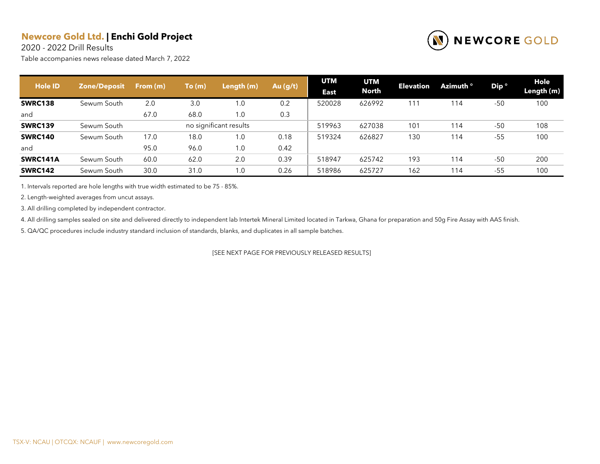2020 - 2022 Drill Results

Table accompanies news release dated March 7, 2022



| <b>Hole ID</b> | <b>Zone/Deposit</b> | From $(m)$ | To(m) | Length (m)             | Au $(g/t)$ | <b>UTM</b><br><b>East</b> | <b>UTM</b><br><b>North</b> | <b>Elevation</b> | Azimuth ° | Dip <sup>o</sup> | Hole<br>Length (m) |
|----------------|---------------------|------------|-------|------------------------|------------|---------------------------|----------------------------|------------------|-----------|------------------|--------------------|
| <b>SWRC138</b> | Sewum South         | 2.0        | 3.0   | 1.0                    | 0.2        | 520028                    | 626992                     | 111              | 114       | $-50$            | 100                |
| and            |                     | 67.0       | 68.0  | 1.0                    | 0.3        |                           |                            |                  |           |                  |                    |
| <b>SWRC139</b> | Sewum South         |            |       | no significant results |            | 519963                    | 627038                     | 101              | 114       | $-50$            | 108                |
| <b>SWRC140</b> | Sewum South         | 17.0       | 18.0  | 1.0                    | 0.18       | 519324                    | 626827                     | 130              | 114       | $-55$            | 100                |
| and            |                     | 95.0       | 96.0  | 1.0                    | 0.42       |                           |                            |                  |           |                  |                    |
| SWRC141A       | Sewum South         | 60.0       | 62.0  | 2.0                    | 0.39       | 518947                    | 625742                     | 193              | 114       | $-50$            | 200                |
| <b>SWRC142</b> | Sewum South         | 30.0       | 31.0  | 1.0                    | 0.26       | 518986                    | 625727                     | 162              | 114       | $-55$            | 100                |

1. Intervals reported are hole lengths with true width estimated to be 75 - 85%.

2. Length-weighted averages from uncut assays.

3. All drilling completed by independent contractor.

4. All drilling samples sealed on site and delivered directly to independent lab Intertek Mineral Limited located in Tarkwa, Ghana for preparation and 50g Fire Assay with AAS finish.

5. QA/QC procedures include industry standard inclusion of standards, blanks, and duplicates in all sample batches.

[SEE NEXT PAGE FOR PREVIOUSLY RELEASED RESULTS]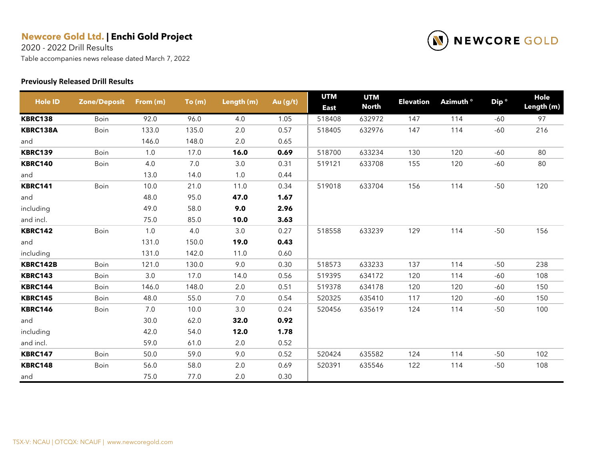2020 - 2022 Drill Results

Table accompanies news release dated March 7, 2022

#### **Previously Released Drill Results**



| <b>Hole ID</b> | <b>Zone/Deposit</b> | From (m) | To(m) | Length (m) | Au (g/t) | <b>UTM</b><br><b>East</b> | <b>UTM</b><br><b>North</b> | <b>Elevation</b> | Azimuth ° | Dip <sup>o</sup> | Hole<br>Length (m) |
|----------------|---------------------|----------|-------|------------|----------|---------------------------|----------------------------|------------------|-----------|------------------|--------------------|
| <b>KBRC138</b> | Boin                | 92.0     | 96.0  | 4.0        | 1.05     | 518408                    | 632972                     | 147              | 114       | -60              | 97                 |
| KBRC138A       | Boin                | 133.0    | 135.0 | 2.0        | 0.57     | 518405                    | 632976                     | 147              | 114       | $-60$            | 216                |
| and            |                     | 146.0    | 148.0 | 2.0        | 0.65     |                           |                            |                  |           |                  |                    |
| <b>KBRC139</b> | Boin                | 1.0      | 17.0  | 16.0       | 0.69     | 518700                    | 633234                     | 130              | 120       | $-60$            | 80                 |
| <b>KBRC140</b> | Boin                | 4.0      | 7.0   | 3.0        | 0.31     | 519121                    | 633708                     | 155              | 120       | $-60$            | 80                 |
| and            |                     | 13.0     | 14.0  | 1.0        | 0.44     |                           |                            |                  |           |                  |                    |
| <b>KBRC141</b> | Boin                | 10.0     | 21.0  | 11.0       | 0.34     | 519018                    | 633704                     | 156              | 114       | $-50$            | 120                |
| and            |                     | 48.0     | 95.0  | 47.0       | 1.67     |                           |                            |                  |           |                  |                    |
| including      |                     | 49.0     | 58.0  | 9.0        | 2.96     |                           |                            |                  |           |                  |                    |
| and incl.      |                     | 75.0     | 85.0  | 10.0       | 3.63     |                           |                            |                  |           |                  |                    |
| <b>KBRC142</b> | Boin                | 1.0      | 4.0   | 3.0        | 0.27     | 518558                    | 633239                     | 129              | 114       | $-50$            | 156                |
| and            |                     | 131.0    | 150.0 | 19.0       | 0.43     |                           |                            |                  |           |                  |                    |
| including      |                     | 131.0    | 142.0 | 11.0       | 0.60     |                           |                            |                  |           |                  |                    |
| KBRC142B       | Boin                | 121.0    | 130.0 | 9.0        | 0.30     | 518573                    | 633233                     | 137              | 114       | $-50$            | 238                |
| <b>KBRC143</b> | Boin                | 3.0      | 17.0  | 14.0       | 0.56     | 519395                    | 634172                     | 120              | 114       | $-60$            | 108                |
| <b>KBRC144</b> | Boin                | 146.0    | 148.0 | 2.0        | 0.51     | 519378                    | 634178                     | 120              | 120       | -60              | 150                |
| <b>KBRC145</b> | Boin                | 48.0     | 55.0  | 7.0        | 0.54     | 520325                    | 635410                     | 117              | 120       | $-60$            | 150                |
| <b>KBRC146</b> | Boin                | 7.0      | 10.0  | 3.0        | 0.24     | 520456                    | 635619                     | 124              | 114       | $-50$            | 100                |
| and            |                     | 30.0     | 62.0  | 32.0       | 0.92     |                           |                            |                  |           |                  |                    |
| including      |                     | 42.0     | 54.0  | 12.0       | 1.78     |                           |                            |                  |           |                  |                    |
| and incl.      |                     | 59.0     | 61.0  | 2.0        | 0.52     |                           |                            |                  |           |                  |                    |
| <b>KBRC147</b> | Boin                | 50.0     | 59.0  | 9.0        | 0.52     | 520424                    | 635582                     | 124              | 114       | $-50$            | 102                |
| <b>KBRC148</b> | Boin                | 56.0     | 58.0  | 2.0        | 0.69     | 520391                    | 635546                     | 122              | 114       | $-50$            | 108                |
| and            |                     | 75.0     | 77.0  | 2.0        | 0.30     |                           |                            |                  |           |                  |                    |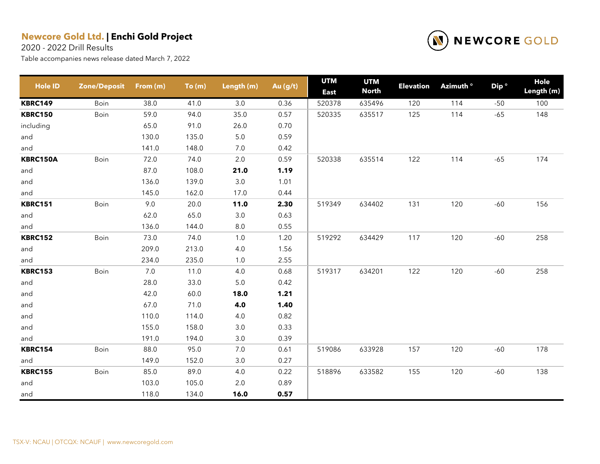2020 - 2022 Drill Results



| <b>Hole ID</b>  | <b>Zone/Deposit</b> | From (m) | To(m) | Length (m) | Au (g/t) | <b>UTM</b><br><b>East</b> | <b>UTM</b><br><b>North</b> | <b>Elevation</b> | Azimuth ° | Dip <sup>o</sup> | Hole<br>Length (m) |
|-----------------|---------------------|----------|-------|------------|----------|---------------------------|----------------------------|------------------|-----------|------------------|--------------------|
| <b>KBRC149</b>  | Boin                | 38.0     | 41.0  | 3.0        | 0.36     | 520378                    | 635496                     | 120              | 114       | $-50$            | 100                |
| <b>KBRC150</b>  | Boin                | 59.0     | 94.0  | 35.0       | 0.57     | 520335                    | 635517                     | 125              | 114       | $-65$            | 148                |
| including       |                     | 65.0     | 91.0  | 26.0       | 0.70     |                           |                            |                  |           |                  |                    |
| and             |                     | 130.0    | 135.0 | $5.0\,$    | 0.59     |                           |                            |                  |           |                  |                    |
| and             |                     | 141.0    | 148.0 | $7.0\,$    | 0.42     |                           |                            |                  |           |                  |                    |
| <b>KBRC150A</b> | Boin                | 72.0     | 74.0  | 2.0        | 0.59     | 520338                    | 635514                     | 122              | 114       | $-65$            | 174                |
| and             |                     | 87.0     | 108.0 | 21.0       | 1.19     |                           |                            |                  |           |                  |                    |
| and             |                     | 136.0    | 139.0 | $3.0\,$    | 1.01     |                           |                            |                  |           |                  |                    |
| and             |                     | 145.0    | 162.0 | 17.0       | 0.44     |                           |                            |                  |           |                  |                    |
| <b>KBRC151</b>  | Boin                | 9.0      | 20.0  | 11.0       | 2.30     | 519349                    | 634402                     | 131              | 120       | $-60$            | 156                |
| and             |                     | 62.0     | 65.0  | 3.0        | 0.63     |                           |                            |                  |           |                  |                    |
| and             |                     | 136.0    | 144.0 | $8.0\,$    | 0.55     |                           |                            |                  |           |                  |                    |
| <b>KBRC152</b>  | Boin                | 73.0     | 74.0  | 1.0        | 1.20     | 519292                    | 634429                     | 117              | 120       | $-60$            | 258                |
| and             |                     | 209.0    | 213.0 | 4.0        | 1.56     |                           |                            |                  |           |                  |                    |
| and             |                     | 234.0    | 235.0 | 1.0        | 2.55     |                           |                            |                  |           |                  |                    |
| <b>KBRC153</b>  | Boin                | 7.0      | 11.0  | 4.0        | 0.68     | 519317                    | 634201                     | 122              | 120       | $-60$            | 258                |
| and             |                     | 28.0     | 33.0  | $5.0\,$    | 0.42     |                           |                            |                  |           |                  |                    |
| and             |                     | 42.0     | 60.0  | 18.0       | 1.21     |                           |                            |                  |           |                  |                    |
| and             |                     | 67.0     | 71.0  | 4.0        | 1.40     |                           |                            |                  |           |                  |                    |
| and             |                     | 110.0    | 114.0 | 4.0        | 0.82     |                           |                            |                  |           |                  |                    |
| and             |                     | 155.0    | 158.0 | 3.0        | 0.33     |                           |                            |                  |           |                  |                    |
| and             |                     | 191.0    | 194.0 | 3.0        | 0.39     |                           |                            |                  |           |                  |                    |
| <b>KBRC154</b>  | Boin                | 88.0     | 95.0  | 7.0        | 0.61     | 519086                    | 633928                     | 157              | 120       | $-60$            | 178                |
| and             |                     | 149.0    | 152.0 | 3.0        | 0.27     |                           |                            |                  |           |                  |                    |
| <b>KBRC155</b>  | Boin                | 85.0     | 89.0  | 4.0        | 0.22     | 518896                    | 633582                     | 155              | 120       | $-60$            | 138                |
| and             |                     | 103.0    | 105.0 | 2.0        | 0.89     |                           |                            |                  |           |                  |                    |
| and             |                     | 118.0    | 134.0 | 16.0       | 0.57     |                           |                            |                  |           |                  |                    |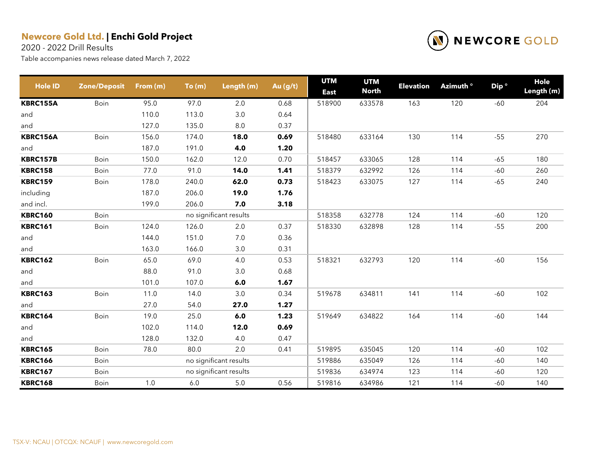2020 - 2022 Drill Results



| <b>Hole ID</b>  | <b>Zone/Deposit</b> | From $(m)$ | To(m)   | Length (m)             | Au (g/t) | <b>UTM</b><br><b>East</b> | <b>UTM</b><br><b>North</b> | <b>Elevation</b> | Azimuth ° | Dip <sup>o</sup> | Hole<br>Length (m) |
|-----------------|---------------------|------------|---------|------------------------|----------|---------------------------|----------------------------|------------------|-----------|------------------|--------------------|
| <b>KBRC155A</b> | Boin                | 95.0       | 97.0    | 2.0                    | 0.68     | 518900                    | 633578                     | 163              | 120       | $-60$            | 204                |
| and             |                     | 110.0      | 113.0   | 3.0                    | 0.64     |                           |                            |                  |           |                  |                    |
| and             |                     | 127.0      | 135.0   | $8.0\,$                | 0.37     |                           |                            |                  |           |                  |                    |
| KBRC156A        | Boin                | 156.0      | 174.0   | 18.0                   | 0.69     | 518480                    | 633164                     | 130              | 114       | $-55$            | 270                |
| and             |                     | 187.0      | 191.0   | 4.0                    | 1.20     |                           |                            |                  |           |                  |                    |
| KBRC157B        | Boin                | 150.0      | 162.0   | 12.0                   | 0.70     | 518457                    | 633065                     | 128              | 114       | $-65$            | 180                |
| <b>KBRC158</b>  | Boin                | 77.0       | 91.0    | 14.0                   | 1.41     | 518379                    | 632992                     | 126              | 114       | $-60$            | 260                |
| <b>KBRC159</b>  | Boin                | 178.0      | 240.0   | 62.0                   | 0.73     | 518423                    | 633075                     | 127              | 114       | $-65$            | 240                |
| including       |                     | 187.0      | 206.0   | 19.0                   | 1.76     |                           |                            |                  |           |                  |                    |
| and incl.       |                     | 199.0      | 206.0   | 7.0                    | 3.18     |                           |                            |                  |           |                  |                    |
| <b>KBRC160</b>  | Boin                |            |         | no significant results |          | 518358                    | 632778                     | 124              | 114       | -60              | 120                |
| <b>KBRC161</b>  | Boin                | 124.0      | 126.0   | 2.0                    | 0.37     | 518330                    | 632898                     | 128              | 114       | $-55$            | 200                |
| and             |                     | 144.0      | 151.0   | $7.0$                  | 0.36     |                           |                            |                  |           |                  |                    |
| and             |                     | 163.0      | 166.0   | 3.0                    | 0.31     |                           |                            |                  |           |                  |                    |
| <b>KBRC162</b>  | Boin                | 65.0       | 69.0    | 4.0                    | 0.53     | 518321                    | 632793                     | 120              | 114       | $-60$            | 156                |
| and             |                     | 88.0       | 91.0    | $3.0\,$                | 0.68     |                           |                            |                  |           |                  |                    |
| and             |                     | 101.0      | 107.0   | 6.0                    | 1.67     |                           |                            |                  |           |                  |                    |
| <b>KBRC163</b>  | Boin                | 11.0       | 14.0    | 3.0                    | 0.34     | 519678                    | 634811                     | 141              | 114       | $-60$            | 102                |
| and             |                     | 27.0       | 54.0    | 27.0                   | 1.27     |                           |                            |                  |           |                  |                    |
| <b>KBRC164</b>  | Boin                | 19.0       | 25.0    | 6.0                    | 1.23     | 519649                    | 634822                     | 164              | 114       | $-60$            | 144                |
| and             |                     | 102.0      | 114.0   | 12.0                   | 0.69     |                           |                            |                  |           |                  |                    |
| and             |                     | 128.0      | 132.0   | 4.0                    | 0.47     |                           |                            |                  |           |                  |                    |
| <b>KBRC165</b>  | Boin                | 78.0       | 80.0    | 2.0                    | 0.41     | 519895                    | 635045                     | 120              | 114       | $-60$            | 102                |
| <b>KBRC166</b>  | Boin                |            |         | no significant results |          | 519886                    | 635049                     | 126              | 114       | $-60$            | 140                |
| <b>KBRC167</b>  | Boin                |            |         | no significant results |          | 519836                    | 634974                     | 123              | 114       | $-60$            | 120                |
| <b>KBRC168</b>  | Boin                | 1.0        | $6.0\,$ | $5.0\,$                | 0.56     | 519816                    | 634986                     | 121              | 114       | $-60$            | 140                |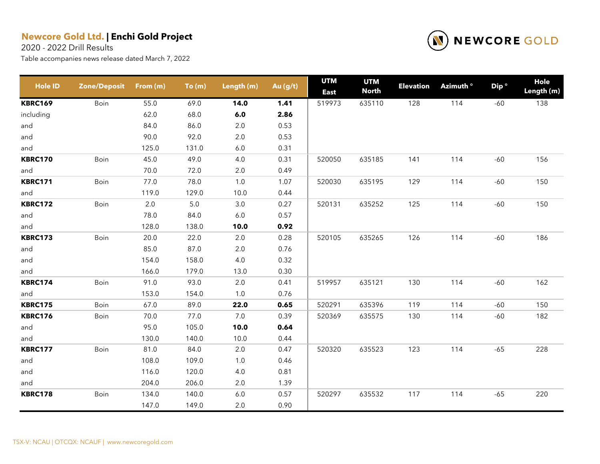2020 - 2022 Drill Results



| <b>Hole ID</b> | <b>Zone/Deposit</b> | From (m) | To(m)   | Length (m) | Au (g/t) | <b>UTM</b><br><b>East</b> | <b>UTM</b><br><b>North</b> | <b>Elevation</b> | Azimuth <sup>o</sup> | Dip <sup>o</sup> | Hole<br>Length (m) |
|----------------|---------------------|----------|---------|------------|----------|---------------------------|----------------------------|------------------|----------------------|------------------|--------------------|
| <b>KBRC169</b> | Boin                | 55.0     | 69.0    | 14.0       | 1.41     | 519973                    | 635110                     | 128              | 114                  | $-60$            | 138                |
| including      |                     | 62.0     | 68.0    | 6.0        | 2.86     |                           |                            |                  |                      |                  |                    |
| and            |                     | 84.0     | 86.0    | 2.0        | 0.53     |                           |                            |                  |                      |                  |                    |
| and            |                     | 90.0     | 92.0    | 2.0        | 0.53     |                           |                            |                  |                      |                  |                    |
| and            |                     | 125.0    | 131.0   | $6.0\,$    | 0.31     |                           |                            |                  |                      |                  |                    |
| <b>KBRC170</b> | Boin                | 45.0     | 49.0    | 4.0        | 0.31     | 520050                    | 635185                     | 141              | 114                  | $-60$            | 156                |
| and            |                     | 70.0     | 72.0    | 2.0        | 0.49     |                           |                            |                  |                      |                  |                    |
| <b>KBRC171</b> | Boin                | 77.0     | 78.0    | 1.0        | 1.07     | 520030                    | 635195                     | 129              | 114                  | $-60$            | 150                |
| and            |                     | 119.0    | 129.0   | 10.0       | 0.44     |                           |                            |                  |                      |                  |                    |
| <b>KBRC172</b> | Boin                | $2.0\,$  | $5.0\,$ | $3.0\,$    | 0.27     | 520131                    | 635252                     | 125              | 114                  | $-60$            | 150                |
| and            |                     | 78.0     | 84.0    | 6.0        | 0.57     |                           |                            |                  |                      |                  |                    |
| and            |                     | 128.0    | 138.0   | 10.0       | 0.92     |                           |                            |                  |                      |                  |                    |
| <b>KBRC173</b> | Boin                | 20.0     | 22.0    | 2.0        | 0.28     | 520105                    | 635265                     | 126              | 114                  | $-60$            | 186                |
| and            |                     | 85.0     | 87.0    | $2.0\,$    | 0.76     |                           |                            |                  |                      |                  |                    |
| and            |                     | 154.0    | 158.0   | 4.0        | 0.32     |                           |                            |                  |                      |                  |                    |
| and            |                     | 166.0    | 179.0   | 13.0       | 0.30     |                           |                            |                  |                      |                  |                    |
| <b>KBRC174</b> | Boin                | 91.0     | 93.0    | 2.0        | 0.41     | 519957                    | 635121                     | 130              | 114                  | $-60$            | 162                |
| and            |                     | 153.0    | 154.0   | $1.0\,$    | 0.76     |                           |                            |                  |                      |                  |                    |
| <b>KBRC175</b> | Boin                | 67.0     | 89.0    | 22.0       | 0.65     | 520291                    | 635396                     | 119              | 114                  | $-60$            | 150                |
| <b>KBRC176</b> | Boin                | 70.0     | 77.0    | 7.0        | 0.39     | 520369                    | 635575                     | 130              | 114                  | $-60$            | 182                |
| and            |                     | 95.0     | 105.0   | 10.0       | 0.64     |                           |                            |                  |                      |                  |                    |
| and            |                     | 130.0    | 140.0   | 10.0       | 0.44     |                           |                            |                  |                      |                  |                    |
| <b>KBRC177</b> | Boin                | 81.0     | 84.0    | 2.0        | 0.47     | 520320                    | 635523                     | 123              | 114                  | $-65$            | 228                |
| and            |                     | 108.0    | 109.0   | $1.0$      | 0.46     |                           |                            |                  |                      |                  |                    |
| and            |                     | 116.0    | 120.0   | 4.0        | 0.81     |                           |                            |                  |                      |                  |                    |
| and            |                     | 204.0    | 206.0   | 2.0        | 1.39     |                           |                            |                  |                      |                  |                    |
| <b>KBRC178</b> | Boin                | 134.0    | 140.0   | 6.0        | 0.57     | 520297                    | 635532                     | 117              | 114                  | $-65$            | 220                |
|                |                     | 147.0    | 149.0   | 2.0        | 0.90     |                           |                            |                  |                      |                  |                    |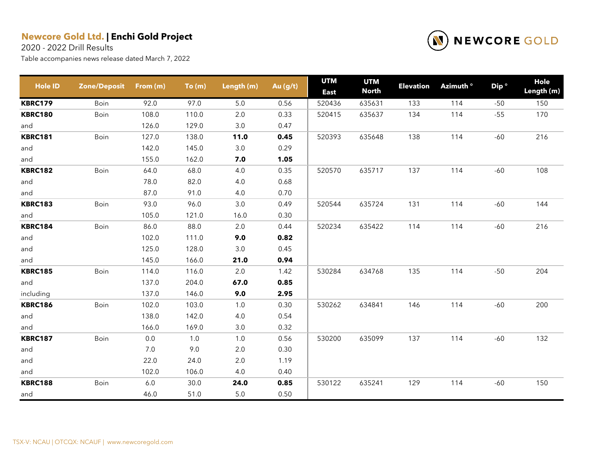2020 - 2022 Drill Results



| <b>Hole ID</b> | <b>Zone/Deposit</b> | From (m) | To(m) | Length (m) | Au (g/t) | <b>UTM</b><br><b>East</b> | <b>UTM</b><br><b>North</b> | <b>Elevation</b> | Azimuth ° | Dip <sup>o</sup> | Hole<br>Length (m) |
|----------------|---------------------|----------|-------|------------|----------|---------------------------|----------------------------|------------------|-----------|------------------|--------------------|
| <b>KBRC179</b> | Boin                | 92.0     | 97.0  | 5.0        | 0.56     | 520436                    | 635631                     | 133              | 114       | $-50$            | 150                |
| <b>KBRC180</b> | Boin                | 108.0    | 110.0 | 2.0        | 0.33     | 520415                    | 635637                     | 134              | 114       | $-55$            | 170                |
| and            |                     | 126.0    | 129.0 | 3.0        | 0.47     |                           |                            |                  |           |                  |                    |
| <b>KBRC181</b> | Boin                | 127.0    | 138.0 | 11.0       | 0.45     | 520393                    | 635648                     | 138              | 114       | $-60$            | 216                |
| and            |                     | 142.0    | 145.0 | $3.0\,$    | 0.29     |                           |                            |                  |           |                  |                    |
| and            |                     | 155.0    | 162.0 | 7.0        | 1.05     |                           |                            |                  |           |                  |                    |
| <b>KBRC182</b> | Boin                | 64.0     | 68.0  | 4.0        | 0.35     | 520570                    | 635717                     | 137              | 114       | $-60$            | 108                |
| and            |                     | 78.0     | 82.0  | 4.0        | 0.68     |                           |                            |                  |           |                  |                    |
| and            |                     | 87.0     | 91.0  | 4.0        | 0.70     |                           |                            |                  |           |                  |                    |
| <b>KBRC183</b> | Boin                | 93.0     | 96.0  | $3.0\,$    | 0.49     | 520544                    | 635724                     | 131              | 114       | $-60$            | 144                |
| and            |                     | 105.0    | 121.0 | 16.0       | 0.30     |                           |                            |                  |           |                  |                    |
| <b>KBRC184</b> | Boin                | 86.0     | 88.0  | 2.0        | 0.44     | 520234                    | 635422                     | 114              | 114       | $-60$            | 216                |
| and            |                     | 102.0    | 111.0 | 9.0        | 0.82     |                           |                            |                  |           |                  |                    |
| and            |                     | 125.0    | 128.0 | 3.0        | 0.45     |                           |                            |                  |           |                  |                    |
| and            |                     | 145.0    | 166.0 | 21.0       | 0.94     |                           |                            |                  |           |                  |                    |
| <b>KBRC185</b> | Boin                | 114.0    | 116.0 | 2.0        | 1.42     | 530284                    | 634768                     | 135              | 114       | $-50$            | 204                |
| and            |                     | 137.0    | 204.0 | 67.0       | 0.85     |                           |                            |                  |           |                  |                    |
| including      |                     | 137.0    | 146.0 | 9.0        | 2.95     |                           |                            |                  |           |                  |                    |
| <b>KBRC186</b> | Boin                | 102.0    | 103.0 | 1.0        | 0.30     | 530262                    | 634841                     | 146              | 114       | $-60$            | 200                |
| and            |                     | 138.0    | 142.0 | 4.0        | 0.54     |                           |                            |                  |           |                  |                    |
| and            |                     | 166.0    | 169.0 | 3.0        | 0.32     |                           |                            |                  |           |                  |                    |
| <b>KBRC187</b> | Boin                | 0.0      | 1.0   | 1.0        | 0.56     | 530200                    | 635099                     | 137              | 114       | $-60$            | 132                |
| and            |                     | 7.0      | 9.0   | 2.0        | 0.30     |                           |                            |                  |           |                  |                    |
| and            |                     | 22.0     | 24.0  | 2.0        | 1.19     |                           |                            |                  |           |                  |                    |
| and            |                     | 102.0    | 106.0 | 4.0        | 0.40     |                           |                            |                  |           |                  |                    |
| <b>KBRC188</b> | Boin                | $6.0\,$  | 30.0  | 24.0       | 0.85     | 530122                    | 635241                     | 129              | 114       | $-60$            | 150                |
| and            |                     | 46.0     | 51.0  | $5.0\,$    | 0.50     |                           |                            |                  |           |                  |                    |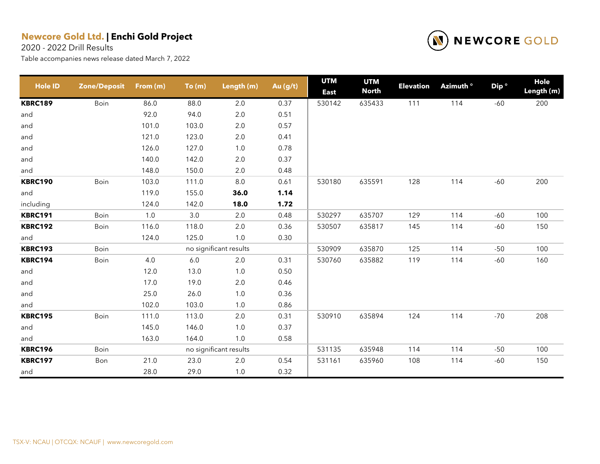2020 - 2022 Drill Results



| <b>Hole ID</b> | <b>Zone/Deposit</b> | From (m) | To(m)   | Length (m)             | Au (g/t) | <b>UTM</b><br><b>East</b> | <b>UTM</b><br><b>North</b> | <b>Elevation</b> | Azimuth ° | Dip <sup>o</sup> | Hole<br>Length (m) |
|----------------|---------------------|----------|---------|------------------------|----------|---------------------------|----------------------------|------------------|-----------|------------------|--------------------|
| <b>KBRC189</b> | Boin                | 86.0     | 88.0    | 2.0                    | 0.37     | 530142                    | 635433                     | 111              | 114       | $-60$            | 200                |
| and            |                     | 92.0     | 94.0    | $2.0\,$                | 0.51     |                           |                            |                  |           |                  |                    |
| and            |                     | 101.0    | 103.0   | $2.0\,$                | 0.57     |                           |                            |                  |           |                  |                    |
| and            |                     | 121.0    | 123.0   | $2.0\,$                | 0.41     |                           |                            |                  |           |                  |                    |
| and            |                     | 126.0    | 127.0   | $1.0$                  | 0.78     |                           |                            |                  |           |                  |                    |
| and            |                     | 140.0    | 142.0   | $2.0\,$                | 0.37     |                           |                            |                  |           |                  |                    |
| and            |                     | 148.0    | 150.0   | $2.0\,$                | 0.48     |                           |                            |                  |           |                  |                    |
| <b>KBRC190</b> | Boin                | 103.0    | 111.0   | 8.0                    | 0.61     | 530180                    | 635591                     | 128              | 114       | $-60$            | 200                |
| and            |                     | 119.0    | 155.0   | 36.0                   | 1.14     |                           |                            |                  |           |                  |                    |
| including      |                     | 124.0    | 142.0   | 18.0                   | 1.72     |                           |                            |                  |           |                  |                    |
| <b>KBRC191</b> | Boin                | $1.0$    | 3.0     | 2.0                    | 0.48     | 530297                    | 635707                     | 129              | 114       | $-60$            | 100                |
| <b>KBRC192</b> | Boin                | 116.0    | 118.0   | 2.0                    | 0.36     | 530507                    | 635817                     | 145              | 114       | $-60$            | 150                |
| and            |                     | 124.0    | 125.0   | 1.0                    | 0.30     |                           |                            |                  |           |                  |                    |
| <b>KBRC193</b> | Boin                |          |         | no significant results |          | 530909                    | 635870                     | 125              | 114       | $-50$            | 100                |
| <b>KBRC194</b> | Boin                | 4.0      | $6.0\,$ | 2.0                    | 0.31     | 530760                    | 635882                     | 119              | 114       | $-60$            | 160                |
| and            |                     | 12.0     | 13.0    | $1.0$                  | 0.50     |                           |                            |                  |           |                  |                    |
| and            |                     | 17.0     | 19.0    | $2.0\,$                | 0.46     |                           |                            |                  |           |                  |                    |
| and            |                     | 25.0     | 26.0    | $1.0$                  | 0.36     |                           |                            |                  |           |                  |                    |
| and            |                     | 102.0    | 103.0   | $1.0$                  | 0.86     |                           |                            |                  |           |                  |                    |
| <b>KBRC195</b> | Boin                | 111.0    | 113.0   | $2.0\,$                | 0.31     | 530910                    | 635894                     | 124              | 114       | $-70$            | 208                |
| and            |                     | 145.0    | 146.0   | $1.0$                  | 0.37     |                           |                            |                  |           |                  |                    |
| and            |                     | 163.0    | 164.0   | 1.0                    | 0.58     |                           |                            |                  |           |                  |                    |
| <b>KBRC196</b> | Boin                |          |         | no significant results |          | 531135                    | 635948                     | 114              | 114       | $-50$            | 100                |
| <b>KBRC197</b> | Bon                 | 21.0     | 23.0    | $2.0\,$                | 0.54     | 531161                    | 635960                     | 108              | 114       | $-60$            | 150                |
| and            |                     | 28.0     | 29.0    | 1.0                    | 0.32     |                           |                            |                  |           |                  |                    |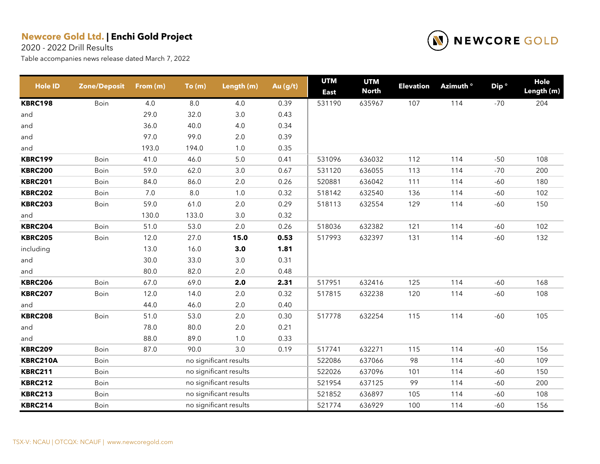2020 - 2022 Drill Results



| <b>Hole ID</b> | <b>Zone/Deposit</b> | From (m) | To(m)   | Length (m)             | Au (g/t) | <b>UTM</b><br><b>East</b> | <b>UTM</b><br><b>North</b> | <b>Elevation</b> | Azimuth <sup>o</sup> | Dip <sup>o</sup> | Hole<br>Length (m) |
|----------------|---------------------|----------|---------|------------------------|----------|---------------------------|----------------------------|------------------|----------------------|------------------|--------------------|
| <b>KBRC198</b> | Boin                | 4.0      | $8.0\,$ | 4.0                    | 0.39     | 531190                    | 635967                     | 107              | 114                  | $-70$            | 204                |
| and            |                     | 29.0     | 32.0    | $3.0\,$                | 0.43     |                           |                            |                  |                      |                  |                    |
| and            |                     | 36.0     | 40.0    | 4.0                    | 0.34     |                           |                            |                  |                      |                  |                    |
| and            |                     | 97.0     | 99.0    | 2.0                    | 0.39     |                           |                            |                  |                      |                  |                    |
| and            |                     | 193.0    | 194.0   | $1.0\,$                | 0.35     |                           |                            |                  |                      |                  |                    |
| <b>KBRC199</b> | Boin                | 41.0     | 46.0    | $5.0\,$                | 0.41     | 531096                    | 636032                     | 112              | 114                  | $-50$            | 108                |
| <b>KBRC200</b> | Boin                | 59.0     | 62.0    | 3.0                    | 0.67     | 531120                    | 636055                     | 113              | 114                  | $-70$            | 200                |
| <b>KBRC201</b> | Boin                | 84.0     | 86.0    | 2.0                    | 0.26     | 520881                    | 636042                     | 111              | 114                  | $-60$            | 180                |
| <b>KBRC202</b> | Boin                | 7.0      | $8.0\,$ | $1.0\,$                | 0.32     | 518142                    | 632540                     | 136              | 114                  | $-60$            | 102                |
| <b>KBRC203</b> | Boin                | 59.0     | 61.0    | 2.0                    | 0.29     | 518113                    | 632554                     | 129              | 114                  | $-60$            | 150                |
| and            |                     | 130.0    | 133.0   | $3.0\,$                | 0.32     |                           |                            |                  |                      |                  |                    |
| <b>KBRC204</b> | Boin                | 51.0     | 53.0    | 2.0                    | 0.26     | 518036                    | 632382                     | 121              | 114                  | $-60$            | 102                |
| <b>KBRC205</b> | Boin                | 12.0     | 27.0    | 15.0                   | 0.53     | 517993                    | 632397                     | 131              | 114                  | $-60$            | 132                |
| including      |                     | 13.0     | 16.0    | 3.0                    | 1.81     |                           |                            |                  |                      |                  |                    |
| and            |                     | 30.0     | 33.0    | $3.0\,$                | 0.31     |                           |                            |                  |                      |                  |                    |
| and            |                     | 80.0     | 82.0    | 2.0                    | 0.48     |                           |                            |                  |                      |                  |                    |
| <b>KBRC206</b> | Boin                | 67.0     | 69.0    | 2.0                    | 2.31     | 517951                    | 632416                     | 125              | 114                  | $-60$            | 168                |
| <b>KBRC207</b> | Boin                | 12.0     | 14.0    | $2.0\,$                | 0.32     | 517815                    | 632238                     | 120              | 114                  | $-60$            | 108                |
| and            |                     | 44.0     | 46.0    | $2.0\,$                | 0.40     |                           |                            |                  |                      |                  |                    |
| <b>KBRC208</b> | Boin                | 51.0     | 53.0    | 2.0                    | 0.30     | 517778                    | 632254                     | 115              | 114                  | $-60$            | 105                |
| and            |                     | 78.0     | 80.0    | $2.0\,$                | 0.21     |                           |                            |                  |                      |                  |                    |
| and            |                     | 88.0     | 89.0    | 1.0                    | 0.33     |                           |                            |                  |                      |                  |                    |
| <b>KBRC209</b> | Boin                | 87.0     | 90.0    | 3.0                    | 0.19     | 517741                    | 632271                     | 115              | 114                  | $-60$            | 156                |
| KBRC210A       | Boin                |          |         | no significant results |          | 522086                    | 637066                     | 98               | 114                  | $-60$            | 109                |
| <b>KBRC211</b> | Boin                |          |         | no significant results |          | 522026                    | 637096                     | 101              | 114                  | $-60$            | 150                |
| <b>KBRC212</b> | Boin                |          |         | no significant results |          | 521954                    | 637125                     | 99               | 114                  | $-60$            | 200                |
| <b>KBRC213</b> | Boin                |          |         | no significant results |          | 521852                    | 636897                     | 105              | 114                  | $-60$            | 108                |
| <b>KBRC214</b> | Boin                |          |         | no significant results |          | 521774                    | 636929                     | 100              | 114                  | $-60$            | 156                |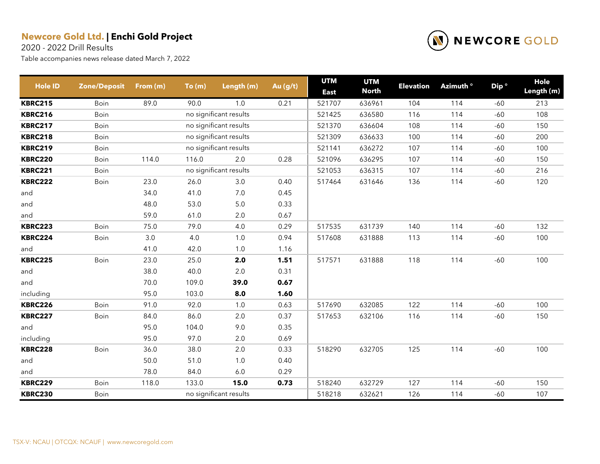2020 - 2022 Drill Results

| <b>Hole ID</b> | <b>Zone/Deposit</b> | From (m) | To(m) | Length (m)             | Au (g/t) | <b>UTM</b><br><b>East</b> | <b>UTM</b><br><b>North</b> | <b>Elevation</b> | Azimuth <sup>o</sup> | Dip <sup>o</sup> | Hole<br>Length (m) |
|----------------|---------------------|----------|-------|------------------------|----------|---------------------------|----------------------------|------------------|----------------------|------------------|--------------------|
| <b>KBRC215</b> | Boin                | 89.0     | 90.0  | 1.0                    | 0.21     | 521707                    | 636961                     | 104              | 114                  | $-60$            | 213                |
| <b>KBRC216</b> | Boin                |          |       | no significant results |          | 521425                    | 636580                     | 116              | 114                  | $-60$            | 108                |
| <b>KBRC217</b> | Boin                |          |       | no significant results |          | 521370                    | 636604                     | 108              | 114                  | $-60$            | 150                |
| <b>KBRC218</b> | Boin                |          |       | no significant results |          | 521309                    | 636633                     | 100              | 114                  | $-60$            | 200                |
| <b>KBRC219</b> | Boin                |          |       | no significant results |          | 521141                    | 636272                     | 107              | 114                  | $-60$            | 100                |
| <b>KBRC220</b> | Boin                | 114.0    | 116.0 | 2.0                    | 0.28     | 521096                    | 636295                     | 107              | 114                  | $-60$            | 150                |
| <b>KBRC221</b> | Boin                |          |       | no significant results |          | 521053                    | 636315                     | 107              | 114                  | $-60$            | 216                |
| <b>KBRC222</b> | Boin                | 23.0     | 26.0  | 3.0                    | 0.40     | 517464                    | 631646                     | 136              | 114                  | $-60$            | 120                |
| and            |                     | 34.0     | 41.0  | 7.0                    | 0.45     |                           |                            |                  |                      |                  |                    |
| and            |                     | 48.0     | 53.0  | 5.0                    | 0.33     |                           |                            |                  |                      |                  |                    |
| and            |                     | 59.0     | 61.0  | 2.0                    | 0.67     |                           |                            |                  |                      |                  |                    |
| <b>KBRC223</b> | Boin                | 75.0     | 79.0  | 4.0                    | 0.29     | 517535                    | 631739                     | 140              | 114                  | $-60$            | 132                |
| <b>KBRC224</b> | Boin                | 3.0      | 4.0   | 1.0                    | 0.94     | 517608                    | 631888                     | 113              | 114                  | $-60$            | 100                |
| and            |                     | 41.0     | 42.0  | 1.0                    | 1.16     |                           |                            |                  |                      |                  |                    |
| <b>KBRC225</b> | Boin                | 23.0     | 25.0  | 2.0                    | 1.51     | 517571                    | 631888                     | 118              | 114                  | $-60$            | 100                |
| and            |                     | 38.0     | 40.0  | $2.0\,$                | 0.31     |                           |                            |                  |                      |                  |                    |
| and            |                     | 70.0     | 109.0 | 39.0                   | 0.67     |                           |                            |                  |                      |                  |                    |
| including      |                     | 95.0     | 103.0 | 8.0                    | 1.60     |                           |                            |                  |                      |                  |                    |
| <b>KBRC226</b> | Boin                | 91.0     | 92.0  | $1.0$                  | 0.63     | 517690                    | 632085                     | 122              | 114                  | $-60$            | 100                |
| <b>KBRC227</b> | Boin                | 84.0     | 86.0  | 2.0                    | 0.37     | 517653                    | 632106                     | 116              | 114                  | $-60$            | 150                |
| and            |                     | 95.0     | 104.0 | 9.0                    | 0.35     |                           |                            |                  |                      |                  |                    |
| including      |                     | 95.0     | 97.0  | 2.0                    | 0.69     |                           |                            |                  |                      |                  |                    |
| <b>KBRC228</b> | Boin                | 36.0     | 38.0  | 2.0                    | 0.33     | 518290                    | 632705                     | 125              | 114                  | $-60$            | 100                |
| and            |                     | 50.0     | 51.0  | $1.0$                  | 0.40     |                           |                            |                  |                      |                  |                    |
| and            |                     | 78.0     | 84.0  | $6.0$                  | 0.29     |                           |                            |                  |                      |                  |                    |
| <b>KBRC229</b> | Boin                | 118.0    | 133.0 | 15.0                   | 0.73     | 518240                    | 632729                     | 127              | 114                  | $-60$            | 150                |
| <b>KBRC230</b> | Boin                |          |       | no significant results |          | 518218                    | 632621                     | 126              | 114                  | $-60$            | 107                |

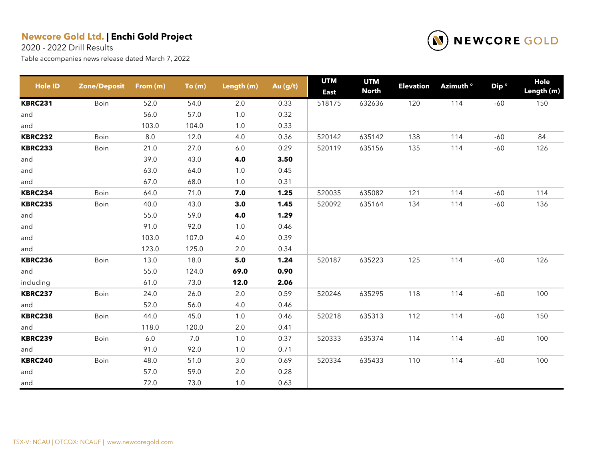2020 - 2022 Drill Results



| <b>Hole ID</b> | <b>Zone/Deposit</b> | From (m) | To(m) | Length (m) | Au (g/t) | <b>UTM</b><br><b>East</b> | <b>UTM</b><br><b>North</b> | <b>Elevation</b> | Azimuth <sup>o</sup> | Dip <sup>o</sup> | Hole<br>Length (m) |
|----------------|---------------------|----------|-------|------------|----------|---------------------------|----------------------------|------------------|----------------------|------------------|--------------------|
| <b>KBRC231</b> | Boin                | 52.0     | 54.0  | 2.0        | 0.33     | 518175                    | 632636                     | 120              | 114                  | $-60$            | 150                |
| and            |                     | 56.0     | 57.0  | $1.0$      | 0.32     |                           |                            |                  |                      |                  |                    |
| and            |                     | 103.0    | 104.0 | 1.0        | 0.33     |                           |                            |                  |                      |                  |                    |
| <b>KBRC232</b> | Boin                | $8.0\,$  | 12.0  | 4.0        | 0.36     | 520142                    | 635142                     | 138              | 114                  | $-60$            | 84                 |
| <b>KBRC233</b> | Boin                | 21.0     | 27.0  | 6.0        | 0.29     | 520119                    | 635156                     | 135              | 114                  | $-60$            | 126                |
| and            |                     | 39.0     | 43.0  | 4.0        | 3.50     |                           |                            |                  |                      |                  |                    |
| and            |                     | 63.0     | 64.0  | $1.0$      | 0.45     |                           |                            |                  |                      |                  |                    |
| and            |                     | 67.0     | 68.0  | 1.0        | 0.31     |                           |                            |                  |                      |                  |                    |
| <b>KBRC234</b> | Boin                | 64.0     | 71.0  | 7.0        | 1.25     | 520035                    | 635082                     | 121              | 114                  | $-60$            | 114                |
| <b>KBRC235</b> | Boin                | 40.0     | 43.0  | 3.0        | 1.45     | 520092                    | 635164                     | 134              | 114                  | $-60$            | 136                |
| and            |                     | 55.0     | 59.0  | 4.0        | 1.29     |                           |                            |                  |                      |                  |                    |
| and            |                     | 91.0     | 92.0  | 1.0        | 0.46     |                           |                            |                  |                      |                  |                    |
| and            |                     | 103.0    | 107.0 | 4.0        | 0.39     |                           |                            |                  |                      |                  |                    |
| and            |                     | 123.0    | 125.0 | 2.0        | 0.34     |                           |                            |                  |                      |                  |                    |
| <b>KBRC236</b> | Boin                | 13.0     | 18.0  | 5.0        | 1.24     | 520187                    | 635223                     | 125              | 114                  | $-60$            | 126                |
| and            |                     | 55.0     | 124.0 | 69.0       | 0.90     |                           |                            |                  |                      |                  |                    |
| including      |                     | 61.0     | 73.0  | 12.0       | 2.06     |                           |                            |                  |                      |                  |                    |
| <b>KBRC237</b> | Boin                | 24.0     | 26.0  | 2.0        | 0.59     | 520246                    | 635295                     | 118              | 114                  | $-60$            | 100                |
| and            |                     | 52.0     | 56.0  | 4.0        | 0.46     |                           |                            |                  |                      |                  |                    |
| <b>KBRC238</b> | Boin                | 44.0     | 45.0  | 1.0        | 0.46     | 520218                    | 635313                     | 112              | 114                  | $-60$            | 150                |
| and            |                     | 118.0    | 120.0 | 2.0        | 0.41     |                           |                            |                  |                      |                  |                    |
| <b>KBRC239</b> | Boin                | $6.0\,$  | 7.0   | $1.0\,$    | 0.37     | 520333                    | 635374                     | 114              | 114                  | $-60$            | 100                |
| and            |                     | 91.0     | 92.0  | 1.0        | 0.71     |                           |                            |                  |                      |                  |                    |
| <b>KBRC240</b> | Boin                | 48.0     | 51.0  | 3.0        | 0.69     | 520334                    | 635433                     | 110              | 114                  | $-60$            | 100                |
| and            |                     | 57.0     | 59.0  | $2.0\,$    | 0.28     |                           |                            |                  |                      |                  |                    |
| and            |                     | 72.0     | 73.0  | 1.0        | 0.63     |                           |                            |                  |                      |                  |                    |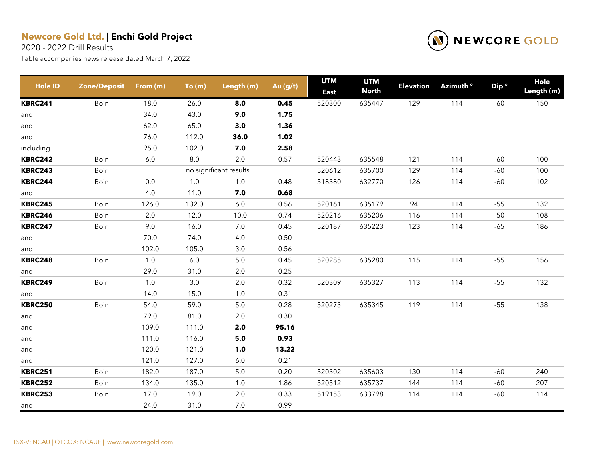2020 - 2022 Drill Results



| <b>Hole ID</b> | <b>Zone/Deposit</b> | From (m) | To(m)   | Length (m)             | Au (g/t) | <b>UTM</b><br><b>East</b> | <b>UTM</b><br><b>North</b> | <b>Elevation</b> | Azimuth <sup>o</sup> | Dip <sup>o</sup> | Hole<br>Length (m) |
|----------------|---------------------|----------|---------|------------------------|----------|---------------------------|----------------------------|------------------|----------------------|------------------|--------------------|
| <b>KBRC241</b> | Boin                | 18.0     | 26.0    | 8.0                    | 0.45     | 520300                    | 635447                     | 129              | 114                  | $-60$            | 150                |
| and            |                     | 34.0     | 43.0    | 9.0                    | 1.75     |                           |                            |                  |                      |                  |                    |
| and            |                     | 62.0     | 65.0    | 3.0                    | 1.36     |                           |                            |                  |                      |                  |                    |
| and            |                     | 76.0     | 112.0   | 36.0                   | 1.02     |                           |                            |                  |                      |                  |                    |
| including      |                     | 95.0     | 102.0   | 7.0                    | 2.58     |                           |                            |                  |                      |                  |                    |
| <b>KBRC242</b> | Boin                | 6.0      | 8.0     | 2.0                    | 0.57     | 520443                    | 635548                     | 121              | 114                  | $-60$            | 100                |
| <b>KBRC243</b> | Boin                |          |         | no significant results |          | 520612                    | 635700                     | 129              | 114                  | -60              | 100                |
| <b>KBRC244</b> | Boin                | $0.0\,$  | $1.0$   | $1.0$                  | 0.48     | 518380                    | 632770                     | 126              | 114                  | $-60$            | 102                |
| and            |                     | 4.0      | 11.0    | 7.0                    | 0.68     |                           |                            |                  |                      |                  |                    |
| <b>KBRC245</b> | Boin                | 126.0    | 132.0   | 6.0                    | 0.56     | 520161                    | 635179                     | 94               | 114                  | $-55$            | 132                |
| <b>KBRC246</b> | Boin                | 2.0      | 12.0    | 10.0                   | 0.74     | 520216                    | 635206                     | 116              | 114                  | $-50$            | 108                |
| <b>KBRC247</b> | Boin                | 9.0      | 16.0    | $7.0\,$                | 0.45     | 520187                    | 635223                     | 123              | 114                  | $-65$            | 186                |
| and            |                     | 70.0     | 74.0    | 4.0                    | 0.50     |                           |                            |                  |                      |                  |                    |
| and            |                     | 102.0    | 105.0   | 3.0                    | 0.56     |                           |                            |                  |                      |                  |                    |
| <b>KBRC248</b> | Boin                | $1.0$    | $6.0\,$ | $5.0\,$                | 0.45     | 520285                    | 635280                     | 115              | 114                  | $-55$            | 156                |
| and            |                     | 29.0     | 31.0    | $2.0\,$                | 0.25     |                           |                            |                  |                      |                  |                    |
| <b>KBRC249</b> | Boin                | 1.0      | 3.0     | 2.0                    | 0.32     | 520309                    | 635327                     | 113              | 114                  | $-55$            | 132                |
| and            |                     | 14.0     | 15.0    | $1.0$                  | 0.31     |                           |                            |                  |                      |                  |                    |
| <b>KBRC250</b> | Boin                | 54.0     | 59.0    | $5.0\,$                | 0.28     | 520273                    | 635345                     | 119              | 114                  | $-55$            | 138                |
| and            |                     | 79.0     | 81.0    | 2.0                    | 0.30     |                           |                            |                  |                      |                  |                    |
| and            |                     | 109.0    | 111.0   | 2.0                    | 95.16    |                           |                            |                  |                      |                  |                    |
| and            |                     | 111.0    | 116.0   | $5.0$                  | 0.93     |                           |                            |                  |                      |                  |                    |
| and            |                     | 120.0    | 121.0   | 1.0                    | 13.22    |                           |                            |                  |                      |                  |                    |
| and            |                     | 121.0    | 127.0   | 6.0                    | 0.21     |                           |                            |                  |                      |                  |                    |
| <b>KBRC251</b> | Boin                | 182.0    | 187.0   | $5.0$                  | 0.20     | 520302                    | 635603                     | 130              | 114                  | $-60$            | 240                |
| <b>KBRC252</b> | Boin                | 134.0    | 135.0   | 1.0                    | 1.86     | 520512                    | 635737                     | 144              | 114                  | $-60$            | 207                |
| <b>KBRC253</b> | Boin                | 17.0     | 19.0    | 2.0                    | 0.33     | 519153                    | 633798                     | 114              | 114                  | $-60$            | 114                |
| and            |                     | 24.0     | 31.0    | $7.0\,$                | 0.99     |                           |                            |                  |                      |                  |                    |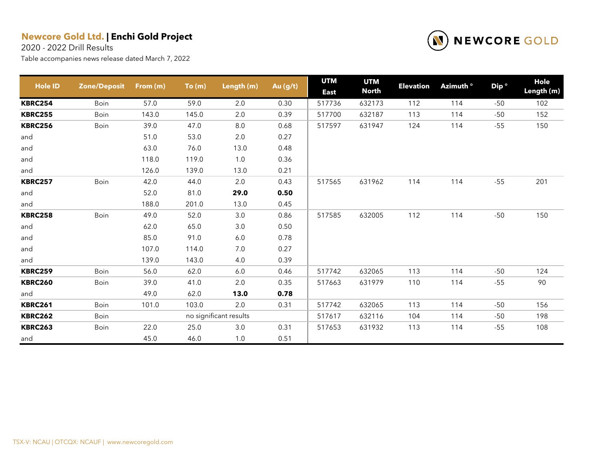2020 - 2022 Drill Results



| <b>Hole ID</b> | <b>Zone/Deposit</b> | From (m) | To(m) | Length (m)             | Au (g/t) | <b>UTM</b><br><b>East</b> | <b>UTM</b><br><b>North</b> | <b>Elevation</b> | Azimuth ° | Dip <sup>o</sup> | Hole<br>Length (m) |
|----------------|---------------------|----------|-------|------------------------|----------|---------------------------|----------------------------|------------------|-----------|------------------|--------------------|
| <b>KBRC254</b> | Boin                | 57.0     | 59.0  | 2.0                    | 0.30     | 517736                    | 632173                     | 112              | 114       | $-50$            | 102                |
| <b>KBRC255</b> | Boin                | 143.0    | 145.0 | 2.0                    | 0.39     | 517700                    | 632187                     | 113              | 114       | $-50$            | 152                |
| <b>KBRC256</b> | Boin                | 39.0     | 47.0  | 8.0                    | 0.68     | 517597                    | 631947                     | 124              | 114       | $-55$            | 150                |
| and            |                     | 51.0     | 53.0  | 2.0                    | 0.27     |                           |                            |                  |           |                  |                    |
| and            |                     | 63.0     | 76.0  | 13.0                   | 0.48     |                           |                            |                  |           |                  |                    |
| and            |                     | 118.0    | 119.0 | 1.0                    | 0.36     |                           |                            |                  |           |                  |                    |
| and            |                     | 126.0    | 139.0 | 13.0                   | 0.21     |                           |                            |                  |           |                  |                    |
| <b>KBRC257</b> | Boin                | 42.0     | 44.0  | 2.0                    | 0.43     | 517565                    | 631962                     | 114              | 114       | $-55$            | 201                |
| and            |                     | 52.0     | 81.0  | 29.0                   | 0.50     |                           |                            |                  |           |                  |                    |
| and            |                     | 188.0    | 201.0 | 13.0                   | 0.45     |                           |                            |                  |           |                  |                    |
| <b>KBRC258</b> | Boin                | 49.0     | 52.0  | 3.0                    | 0.86     | 517585                    | 632005                     | 112              | 114       | $-50$            | 150                |
| and            |                     | 62.0     | 65.0  | 3.0                    | 0.50     |                           |                            |                  |           |                  |                    |
| and            |                     | 85.0     | 91.0  | 6.0                    | 0.78     |                           |                            |                  |           |                  |                    |
| and            |                     | 107.0    | 114.0 | 7.0                    | 0.27     |                           |                            |                  |           |                  |                    |
| and            |                     | 139.0    | 143.0 | 4.0                    | 0.39     |                           |                            |                  |           |                  |                    |
| <b>KBRC259</b> | Boin                | 56.0     | 62.0  | 6.0                    | 0.46     | 517742                    | 632065                     | 113              | 114       | $-50$            | 124                |
| <b>KBRC260</b> | Boin                | 39.0     | 41.0  | 2.0                    | 0.35     | 517663                    | 631979                     | 110              | 114       | $-55$            | 90                 |
| and            |                     | 49.0     | 62.0  | 13.0                   | 0.78     |                           |                            |                  |           |                  |                    |
| <b>KBRC261</b> | Boin                | 101.0    | 103.0 | 2.0                    | 0.31     | 517742                    | 632065                     | 113              | 114       | $-50$            | 156                |
| <b>KBRC262</b> | Boin                |          |       | no significant results |          | 517617                    | 632116                     | 104              | 114       | $-50$            | 198                |
| <b>KBRC263</b> | Boin                | 22.0     | 25.0  | 3.0                    | 0.31     | 517653                    | 631932                     | 113              | 114       | $-55$            | 108                |
| and            |                     | 45.0     | 46.0  | 1.0                    | 0.51     |                           |                            |                  |           |                  |                    |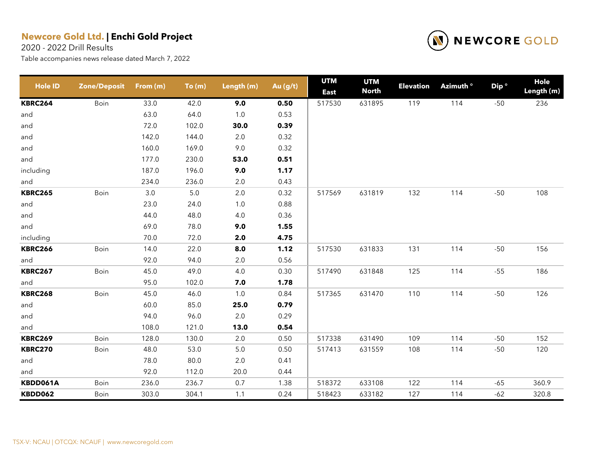2020 - 2022 Drill Results



| <b>Hole ID</b> | <b>Zone/Deposit</b> | From (m) | To(m)   | Length (m) | Au (g/t) | <b>UTM</b><br><b>East</b> | <b>UTM</b><br><b>North</b> | <b>Elevation</b> | Azimuth <sup>o</sup> | Dip <sup>o</sup> | Hole<br>Length (m) |
|----------------|---------------------|----------|---------|------------|----------|---------------------------|----------------------------|------------------|----------------------|------------------|--------------------|
| <b>KBRC264</b> | Boin                | 33.0     | 42.0    | 9.0        | 0.50     | 517530                    | 631895                     | 119              | 114                  | $-50$            | 236                |
| and            |                     | 63.0     | 64.0    | $1.0\,$    | 0.53     |                           |                            |                  |                      |                  |                    |
| and            |                     | 72.0     | 102.0   | 30.0       | 0.39     |                           |                            |                  |                      |                  |                    |
| and            |                     | 142.0    | 144.0   | 2.0        | 0.32     |                           |                            |                  |                      |                  |                    |
| and            |                     | 160.0    | 169.0   | 9.0        | 0.32     |                           |                            |                  |                      |                  |                    |
| and            |                     | 177.0    | 230.0   | 53.0       | 0.51     |                           |                            |                  |                      |                  |                    |
| including      |                     | 187.0    | 196.0   | 9.0        | 1.17     |                           |                            |                  |                      |                  |                    |
| and            |                     | 234.0    | 236.0   | 2.0        | 0.43     |                           |                            |                  |                      |                  |                    |
| <b>KBRC265</b> | Boin                | $3.0\,$  | $5.0\,$ | $2.0\,$    | 0.32     | 517569                    | 631819                     | 132              | 114                  | $-50$            | 108                |
| and            |                     | 23.0     | 24.0    | $1.0$      | 0.88     |                           |                            |                  |                      |                  |                    |
| and            |                     | 44.0     | 48.0    | 4.0        | 0.36     |                           |                            |                  |                      |                  |                    |
| and            |                     | 69.0     | 78.0    | 9.0        | 1.55     |                           |                            |                  |                      |                  |                    |
| including      |                     | 70.0     | 72.0    | 2.0        | 4.75     |                           |                            |                  |                      |                  |                    |
| <b>KBRC266</b> | Boin                | 14.0     | 22.0    | 8.0        | 1.12     | 517530                    | 631833                     | 131              | 114                  | $-50$            | 156                |
| and            |                     | 92.0     | 94.0    | 2.0        | 0.56     |                           |                            |                  |                      |                  |                    |
| <b>KBRC267</b> | Boin                | 45.0     | 49.0    | 4.0        | 0.30     | 517490                    | 631848                     | 125              | 114                  | $-55$            | 186                |
| and            |                     | 95.0     | 102.0   | 7.0        | 1.78     |                           |                            |                  |                      |                  |                    |
| <b>KBRC268</b> | Boin                | 45.0     | 46.0    | 1.0        | 0.84     | 517365                    | 631470                     | 110              | 114                  | $-50$            | 126                |
| and            |                     | 60.0     | 85.0    | 25.0       | 0.79     |                           |                            |                  |                      |                  |                    |
| and            |                     | 94.0     | 96.0    | 2.0        | 0.29     |                           |                            |                  |                      |                  |                    |
| and            |                     | 108.0    | 121.0   | 13.0       | 0.54     |                           |                            |                  |                      |                  |                    |
| <b>KBRC269</b> | Boin                | 128.0    | 130.0   | 2.0        | 0.50     | 517338                    | 631490                     | 109              | 114                  | $-50$            | 152                |
| <b>KBRC270</b> | Boin                | 48.0     | 53.0    | 5.0        | 0.50     | 517413                    | 631559                     | 108              | 114                  | $-50$            | 120                |
| and            |                     | 78.0     | 80.0    | 2.0        | 0.41     |                           |                            |                  |                      |                  |                    |
| and            |                     | 92.0     | 112.0   | 20.0       | 0.44     |                           |                            |                  |                      |                  |                    |
| KBDD061A       | Boin                | 236.0    | 236.7   | 0.7        | 1.38     | 518372                    | 633108                     | 122              | 114                  | $-65$            | 360.9              |
| <b>KBDD062</b> | Boin                | 303.0    | 304.1   | 1.1        | 0.24     | 518423                    | 633182                     | 127              | 114                  | $-62$            | 320.8              |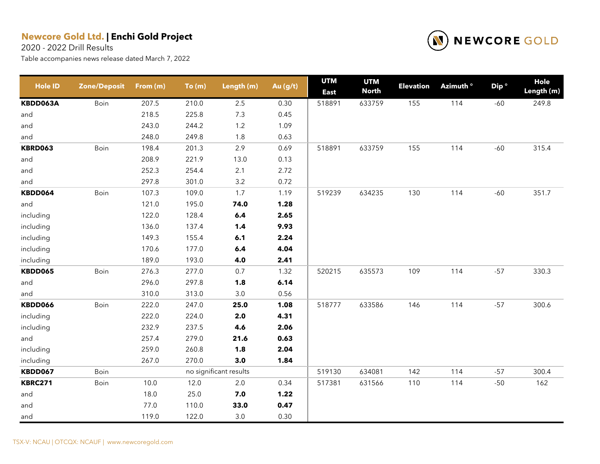2020 - 2022 Drill Results



| <b>Hole ID</b> | <b>Zone/Deposit</b> | From (m) | To(m) | Length (m)             | Au (g/t) | <b>UTM</b><br><b>East</b> | <b>UTM</b><br><b>North</b> | <b>Elevation</b> | Azimuth <sup>o</sup> | Dip <sup>o</sup> | Hole<br>Length (m) |
|----------------|---------------------|----------|-------|------------------------|----------|---------------------------|----------------------------|------------------|----------------------|------------------|--------------------|
| KBDD063A       | Boin                | 207.5    | 210.0 | $2.5\,$                | 0.30     | 518891                    | 633759                     | 155              | 114                  | $-60$            | 249.8              |
| and            |                     | 218.5    | 225.8 | 7.3                    | 0.45     |                           |                            |                  |                      |                  |                    |
| and            |                     | 243.0    | 244.2 | 1.2                    | 1.09     |                           |                            |                  |                      |                  |                    |
| and            |                     | 248.0    | 249.8 | 1.8                    | 0.63     |                           |                            |                  |                      |                  |                    |
| <b>KBRD063</b> | Boin                | 198.4    | 201.3 | 2.9                    | 0.69     | 518891                    | 633759                     | 155              | 114                  | $-60$            | 315.4              |
| and            |                     | 208.9    | 221.9 | 13.0                   | 0.13     |                           |                            |                  |                      |                  |                    |
| and            |                     | 252.3    | 254.4 | 2.1                    | 2.72     |                           |                            |                  |                      |                  |                    |
| and            |                     | 297.8    | 301.0 | 3.2                    | 0.72     |                           |                            |                  |                      |                  |                    |
| KBDD064        | Boin                | 107.3    | 109.0 | 1.7                    | 1.19     | 519239                    | 634235                     | 130              | 114                  | $-60$            | 351.7              |
| and            |                     | 121.0    | 195.0 | 74.0                   | 1.28     |                           |                            |                  |                      |                  |                    |
| including      |                     | 122.0    | 128.4 | $6.4\,$                | 2.65     |                           |                            |                  |                      |                  |                    |
| including      |                     | 136.0    | 137.4 | 1.4                    | 9.93     |                           |                            |                  |                      |                  |                    |
| including      |                     | 149.3    | 155.4 | 6.1                    | 2.24     |                           |                            |                  |                      |                  |                    |
| including      |                     | 170.6    | 177.0 | 6.4                    | 4.04     |                           |                            |                  |                      |                  |                    |
| including      |                     | 189.0    | 193.0 | 4.0                    | 2.41     |                           |                            |                  |                      |                  |                    |
| <b>KBDD065</b> | Boin                | 276.3    | 277.0 | 0.7                    | 1.32     | 520215                    | 635573                     | 109              | 114                  | $-57$            | 330.3              |
| and            |                     | 296.0    | 297.8 | 1.8                    | 6.14     |                           |                            |                  |                      |                  |                    |
| and            |                     | 310.0    | 313.0 | 3.0                    | 0.56     |                           |                            |                  |                      |                  |                    |
| KBDD066        | Boin                | 222.0    | 247.0 | 25.0                   | 1.08     | 518777                    | 633586                     | 146              | 114                  | $-57$            | 300.6              |
| including      |                     | 222.0    | 224.0 | 2.0                    | 4.31     |                           |                            |                  |                      |                  |                    |
| including      |                     | 232.9    | 237.5 | 4.6                    | 2.06     |                           |                            |                  |                      |                  |                    |
| and            |                     | 257.4    | 279.0 | 21.6                   | 0.63     |                           |                            |                  |                      |                  |                    |
| including      |                     | 259.0    | 260.8 | 1.8                    | 2.04     |                           |                            |                  |                      |                  |                    |
| including      |                     | 267.0    | 270.0 | 3.0                    | 1.84     |                           |                            |                  |                      |                  |                    |
| KBDD067        | Boin                |          |       | no significant results |          | 519130                    | 634081                     | 142              | 114                  | $-57$            | 300.4              |
| <b>KBRC271</b> | Boin                | 10.0     | 12.0  | $2.0\,$                | 0.34     | 517381                    | 631566                     | 110              | 114                  | $-50$            | 162                |
| and            |                     | 18.0     | 25.0  | 7.0                    | 1.22     |                           |                            |                  |                      |                  |                    |
| and            |                     | 77.0     | 110.0 | 33.0                   | 0.47     |                           |                            |                  |                      |                  |                    |
| and            |                     | 119.0    | 122.0 | 3.0                    | 0.30     |                           |                            |                  |                      |                  |                    |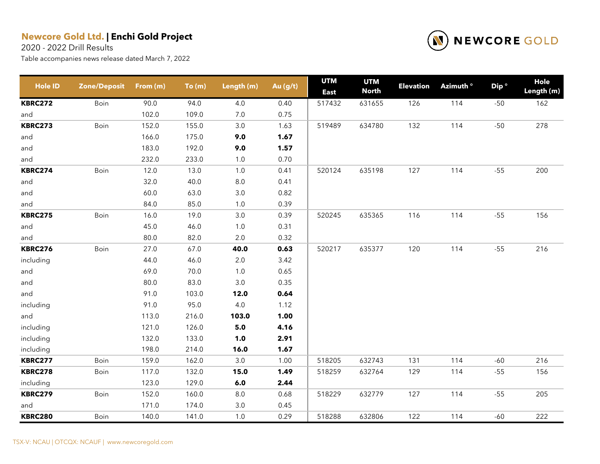2020 - 2022 Drill Results



| Hole ID        | <b>Zone/Deposit</b> | From (m) | To(m) | Length (m) | Au (g/t) | <b>UTM</b><br><b>East</b> | <b>UTM</b><br><b>North</b> | <b>Elevation</b> | Azimuth ° | Dip <sup>o</sup> | Hole<br>Length (m) |
|----------------|---------------------|----------|-------|------------|----------|---------------------------|----------------------------|------------------|-----------|------------------|--------------------|
| <b>KBRC272</b> | Boin                | 90.0     | 94.0  | 4.0        | 0.40     | 517432                    | 631655                     | 126              | 114       | $-50$            | 162                |
| and            |                     | 102.0    | 109.0 | 7.0        | 0.75     |                           |                            |                  |           |                  |                    |
| <b>KBRC273</b> | Boin                | 152.0    | 155.0 | $3.0\,$    | 1.63     | 519489                    | 634780                     | 132              | 114       | $-50$            | 278                |
| and            |                     | 166.0    | 175.0 | 9.0        | 1.67     |                           |                            |                  |           |                  |                    |
| and            |                     | 183.0    | 192.0 | 9.0        | 1.57     |                           |                            |                  |           |                  |                    |
| and            |                     | 232.0    | 233.0 | $1.0\,$    | 0.70     |                           |                            |                  |           |                  |                    |
| <b>KBRC274</b> | Boin                | 12.0     | 13.0  | $1.0$      | 0.41     | 520124                    | 635198                     | 127              | 114       | $-55$            | 200                |
| and            |                     | 32.0     | 40.0  | $8.0\,$    | 0.41     |                           |                            |                  |           |                  |                    |
| and            |                     | 60.0     | 63.0  | $3.0\,$    | 0.82     |                           |                            |                  |           |                  |                    |
| and            |                     | 84.0     | 85.0  | $1.0\,$    | 0.39     |                           |                            |                  |           |                  |                    |
| <b>KBRC275</b> | Boin                | 16.0     | 19.0  | $3.0\,$    | 0.39     | 520245                    | 635365                     | 116              | 114       | $-55$            | 156                |
| and            |                     | 45.0     | 46.0  | $1.0$      | 0.31     |                           |                            |                  |           |                  |                    |
| and            |                     | 80.0     | 82.0  | $2.0\,$    | 0.32     |                           |                            |                  |           |                  |                    |
| <b>KBRC276</b> | Boin                | 27.0     | 67.0  | 40.0       | 0.63     | 520217                    | 635377                     | 120              | 114       | $-55$            | 216                |
| including      |                     | 44.0     | 46.0  | $2.0\,$    | 3.42     |                           |                            |                  |           |                  |                    |
| and            |                     | 69.0     | 70.0  | $1.0\,$    | 0.65     |                           |                            |                  |           |                  |                    |
| and            |                     | 80.0     | 83.0  | $3.0\,$    | 0.35     |                           |                            |                  |           |                  |                    |
| and            |                     | 91.0     | 103.0 | 12.0       | 0.64     |                           |                            |                  |           |                  |                    |
| including      |                     | 91.0     | 95.0  | 4.0        | 1.12     |                           |                            |                  |           |                  |                    |
| and            |                     | 113.0    | 216.0 | 103.0      | 1.00     |                           |                            |                  |           |                  |                    |
| including      |                     | 121.0    | 126.0 | 5.0        | 4.16     |                           |                            |                  |           |                  |                    |
| including      |                     | 132.0    | 133.0 | 1.0        | 2.91     |                           |                            |                  |           |                  |                    |
| including      |                     | 198.0    | 214.0 | 16.0       | 1.67     |                           |                            |                  |           |                  |                    |
| <b>KBRC277</b> | Boin                | 159.0    | 162.0 | $3.0\,$    | 1.00     | 518205                    | 632743                     | 131              | 114       | $-60$            | 216                |
| <b>KBRC278</b> | Boin                | 117.0    | 132.0 | 15.0       | 1.49     | 518259                    | 632764                     | 129              | 114       | $-55$            | 156                |
| including      |                     | 123.0    | 129.0 | 6.0        | 2.44     |                           |                            |                  |           |                  |                    |
| <b>KBRC279</b> | Boin                | 152.0    | 160.0 | $8.0\,$    | 0.68     | 518229                    | 632779                     | 127              | 114       | $-55$            | 205                |
| and            |                     | 171.0    | 174.0 | $3.0\,$    | 0.45     |                           |                            |                  |           |                  |                    |
| <b>KBRC280</b> | Boin                | 140.0    | 141.0 | 1.0        | 0.29     | 518288                    | 632806                     | 122              | 114       | $-60$            | 222                |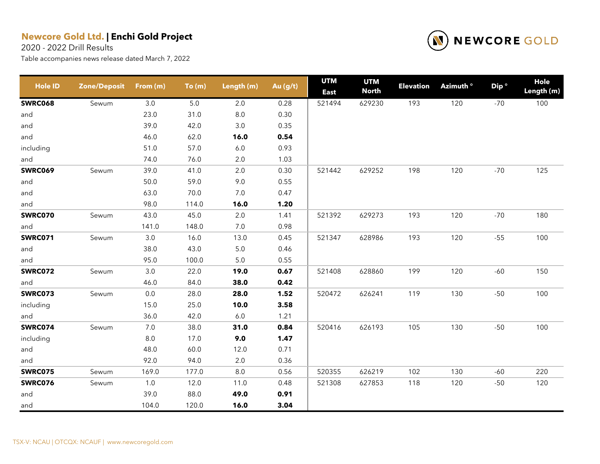2020 - 2022 Drill Results



| Hole ID        | <b>Zone/Deposit</b> | From (m) | To(m) | Length (m) | Au (g/t) | <b>UTM</b><br><b>East</b> | <b>UTM</b><br><b>North</b> | <b>Elevation</b> | Azimuth <sup>o</sup> | Dip <sup>o</sup> | <b>Hole</b><br>Length (m) |
|----------------|---------------------|----------|-------|------------|----------|---------------------------|----------------------------|------------------|----------------------|------------------|---------------------------|
| <b>SWRC068</b> | Sewum               | 3.0      | 5.0   | 2.0        | 0.28     | 521494                    | 629230                     | 193              | 120                  | $-70$            | 100                       |
| and            |                     | 23.0     | 31.0  | $8.0\,$    | 0.30     |                           |                            |                  |                      |                  |                           |
| and            |                     | 39.0     | 42.0  | 3.0        | 0.35     |                           |                            |                  |                      |                  |                           |
| and            |                     | 46.0     | 62.0  | 16.0       | 0.54     |                           |                            |                  |                      |                  |                           |
| including      |                     | 51.0     | 57.0  | $6.0\,$    | 0.93     |                           |                            |                  |                      |                  |                           |
| and            |                     | 74.0     | 76.0  | 2.0        | 1.03     |                           |                            |                  |                      |                  |                           |
| <b>SWRC069</b> | Sewum               | 39.0     | 41.0  | $2.0\,$    | 0.30     | 521442                    | 629252                     | 198              | 120                  | $-70$            | 125                       |
| and            |                     | 50.0     | 59.0  | 9.0        | 0.55     |                           |                            |                  |                      |                  |                           |
| and            |                     | 63.0     | 70.0  | 7.0        | 0.47     |                           |                            |                  |                      |                  |                           |
| and            |                     | 98.0     | 114.0 | 16.0       | 1.20     |                           |                            |                  |                      |                  |                           |
| SWRC070        | Sewum               | 43.0     | 45.0  | 2.0        | 1.41     | 521392                    | 629273                     | 193              | 120                  | $-70$            | 180                       |
| and            |                     | 141.0    | 148.0 | 7.0        | 0.98     |                           |                            |                  |                      |                  |                           |
| <b>SWRC071</b> | Sewum               | 3.0      | 16.0  | 13.0       | 0.45     | 521347                    | 628986                     | 193              | 120                  | $-55$            | 100                       |
| and            |                     | 38.0     | 43.0  | $5.0\,$    | 0.46     |                           |                            |                  |                      |                  |                           |
| and            |                     | 95.0     | 100.0 | 5.0        | 0.55     |                           |                            |                  |                      |                  |                           |
| <b>SWRC072</b> | Sewum               | 3.0      | 22.0  | 19.0       | 0.67     | 521408                    | 628860                     | 199              | 120                  | $-60$            | 150                       |
| and            |                     | 46.0     | 84.0  | 38.0       | 0.42     |                           |                            |                  |                      |                  |                           |
| <b>SWRC073</b> | Sewum               | $0.0\,$  | 28.0  | 28.0       | 1.52     | 520472                    | 626241                     | 119              | 130                  | $-50$            | 100                       |
| including      |                     | 15.0     | 25.0  | 10.0       | 3.58     |                           |                            |                  |                      |                  |                           |
| and            |                     | 36.0     | 42.0  | $6.0\,$    | 1.21     |                           |                            |                  |                      |                  |                           |
| SWRC074        | Sewum               | 7.0      | 38.0  | 31.0       | 0.84     | 520416                    | 626193                     | 105              | 130                  | $-50$            | 100                       |
| including      |                     | $8.0\,$  | 17.0  | 9.0        | 1.47     |                           |                            |                  |                      |                  |                           |
| and            |                     | 48.0     | 60.0  | 12.0       | 0.71     |                           |                            |                  |                      |                  |                           |
| and            |                     | 92.0     | 94.0  | 2.0        | 0.36     |                           |                            |                  |                      |                  |                           |
| <b>SWRC075</b> | Sewum               | 169.0    | 177.0 | 8.0        | 0.56     | 520355                    | 626219                     | 102              | 130                  | -60              | 220                       |
| SWRC076        | Sewum               | 1.0      | 12.0  | 11.0       | 0.48     | 521308                    | 627853                     | 118              | 120                  | $-50$            | 120                       |
| and            |                     | 39.0     | 88.0  | 49.0       | 0.91     |                           |                            |                  |                      |                  |                           |
| and            |                     | 104.0    | 120.0 | 16.0       | 3.04     |                           |                            |                  |                      |                  |                           |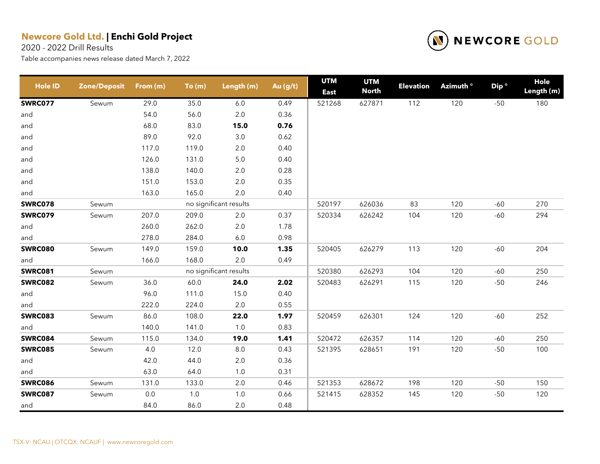2020 - 2022 Drill Results



| <b>Hole ID</b> | <b>Zone/Deposit</b> | From (m) | To(m) | Length (m)             | Au (g/t) | <b>UTM</b><br><b>East</b> | <b>UTM</b><br><b>North</b> | <b>Elevation</b> | Azimuth <sup>o</sup> | Dip <sup>o</sup> | Hole<br>Length (m) |
|----------------|---------------------|----------|-------|------------------------|----------|---------------------------|----------------------------|------------------|----------------------|------------------|--------------------|
| <b>SWRC077</b> | Sewum               | 29.0     | 35.0  | 6.0                    | 0.49     | 521268                    | 627871                     | 112              | 120                  | $-50$            | 180                |
| and            |                     | 54.0     | 56.0  | $2.0\,$                | 0.36     |                           |                            |                  |                      |                  |                    |
| and            |                     | 68.0     | 83.0  | 15.0                   | 0.76     |                           |                            |                  |                      |                  |                    |
| and            |                     | 89.0     | 92.0  | $3.0\,$                | 0.62     |                           |                            |                  |                      |                  |                    |
| and            |                     | 117.0    | 119.0 | $2.0\,$                | 0.40     |                           |                            |                  |                      |                  |                    |
| and            |                     | 126.0    | 131.0 | $5.0\,$                | 0.40     |                           |                            |                  |                      |                  |                    |
| and            |                     | 138.0    | 140.0 | $2.0\,$                | 0.28     |                           |                            |                  |                      |                  |                    |
| and            |                     | 151.0    | 153.0 | $2.0\,$                | 0.35     |                           |                            |                  |                      |                  |                    |
| and            |                     | 163.0    | 165.0 | 2.0                    | 0.40     |                           |                            |                  |                      |                  |                    |
| <b>SWRC078</b> | Sewum               |          |       | no significant results |          | 520197                    | 626036                     | 83               | 120                  | $-60$            | 270                |
| <b>SWRC079</b> | Sewum               | 207.0    | 209.0 | 2.0                    | 0.37     | 520334                    | 626242                     | 104              | 120                  | $-60$            | 294                |
| and            |                     | 260.0    | 262.0 | $2.0\,$                | 1.78     |                           |                            |                  |                      |                  |                    |
| and            |                     | 278.0    | 284.0 | $6.0\,$                | 0.98     |                           |                            |                  |                      |                  |                    |
| <b>SWRC080</b> | Sewum               | 149.0    | 159.0 | 10.0                   | 1.35     | 520405                    | 626279                     | 113              | 120                  | $-60$            | 204                |
| and            |                     | 166.0    | 168.0 | $2.0\,$                | 0.49     |                           |                            |                  |                      |                  |                    |
| <b>SWRC081</b> | Sewum               |          |       | no significant results |          | 520380                    | 626293                     | 104              | 120                  | $-60$            | 250                |
| <b>SWRC082</b> | Sewum               | 36.0     | 60.0  | 24.0                   | 2.02     | 520483                    | 626291                     | 115              | 120                  | $-50$            | 246                |
| and            |                     | 96.0     | 111.0 | 15.0                   | 0.40     |                           |                            |                  |                      |                  |                    |
| and            |                     | 222.0    | 224.0 | $2.0\,$                | 0.55     |                           |                            |                  |                      |                  |                    |
| <b>SWRC083</b> | Sewum               | 86.0     | 108.0 | 22.0                   | 1.97     | 520459                    | 626301                     | 124              | 120                  | $-60$            | 252                |
| and            |                     | 140.0    | 141.0 | $1.0\,$                | 0.83     |                           |                            |                  |                      |                  |                    |
| <b>SWRC084</b> | Sewum               | 115.0    | 134.0 | 19.0                   | 1.41     | 520472                    | 626357                     | 114              | 120                  | $-60$            | 250                |
| <b>SWRC085</b> | Sewum               | 4.0      | 12.0  | $8.0\,$                | 0.43     | 521395                    | 628651                     | 191              | 120                  | $-50$            | 100                |
| and            |                     | 42.0     | 44.0  | $2.0\,$                | 0.36     |                           |                            |                  |                      |                  |                    |
| and            |                     | 63.0     | 64.0  | 1.0                    | 0.31     |                           |                            |                  |                      |                  |                    |
| <b>SWRC086</b> | Sewum               | 131.0    | 133.0 | 2.0                    | 0.46     | 521353                    | 628672                     | 198              | 120                  | $-50$            | 150                |
| <b>SWRC087</b> | Sewum               | $0.0\,$  | $1.0$ | $1.0\,$                | 0.66     | 521415                    | 628352                     | 145              | 120                  | $-50$            | 120                |
| and            |                     | 84.0     | 86.0  | 2.0                    | 0.48     |                           |                            |                  |                      |                  |                    |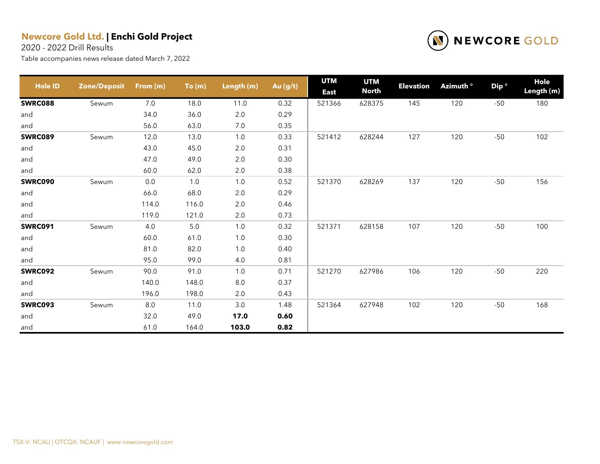2020 - 2022 Drill Results



| <b>Hole ID</b> | <b>Zone/Deposit</b> | From (m) | To(m)   | Length (m) | Au (g/t) | <b>UTM</b><br><b>East</b> | <b>UTM</b><br><b>North</b> | <b>Elevation</b> | Azimuth <sup>o</sup> | Dip <sup>o</sup> | Hole<br>Length (m) |
|----------------|---------------------|----------|---------|------------|----------|---------------------------|----------------------------|------------------|----------------------|------------------|--------------------|
| <b>SWRC088</b> | Sewum               | 7.0      | 18.0    | 11.0       | 0.32     | 521366                    | 628375                     | 145              | 120                  | $-50$            | 180                |
| and            |                     | 34.0     | 36.0    | 2.0        | 0.29     |                           |                            |                  |                      |                  |                    |
| and            |                     | 56.0     | 63.0    | 7.0        | 0.35     |                           |                            |                  |                      |                  |                    |
| <b>SWRC089</b> | Sewum               | 12.0     | 13.0    | 1.0        | 0.33     | 521412                    | 628244                     | 127              | 120                  | $-50$            | 102                |
| and            |                     | 43.0     | 45.0    | 2.0        | 0.31     |                           |                            |                  |                      |                  |                    |
| and            |                     | 47.0     | 49.0    | $2.0\,$    | 0.30     |                           |                            |                  |                      |                  |                    |
| and            |                     | 60.0     | 62.0    | 2.0        | 0.38     |                           |                            |                  |                      |                  |                    |
| <b>SWRC090</b> | Sewum               | 0.0      | 1.0     | 1.0        | 0.52     | 521370                    | 628269                     | 137              | 120                  | $-50$            | 156                |
| and            |                     | 66.0     | 68.0    | $2.0\,$    | 0.29     |                           |                            |                  |                      |                  |                    |
| and            |                     | 114.0    | 116.0   | $2.0\,$    | 0.46     |                           |                            |                  |                      |                  |                    |
| and            |                     | 119.0    | 121.0   | 2.0        | 0.73     |                           |                            |                  |                      |                  |                    |
| <b>SWRC091</b> | Sewum               | 4.0      | $5.0\,$ | 1.0        | 0.32     | 521371                    | 628158                     | 107              | 120                  | $-50$            | 100                |
| and            |                     | 60.0     | 61.0    | 1.0        | 0.30     |                           |                            |                  |                      |                  |                    |
| and            |                     | 81.0     | 82.0    | $1.0$      | 0.40     |                           |                            |                  |                      |                  |                    |
| and            |                     | 95.0     | 99.0    | 4.0        | 0.81     |                           |                            |                  |                      |                  |                    |
| <b>SWRC092</b> | Sewum               | 90.0     | 91.0    | 1.0        | 0.71     | 521270                    | 627986                     | 106              | 120                  | $-50$            | 220                |
| and            |                     | 140.0    | 148.0   | $8.0\,$    | 0.37     |                           |                            |                  |                      |                  |                    |
| and            |                     | 196.0    | 198.0   | 2.0        | 0.43     |                           |                            |                  |                      |                  |                    |
| SWRC093        | Sewum               | 8.0      | 11.0    | 3.0        | 1.48     | 521364                    | 627948                     | 102              | 120                  | $-50$            | 168                |
| and            |                     | 32.0     | 49.0    | 17.0       | 0.60     |                           |                            |                  |                      |                  |                    |
| and            |                     | 61.0     | 164.0   | 103.0      | 0.82     |                           |                            |                  |                      |                  |                    |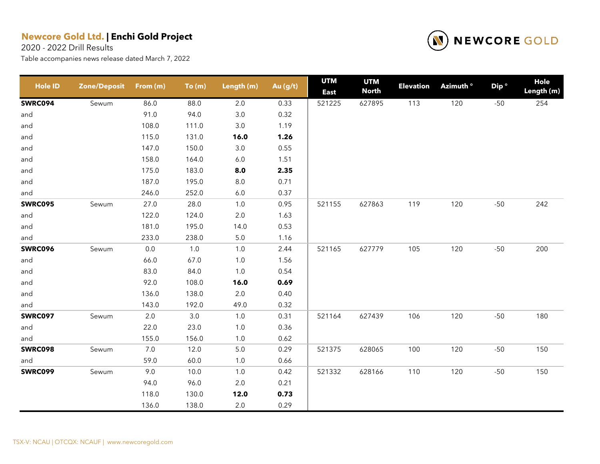2020 - 2022 Drill Results



| <b>Hole ID</b> | <b>Zone/Deposit</b> | From (m) | To(m)   | Length (m) | Au (g/t) | <b>UTM</b><br><b>East</b> | <b>UTM</b><br><b>North</b> | <b>Elevation</b> | Azimuth <sup>o</sup> | Dip <sup>o</sup> | <b>Hole</b><br>Length (m) |
|----------------|---------------------|----------|---------|------------|----------|---------------------------|----------------------------|------------------|----------------------|------------------|---------------------------|
| <b>SWRC094</b> | Sewum               | 86.0     | 88.0    | 2.0        | 0.33     | 521225                    | 627895                     | 113              | 120                  | $-50$            | 254                       |
| and            |                     | 91.0     | 94.0    | $3.0\,$    | 0.32     |                           |                            |                  |                      |                  |                           |
| and            |                     | 108.0    | 111.0   | $3.0\,$    | 1.19     |                           |                            |                  |                      |                  |                           |
| and            |                     | 115.0    | 131.0   | 16.0       | 1.26     |                           |                            |                  |                      |                  |                           |
| and            |                     | 147.0    | 150.0   | $3.0\,$    | 0.55     |                           |                            |                  |                      |                  |                           |
| and            |                     | 158.0    | 164.0   | $6.0\,$    | 1.51     |                           |                            |                  |                      |                  |                           |
| and            |                     | 175.0    | 183.0   | 8.0        | 2.35     |                           |                            |                  |                      |                  |                           |
| and            |                     | 187.0    | 195.0   | $8.0\,$    | 0.71     |                           |                            |                  |                      |                  |                           |
| and            |                     | 246.0    | 252.0   | $6.0\,$    | 0.37     |                           |                            |                  |                      |                  |                           |
| <b>SWRC095</b> | Sewum               | 27.0     | 28.0    | $1.0$      | 0.95     | 521155                    | 627863                     | 119              | 120                  | $-50$            | 242                       |
| and            |                     | 122.0    | 124.0   | $2.0\,$    | 1.63     |                           |                            |                  |                      |                  |                           |
| and            |                     | 181.0    | 195.0   | 14.0       | 0.53     |                           |                            |                  |                      |                  |                           |
| and            |                     | 233.0    | 238.0   | $5.0\,$    | 1.16     |                           |                            |                  |                      |                  |                           |
| <b>SWRC096</b> | Sewum               | $0.0\,$  | $1.0$   | $1.0$      | 2.44     | 521165                    | 627779                     | 105              | 120                  | $-50$            | 200                       |
| and            |                     | 66.0     | 67.0    | $1.0$      | 1.56     |                           |                            |                  |                      |                  |                           |
| and            |                     | 83.0     | 84.0    | $1.0$      | 0.54     |                           |                            |                  |                      |                  |                           |
| and            |                     | 92.0     | 108.0   | 16.0       | 0.69     |                           |                            |                  |                      |                  |                           |
| and            |                     | 136.0    | 138.0   | $2.0\,$    | 0.40     |                           |                            |                  |                      |                  |                           |
| and            |                     | 143.0    | 192.0   | 49.0       | 0.32     |                           |                            |                  |                      |                  |                           |
| <b>SWRC097</b> | Sewum               | $2.0\,$  | $3.0\,$ | $1.0$      | 0.31     | 521164                    | 627439                     | 106              | 120                  | $-50$            | 180                       |
| and            |                     | 22.0     | 23.0    | $1.0$      | 0.36     |                           |                            |                  |                      |                  |                           |
| and            |                     | 155.0    | 156.0   | $1.0$      | 0.62     |                           |                            |                  |                      |                  |                           |
| <b>SWRC098</b> | Sewum               | $7.0\,$  | 12.0    | $5.0\,$    | 0.29     | 521375                    | 628065                     | 100              | 120                  | $-50$            | 150                       |
| and            |                     | 59.0     | 60.0    | $1.0$      | 0.66     |                           |                            |                  |                      |                  |                           |
| <b>SWRC099</b> | Sewum               | 9.0      | 10.0    | $1.0$      | 0.42     | 521332                    | 628166                     | 110              | 120                  | $-50$            | 150                       |
|                |                     | 94.0     | 96.0    | 2.0        | 0.21     |                           |                            |                  |                      |                  |                           |
|                |                     | 118.0    | 130.0   | 12.0       | 0.73     |                           |                            |                  |                      |                  |                           |
|                |                     | 136.0    | 138.0   | $2.0\,$    | 0.29     |                           |                            |                  |                      |                  |                           |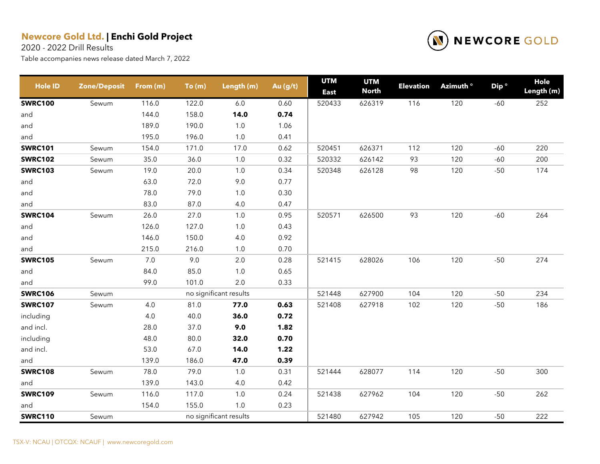2020 - 2022 Drill Results



| <b>Hole ID</b> | <b>Zone/Deposit</b> | From (m) | To(m) | Length (m)             | Au (g/t) | <b>UTM</b><br><b>East</b> | <b>UTM</b><br><b>North</b> | <b>Elevation</b> | Azimuth <sup>o</sup> | Dip <sup>o</sup> | Hole<br>Length (m) |
|----------------|---------------------|----------|-------|------------------------|----------|---------------------------|----------------------------|------------------|----------------------|------------------|--------------------|
| <b>SWRC100</b> | Sewum               | 116.0    | 122.0 | 6.0                    | 0.60     | 520433                    | 626319                     | 116              | 120                  | $-60$            | 252                |
| and            |                     | 144.0    | 158.0 | 14.0                   | 0.74     |                           |                            |                  |                      |                  |                    |
| and            |                     | 189.0    | 190.0 | $1.0$                  | 1.06     |                           |                            |                  |                      |                  |                    |
| and            |                     | 195.0    | 196.0 | $1.0\,$                | 0.41     |                           |                            |                  |                      |                  |                    |
| <b>SWRC101</b> | Sewum               | 154.0    | 171.0 | 17.0                   | 0.62     | 520451                    | 626371                     | 112              | 120                  | $-60$            | 220                |
| <b>SWRC102</b> | Sewum               | 35.0     | 36.0  | $1.0$                  | 0.32     | 520332                    | 626142                     | 93               | 120                  | $-60$            | 200                |
| <b>SWRC103</b> | Sewum               | 19.0     | 20.0  | 1.0                    | 0.34     | 520348                    | 626128                     | 98               | 120                  | $-50$            | 174                |
| and            |                     | 63.0     | 72.0  | 9.0                    | 0.77     |                           |                            |                  |                      |                  |                    |
| and            |                     | 78.0     | 79.0  | 1.0                    | 0.30     |                           |                            |                  |                      |                  |                    |
| and            |                     | 83.0     | 87.0  | 4.0                    | 0.47     |                           |                            |                  |                      |                  |                    |
| <b>SWRC104</b> | Sewum               | 26.0     | 27.0  | 1.0                    | 0.95     | 520571                    | 626500                     | 93               | 120                  | $-60$            | 264                |
| and            |                     | 126.0    | 127.0 | $1.0\,$                | 0.43     |                           |                            |                  |                      |                  |                    |
| and            |                     | 146.0    | 150.0 | 4.0                    | 0.92     |                           |                            |                  |                      |                  |                    |
| and            |                     | 215.0    | 216.0 | $1.0\,$                | 0.70     |                           |                            |                  |                      |                  |                    |
| <b>SWRC105</b> | Sewum               | $7.0$    | 9.0   | 2.0                    | 0.28     | 521415                    | 628026                     | 106              | 120                  | $-50$            | 274                |
| and            |                     | 84.0     | 85.0  | $1.0\,$                | 0.65     |                           |                            |                  |                      |                  |                    |
| and            |                     | 99.0     | 101.0 | 2.0                    | 0.33     |                           |                            |                  |                      |                  |                    |
| <b>SWRC106</b> | Sewum               |          |       | no significant results |          | 521448                    | 627900                     | 104              | 120                  | $-50$            | 234                |
| <b>SWRC107</b> | Sewum               | 4.0      | 81.0  | 77.0                   | 0.63     | 521408                    | 627918                     | 102              | 120                  | $-50$            | 186                |
| including      |                     | 4.0      | 40.0  | 36.0                   | 0.72     |                           |                            |                  |                      |                  |                    |
| and incl.      |                     | 28.0     | 37.0  | 9.0                    | 1.82     |                           |                            |                  |                      |                  |                    |
| including      |                     | 48.0     | 80.0  | 32.0                   | 0.70     |                           |                            |                  |                      |                  |                    |
| and incl.      |                     | 53.0     | 67.0  | 14.0                   | 1.22     |                           |                            |                  |                      |                  |                    |
| and            |                     | 139.0    | 186.0 | 47.0                   | 0.39     |                           |                            |                  |                      |                  |                    |
| <b>SWRC108</b> | Sewum               | 78.0     | 79.0  | 1.0                    | 0.31     | 521444                    | 628077                     | 114              | 120                  | $-50$            | 300                |
| and            |                     | 139.0    | 143.0 | 4.0                    | 0.42     |                           |                            |                  |                      |                  |                    |
| <b>SWRC109</b> | Sewum               | 116.0    | 117.0 | 1.0                    | 0.24     | 521438                    | 627962                     | 104              | 120                  | $-50$            | 262                |
| and            |                     | 154.0    | 155.0 | 1.0                    | 0.23     |                           |                            |                  |                      |                  |                    |
| <b>SWRC110</b> | Sewum               |          |       | no significant results |          | 521480                    | 627942                     | 105              | 120                  | $-50$            | 222                |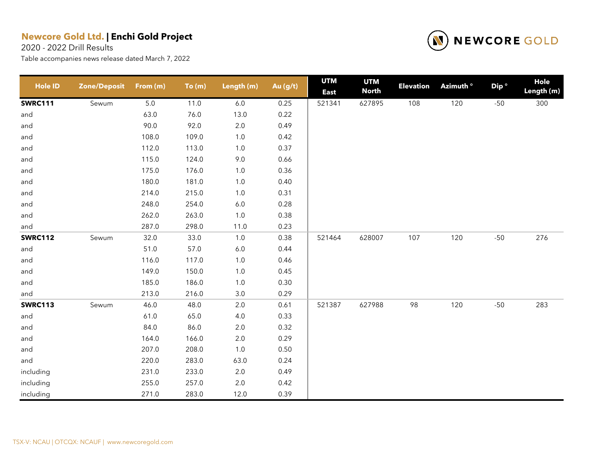2020 - 2022 Drill Results



| <b>Hole ID</b> | <b>Zone/Deposit</b> | From (m) | To(m) | Length (m) | Au (g/t) | <b>UTM</b><br><b>East</b> | <b>UTM</b><br><b>North</b> | <b>Elevation</b> | Azimuth <sup>o</sup> | Dip <sup>o</sup> | Hole<br>Length (m) |
|----------------|---------------------|----------|-------|------------|----------|---------------------------|----------------------------|------------------|----------------------|------------------|--------------------|
| <b>SWRC111</b> | Sewum               | 5.0      | 11.0  | $6.0\,$    | 0.25     | 521341                    | 627895                     | 108              | 120                  | $-50$            | 300                |
| and            |                     | 63.0     | 76.0  | 13.0       | 0.22     |                           |                            |                  |                      |                  |                    |
| and            |                     | 90.0     | 92.0  | $2.0\,$    | 0.49     |                           |                            |                  |                      |                  |                    |
| and            |                     | 108.0    | 109.0 | $1.0$      | 0.42     |                           |                            |                  |                      |                  |                    |
| and            |                     | 112.0    | 113.0 | $1.0\,$    | 0.37     |                           |                            |                  |                      |                  |                    |
| and            |                     | 115.0    | 124.0 | $9.0\,$    | 0.66     |                           |                            |                  |                      |                  |                    |
| and            |                     | 175.0    | 176.0 | $1.0$      | 0.36     |                           |                            |                  |                      |                  |                    |
| and            |                     | 180.0    | 181.0 | $1.0\,$    | 0.40     |                           |                            |                  |                      |                  |                    |
| and            |                     | 214.0    | 215.0 | $1.0\,$    | 0.31     |                           |                            |                  |                      |                  |                    |
| and            |                     | 248.0    | 254.0 | $6.0\,$    | 0.28     |                           |                            |                  |                      |                  |                    |
| and            |                     | 262.0    | 263.0 | $1.0\,$    | 0.38     |                           |                            |                  |                      |                  |                    |
| and            |                     | 287.0    | 298.0 | 11.0       | 0.23     |                           |                            |                  |                      |                  |                    |
| <b>SWRC112</b> | Sewum               | 32.0     | 33.0  | $1.0$      | 0.38     | 521464                    | 628007                     | 107              | 120                  | $-50$            | 276                |
| and            |                     | 51.0     | 57.0  | $6.0\,$    | 0.44     |                           |                            |                  |                      |                  |                    |
| and            |                     | 116.0    | 117.0 | $1.0\,$    | 0.46     |                           |                            |                  |                      |                  |                    |
| and            |                     | 149.0    | 150.0 | $1.0$      | 0.45     |                           |                            |                  |                      |                  |                    |
| and            |                     | 185.0    | 186.0 | 1.0        | 0.30     |                           |                            |                  |                      |                  |                    |
| and            |                     | 213.0    | 216.0 | 3.0        | 0.29     |                           |                            |                  |                      |                  |                    |
| <b>SWRC113</b> | Sewum               | 46.0     | 48.0  | 2.0        | 0.61     | 521387                    | 627988                     | 98               | 120                  | $-50$            | 283                |
| and            |                     | 61.0     | 65.0  | $4.0\,$    | 0.33     |                           |                            |                  |                      |                  |                    |
| and            |                     | 84.0     | 86.0  | $2.0\,$    | 0.32     |                           |                            |                  |                      |                  |                    |
| and            |                     | 164.0    | 166.0 | $2.0\,$    | 0.29     |                           |                            |                  |                      |                  |                    |
| and            |                     | 207.0    | 208.0 | $1.0\,$    | 0.50     |                           |                            |                  |                      |                  |                    |
| and            |                     | 220.0    | 283.0 | 63.0       | 0.24     |                           |                            |                  |                      |                  |                    |
| including      |                     | 231.0    | 233.0 | $2.0\,$    | 0.49     |                           |                            |                  |                      |                  |                    |
| including      |                     | 255.0    | 257.0 | 2.0        | 0.42     |                           |                            |                  |                      |                  |                    |
| including      |                     | 271.0    | 283.0 | 12.0       | 0.39     |                           |                            |                  |                      |                  |                    |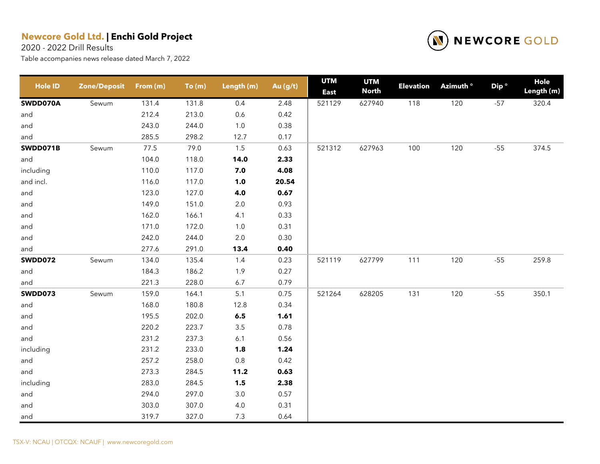2020 - 2022 Drill Results



| <b>Hole ID</b> | <b>Zone/Deposit</b> | From (m) | To(m) | Length (m)         | Au (g/t) | <b>UTM</b><br><b>East</b> | <b>UTM</b><br><b>North</b> | <b>Elevation</b> | Azimuth <sup>o</sup> | Dip <sup>o</sup> | Hole<br>Length (m) |
|----------------|---------------------|----------|-------|--------------------|----------|---------------------------|----------------------------|------------------|----------------------|------------------|--------------------|
| SWDD070A       | Sewum               | 131.4    | 131.8 | 0.4                | 2.48     | 521129                    | 627940                     | 118              | 120                  | $-57$            | 320.4              |
| and            |                     | 212.4    | 213.0 | 0.6                | 0.42     |                           |                            |                  |                      |                  |                    |
| and            |                     | 243.0    | 244.0 | $1.0\,$            | 0.38     |                           |                            |                  |                      |                  |                    |
| and            |                     | 285.5    | 298.2 | 12.7               | 0.17     |                           |                            |                  |                      |                  |                    |
| SWDD071B       | Sewum               | 77.5     | 79.0  | $1.5$              | 0.63     | 521312                    | 627963                     | 100              | 120                  | $-55$            | 374.5              |
| and            |                     | 104.0    | 118.0 | 14.0               | 2.33     |                           |                            |                  |                      |                  |                    |
| including      |                     | 110.0    | 117.0 | 7.0                | 4.08     |                           |                            |                  |                      |                  |                    |
| and incl.      |                     | 116.0    | 117.0 | $1.0$              | 20.54    |                           |                            |                  |                      |                  |                    |
| and            |                     | 123.0    | 127.0 | 4.0                | 0.67     |                           |                            |                  |                      |                  |                    |
| and            |                     | 149.0    | 151.0 | $2.0\,$            | 0.93     |                           |                            |                  |                      |                  |                    |
| and            |                     | 162.0    | 166.1 | 4.1                | 0.33     |                           |                            |                  |                      |                  |                    |
| and            |                     | 171.0    | 172.0 | $1.0$              | 0.31     |                           |                            |                  |                      |                  |                    |
| and            |                     | 242.0    | 244.0 | $2.0\,$            | 0.30     |                           |                            |                  |                      |                  |                    |
| and            |                     | 277.6    | 291.0 | 13.4               | 0.40     |                           |                            |                  |                      |                  |                    |
| <b>SWDD072</b> | Sewum               | 134.0    | 135.4 | 1.4                | 0.23     | 521119                    | 627799                     | 111              | 120                  | $-55$            | 259.8              |
| and            |                     | 184.3    | 186.2 | 1.9                | 0.27     |                           |                            |                  |                      |                  |                    |
| and            |                     | 221.3    | 228.0 | 6.7                | 0.79     |                           |                            |                  |                      |                  |                    |
| <b>SWDD073</b> | Sewum               | 159.0    | 164.1 | 5.1                | 0.75     | 521264                    | 628205                     | 131              | 120                  | $-55$            | 350.1              |
| and            |                     | 168.0    | 180.8 | 12.8               | 0.34     |                           |                            |                  |                      |                  |                    |
| and            |                     | 195.5    | 202.0 | $\boldsymbol{6.5}$ | 1.61     |                           |                            |                  |                      |                  |                    |
| and            |                     | 220.2    | 223.7 | $3.5\,$            | 0.78     |                           |                            |                  |                      |                  |                    |
| and            |                     | 231.2    | 237.3 | 6.1                | 0.56     |                           |                            |                  |                      |                  |                    |
| including      |                     | 231.2    | 233.0 | 1.8                | 1.24     |                           |                            |                  |                      |                  |                    |
| and            |                     | 257.2    | 258.0 | $0.8\,$            | 0.42     |                           |                            |                  |                      |                  |                    |
| and            |                     | 273.3    | 284.5 | 11.2               | 0.63     |                           |                            |                  |                      |                  |                    |
| including      |                     | 283.0    | 284.5 | 1.5                | 2.38     |                           |                            |                  |                      |                  |                    |
| and            |                     | 294.0    | 297.0 | $3.0\,$            | 0.57     |                           |                            |                  |                      |                  |                    |
| and            |                     | 303.0    | 307.0 | $4.0\,$            | 0.31     |                           |                            |                  |                      |                  |                    |
| and            |                     | 319.7    | 327.0 | 7.3                | 0.64     |                           |                            |                  |                      |                  |                    |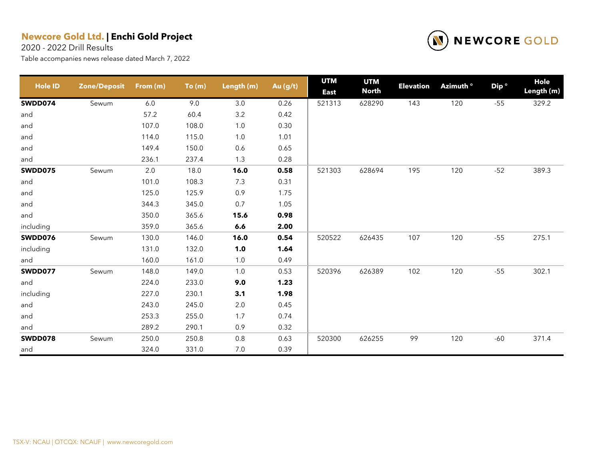2020 - 2022 Drill Results



| <b>Hole ID</b> | <b>Zone/Deposit</b> | From (m) | To(m) | Length (m) | Au (g/t) | <b>UTM</b><br><b>East</b> | <b>UTM</b><br><b>North</b> | <b>Elevation</b> | Azimuth <sup>o</sup> | Dip <sup>o</sup> | Hole<br>Length (m) |
|----------------|---------------------|----------|-------|------------|----------|---------------------------|----------------------------|------------------|----------------------|------------------|--------------------|
| SWDD074        | Sewum               | 6.0      | 9.0   | 3.0        | 0.26     | 521313                    | 628290                     | 143              | 120                  | $-55$            | 329.2              |
| and            |                     | 57.2     | 60.4  | $3.2\,$    | 0.42     |                           |                            |                  |                      |                  |                    |
| and            |                     | 107.0    | 108.0 | $1.0$      | 0.30     |                           |                            |                  |                      |                  |                    |
| and            |                     | 114.0    | 115.0 | 1.0        | 1.01     |                           |                            |                  |                      |                  |                    |
| and            |                     | 149.4    | 150.0 | 0.6        | 0.65     |                           |                            |                  |                      |                  |                    |
| and            |                     | 236.1    | 237.4 | 1.3        | 0.28     |                           |                            |                  |                      |                  |                    |
| <b>SWDD075</b> | Sewum               | 2.0      | 18.0  | 16.0       | 0.58     | 521303                    | 628694                     | 195              | 120                  | $-52$            | 389.3              |
| and            |                     | 101.0    | 108.3 | 7.3        | 0.31     |                           |                            |                  |                      |                  |                    |
| and            |                     | 125.0    | 125.9 | 0.9        | 1.75     |                           |                            |                  |                      |                  |                    |
| and            |                     | 344.3    | 345.0 | 0.7        | 1.05     |                           |                            |                  |                      |                  |                    |
| and            |                     | 350.0    | 365.6 | 15.6       | 0.98     |                           |                            |                  |                      |                  |                    |
| including      |                     | 359.0    | 365.6 | 6.6        | 2.00     |                           |                            |                  |                      |                  |                    |
| SWDD076        | Sewum               | 130.0    | 146.0 | 16.0       | 0.54     | 520522                    | 626435                     | 107              | 120                  | $-55$            | 275.1              |
| including      |                     | 131.0    | 132.0 | 1.0        | 1.64     |                           |                            |                  |                      |                  |                    |
| and            |                     | 160.0    | 161.0 | $1.0$      | 0.49     |                           |                            |                  |                      |                  |                    |
| SWDD077        | Sewum               | 148.0    | 149.0 | 1.0        | 0.53     | 520396                    | 626389                     | 102              | 120                  | $-55$            | 302.1              |
| and            |                     | 224.0    | 233.0 | 9.0        | 1.23     |                           |                            |                  |                      |                  |                    |
| including      |                     | 227.0    | 230.1 | 3.1        | 1.98     |                           |                            |                  |                      |                  |                    |
| and            |                     | 243.0    | 245.0 | 2.0        | 0.45     |                           |                            |                  |                      |                  |                    |
| and            |                     | 253.3    | 255.0 | 1.7        | 0.74     |                           |                            |                  |                      |                  |                    |
| and            |                     | 289.2    | 290.1 | 0.9        | 0.32     |                           |                            |                  |                      |                  |                    |
| SWDD078        | Sewum               | 250.0    | 250.8 | 0.8        | 0.63     | 520300                    | 626255                     | 99               | 120                  | $-60$            | 371.4              |
| and            |                     | 324.0    | 331.0 | 7.0        | 0.39     |                           |                            |                  |                      |                  |                    |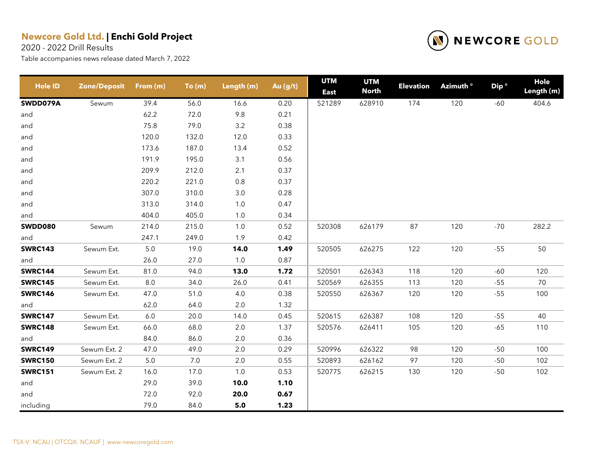2020 - 2022 Drill Results



| <b>Hole ID</b> | <b>Zone/Deposit</b> | From (m) | To(m) | Length (m) | Au (g/t) | <b>UTM</b><br><b>East</b> | <b>UTM</b><br><b>North</b> | <b>Elevation</b> | Azimuth ° | Dip <sup>o</sup> | Hole<br>Length (m) |
|----------------|---------------------|----------|-------|------------|----------|---------------------------|----------------------------|------------------|-----------|------------------|--------------------|
| SWDD079A       | Sewum               | 39.4     | 56.0  | 16.6       | 0.20     | 521289                    | 628910                     | 174              | 120       | $-60$            | 404.6              |
| and            |                     | 62.2     | 72.0  | 9.8        | 0.21     |                           |                            |                  |           |                  |                    |
| and            |                     | 75.8     | 79.0  | 3.2        | 0.38     |                           |                            |                  |           |                  |                    |
| and            |                     | 120.0    | 132.0 | 12.0       | 0.33     |                           |                            |                  |           |                  |                    |
| and            |                     | 173.6    | 187.0 | 13.4       | 0.52     |                           |                            |                  |           |                  |                    |
| and            |                     | 191.9    | 195.0 | 3.1        | 0.56     |                           |                            |                  |           |                  |                    |
| and            |                     | 209.9    | 212.0 | 2.1        | 0.37     |                           |                            |                  |           |                  |                    |
| and            |                     | 220.2    | 221.0 | 0.8        | 0.37     |                           |                            |                  |           |                  |                    |
| and            |                     | 307.0    | 310.0 | $3.0\,$    | 0.28     |                           |                            |                  |           |                  |                    |
| and            |                     | 313.0    | 314.0 | $1.0$      | 0.47     |                           |                            |                  |           |                  |                    |
| and            |                     | 404.0    | 405.0 | 1.0        | 0.34     |                           |                            |                  |           |                  |                    |
| <b>SWDD080</b> | Sewum               | 214.0    | 215.0 | $1.0$      | 0.52     | 520308                    | 626179                     | 87               | 120       | $-70$            | 282.2              |
| and            |                     | 247.1    | 249.0 | 1.9        | 0.42     |                           |                            |                  |           |                  |                    |
| <b>SWRC143</b> | Sewum Ext.          | 5.0      | 19.0  | 14.0       | 1.49     | 520505                    | 626275                     | 122              | 120       | $-55$            | 50                 |
| and            |                     | 26.0     | 27.0  | 1.0        | 0.87     |                           |                            |                  |           |                  |                    |
| <b>SWRC144</b> | Sewum Ext.          | 81.0     | 94.0  | 13.0       | 1.72     | 520501                    | 626343                     | 118              | 120       | $-60$            | 120                |
| <b>SWRC145</b> | Sewum Ext.          | 8.0      | 34.0  | 26.0       | 0.41     | 520569                    | 626355                     | 113              | 120       | $-55$            | 70                 |
| <b>SWRC146</b> | Sewum Ext.          | 47.0     | 51.0  | 4.0        | 0.38     | 520550                    | 626367                     | 120              | 120       | $-55$            | 100                |
| and            |                     | 62.0     | 64.0  | 2.0        | 1.32     |                           |                            |                  |           |                  |                    |
| <b>SWRC147</b> | Sewum Ext.          | 6.0      | 20.0  | 14.0       | 0.45     | 520615                    | 626387                     | 108              | 120       | $-55$            | 40                 |
| <b>SWRC148</b> | Sewum Ext.          | 66.0     | 68.0  | $2.0\,$    | 1.37     | 520576                    | 626411                     | 105              | 120       | $-65$            | 110                |
| and            |                     | 84.0     | 86.0  | 2.0        | 0.36     |                           |                            |                  |           |                  |                    |
| <b>SWRC149</b> | Sewum Ext. 2        | 47.0     | 49.0  | 2.0        | 0.29     | 520996                    | 626322                     | 98               | 120       | $-50$            | 100                |
| <b>SWRC150</b> | Sewum Ext. 2        | 5.0      | 7.0   | 2.0        | 0.55     | 520893                    | 626162                     | 97               | 120       | $-50$            | 102                |
| <b>SWRC151</b> | Sewum Ext. 2        | 16.0     | 17.0  | $1.0$      | 0.53     | 520775                    | 626215                     | 130              | 120       | $-50$            | 102                |
| and            |                     | 29.0     | 39.0  | 10.0       | 1.10     |                           |                            |                  |           |                  |                    |
| and            |                     | 72.0     | 92.0  | 20.0       | 0.67     |                           |                            |                  |           |                  |                    |
| including      |                     | 79.0     | 84.0  | 5.0        | 1.23     |                           |                            |                  |           |                  |                    |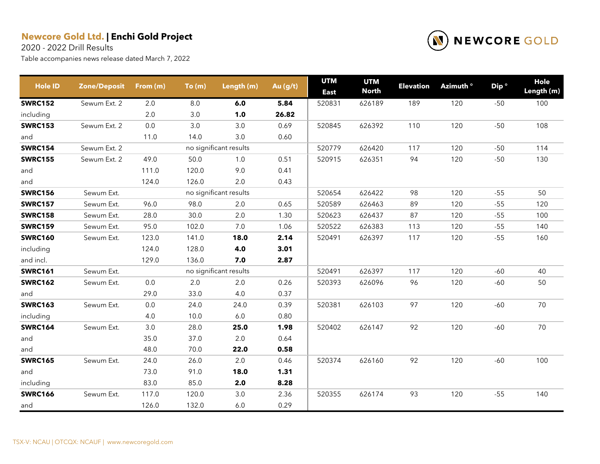2020 - 2022 Drill Results



| <b>Hole ID</b> | <b>Zone/Deposit</b> | From (m) | To(m) | Length (m)             | Au (g/t) | <b>UTM</b><br><b>East</b> | <b>UTM</b><br><b>North</b> | <b>Elevation</b> | Azimuth <sup>o</sup> | Dip <sup>o</sup> | Hole<br>Length (m) |
|----------------|---------------------|----------|-------|------------------------|----------|---------------------------|----------------------------|------------------|----------------------|------------------|--------------------|
| <b>SWRC152</b> | Sewum Ext. 2        | 2.0      | 8.0   | 6.0                    | 5.84     | 520831                    | 626189                     | 189              | 120                  | $-50$            | 100                |
| including      |                     | 2.0      | 3.0   | 1.0                    | 26.82    |                           |                            |                  |                      |                  |                    |
| <b>SWRC153</b> | Sewum Ext. 2        | 0.0      | 3.0   | 3.0                    | 0.69     | 520845                    | 626392                     | 110              | 120                  | $-50$            | 108                |
| and            |                     | 11.0     | 14.0  | 3.0                    | 0.60     |                           |                            |                  |                      |                  |                    |
| <b>SWRC154</b> | Sewum Ext. 2        |          |       | no significant results |          | 520779                    | 626420                     | 117              | 120                  | $-50$            | 114                |
| <b>SWRC155</b> | Sewum Ext. 2        | 49.0     | 50.0  | 1.0                    | 0.51     | 520915                    | 626351                     | 94               | 120                  | $-50$            | 130                |
| and            |                     | 111.0    | 120.0 | 9.0                    | 0.41     |                           |                            |                  |                      |                  |                    |
| and            |                     | 124.0    | 126.0 | 2.0                    | 0.43     |                           |                            |                  |                      |                  |                    |
| <b>SWRC156</b> | Sewum Ext.          |          |       | no significant results |          | 520654                    | 626422                     | 98               | 120                  | $-55$            | 50                 |
| <b>SWRC157</b> | Sewum Ext.          | 96.0     | 98.0  | 2.0                    | 0.65     | 520589                    | 626463                     | 89               | 120                  | $-55$            | 120                |
| <b>SWRC158</b> | Sewum Ext.          | 28.0     | 30.0  | 2.0                    | 1.30     | 520623                    | 626437                     | 87               | 120                  | $-55$            | 100                |
| <b>SWRC159</b> | Sewum Ext.          | 95.0     | 102.0 | $7.0$                  | 1.06     | 520522                    | 626383                     | 113              | 120                  | $-55$            | 140                |
| <b>SWRC160</b> | Sewum Ext.          | 123.0    | 141.0 | 18.0                   | 2.14     | 520491                    | 626397                     | 117              | 120                  | $-55$            | 160                |
| including      |                     | 124.0    | 128.0 | 4.0                    | 3.01     |                           |                            |                  |                      |                  |                    |
| and incl.      |                     | 129.0    | 136.0 | 7.0                    | 2.87     |                           |                            |                  |                      |                  |                    |
| <b>SWRC161</b> | Sewum Ext.          |          |       | no significant results |          | 520491                    | 626397                     | 117              | 120                  | $-60$            | 40                 |
| <b>SWRC162</b> | Sewum Ext.          | 0.0      | 2.0   | 2.0                    | 0.26     | 520393                    | 626096                     | 96               | 120                  | $-60$            | 50                 |
| and            |                     | 29.0     | 33.0  | 4.0                    | 0.37     |                           |                            |                  |                      |                  |                    |
| <b>SWRC163</b> | Sewum Ext.          | 0.0      | 24.0  | 24.0                   | 0.39     | 520381                    | 626103                     | 97               | 120                  | $-60$            | 70                 |
| including      |                     | 4.0      | 10.0  | 6.0                    | 0.80     |                           |                            |                  |                      |                  |                    |
| <b>SWRC164</b> | Sewum Ext.          | 3.0      | 28.0  | 25.0                   | 1.98     | 520402                    | 626147                     | 92               | 120                  | $-60$            | 70                 |
| and            |                     | 35.0     | 37.0  | $2.0\,$                | 0.64     |                           |                            |                  |                      |                  |                    |
| and            |                     | 48.0     | 70.0  | 22.0                   | 0.58     |                           |                            |                  |                      |                  |                    |
| <b>SWRC165</b> | Sewum Ext.          | 24.0     | 26.0  | 2.0                    | 0.46     | 520374                    | 626160                     | 92               | 120                  | $-60$            | 100                |
| and            |                     | 73.0     | 91.0  | 18.0                   | 1.31     |                           |                            |                  |                      |                  |                    |
| including      |                     | 83.0     | 85.0  | 2.0                    | 8.28     |                           |                            |                  |                      |                  |                    |
| <b>SWRC166</b> | Sewum Ext.          | 117.0    | 120.0 | 3.0                    | 2.36     | 520355                    | 626174                     | 93               | 120                  | $-55$            | 140                |
| and            |                     | 126.0    | 132.0 | 6.0                    | 0.29     |                           |                            |                  |                      |                  |                    |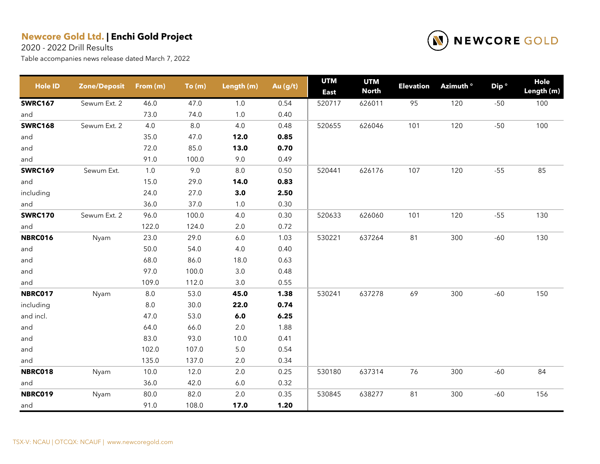2020 - 2022 Drill Results



| <b>Hole ID</b> | <b>Zone/Deposit</b> | From (m) | To(m)   | Length (m) | Au (g/t) | <b>UTM</b><br><b>East</b> | <b>UTM</b><br><b>North</b> | <b>Elevation</b> | Azimuth <sup>o</sup> | Dip <sup>o</sup> | Hole<br>Length (m) |
|----------------|---------------------|----------|---------|------------|----------|---------------------------|----------------------------|------------------|----------------------|------------------|--------------------|
| <b>SWRC167</b> | Sewum Ext. 2        | 46.0     | 47.0    | 1.0        | 0.54     | 520717                    | 626011                     | 95               | 120                  | $-50$            | 100                |
| and            |                     | 73.0     | 74.0    | 1.0        | 0.40     |                           |                            |                  |                      |                  |                    |
| <b>SWRC168</b> | Sewum Ext. 2        | 4.0      | $8.0\,$ | 4.0        | 0.48     | 520655                    | 626046                     | 101              | 120                  | $-50$            | 100                |
| and            |                     | 35.0     | 47.0    | 12.0       | 0.85     |                           |                            |                  |                      |                  |                    |
| and            |                     | 72.0     | 85.0    | 13.0       | 0.70     |                           |                            |                  |                      |                  |                    |
| and            |                     | 91.0     | 100.0   | 9.0        | 0.49     |                           |                            |                  |                      |                  |                    |
| <b>SWRC169</b> | Sewum Ext.          | 1.0      | 9.0     | $8.0\,$    | 0.50     | 520441                    | 626176                     | 107              | 120                  | $-55$            | 85                 |
| and            |                     | 15.0     | 29.0    | 14.0       | 0.83     |                           |                            |                  |                      |                  |                    |
| including      |                     | 24.0     | 27.0    | 3.0        | 2.50     |                           |                            |                  |                      |                  |                    |
| and            |                     | 36.0     | 37.0    | 1.0        | 0.30     |                           |                            |                  |                      |                  |                    |
| <b>SWRC170</b> | Sewum Ext. 2        | 96.0     | 100.0   | 4.0        | 0.30     | 520633                    | 626060                     | 101              | 120                  | $-55$            | 130                |
| and            |                     | 122.0    | 124.0   | $2.0\,$    | 0.72     |                           |                            |                  |                      |                  |                    |
| <b>NBRC016</b> | Nyam                | 23.0     | 29.0    | 6.0        | 1.03     | 530221                    | 637264                     | 81               | 300                  | $-60$            | 130                |
| and            |                     | 50.0     | 54.0    | 4.0        | 0.40     |                           |                            |                  |                      |                  |                    |
| and            |                     | 68.0     | 86.0    | 18.0       | 0.63     |                           |                            |                  |                      |                  |                    |
| and            |                     | 97.0     | 100.0   | $3.0\,$    | 0.48     |                           |                            |                  |                      |                  |                    |
| and            |                     | 109.0    | 112.0   | 3.0        | 0.55     |                           |                            |                  |                      |                  |                    |
| <b>NBRC017</b> | Nyam                | $8.0\,$  | 53.0    | 45.0       | 1.38     | 530241                    | 637278                     | 69               | 300                  | $-60$            | 150                |
| including      |                     | $8.0\,$  | 30.0    | 22.0       | 0.74     |                           |                            |                  |                      |                  |                    |
| and incl.      |                     | 47.0     | 53.0    | 6.0        | 6.25     |                           |                            |                  |                      |                  |                    |
| and            |                     | 64.0     | 66.0    | $2.0\,$    | 1.88     |                           |                            |                  |                      |                  |                    |
| and            |                     | 83.0     | 93.0    | 10.0       | 0.41     |                           |                            |                  |                      |                  |                    |
| and            |                     | 102.0    | 107.0   | $5.0\,$    | 0.54     |                           |                            |                  |                      |                  |                    |
| and            |                     | 135.0    | 137.0   | 2.0        | 0.34     |                           |                            |                  |                      |                  |                    |
| <b>NBRC018</b> | Nyam                | 10.0     | 12.0    | $2.0\,$    | 0.25     | 530180                    | 637314                     | 76               | 300                  | $-60$            | 84                 |
| and            |                     | 36.0     | 42.0    | $6.0\,$    | 0.32     |                           |                            |                  |                      |                  |                    |
| <b>NBRC019</b> | Nyam                | 80.0     | 82.0    | 2.0        | 0.35     | 530845                    | 638277                     | 81               | 300                  | $-60$            | 156                |
| and            |                     | 91.0     | 108.0   | 17.0       | 1.20     |                           |                            |                  |                      |                  |                    |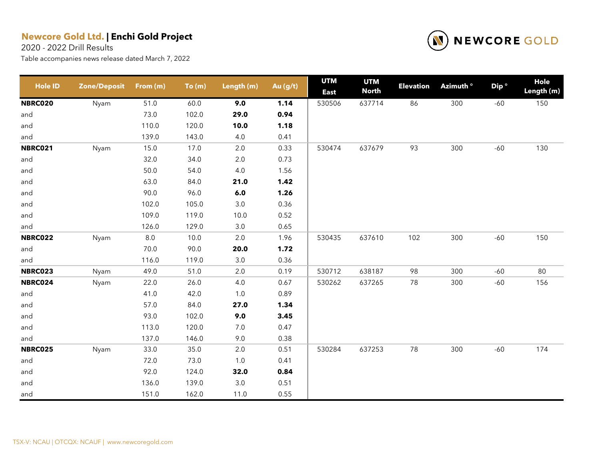2020 - 2022 Drill Results



| <b>Hole ID</b> | <b>Zone/Deposit</b> | From (m) | To(m) | Length (m) | Au (g/t) | <b>UTM</b><br><b>East</b> | <b>UTM</b><br><b>North</b> | <b>Elevation</b> | Azimuth <sup>o</sup> | Dip <sup>o</sup> | Hole<br>Length (m) |
|----------------|---------------------|----------|-------|------------|----------|---------------------------|----------------------------|------------------|----------------------|------------------|--------------------|
| <b>NBRC020</b> | Nyam                | 51.0     | 60.0  | 9.0        | 1.14     | 530506                    | 637714                     | 86               | 300                  | $-60$            | 150                |
| and            |                     | 73.0     | 102.0 | 29.0       | 0.94     |                           |                            |                  |                      |                  |                    |
| and            |                     | 110.0    | 120.0 | 10.0       | 1.18     |                           |                            |                  |                      |                  |                    |
| and            |                     | 139.0    | 143.0 | 4.0        | 0.41     |                           |                            |                  |                      |                  |                    |
| NBRC021        | Nyam                | 15.0     | 17.0  | $2.0\,$    | 0.33     | 530474                    | 637679                     | 93               | 300                  | $-60$            | 130                |
| and            |                     | 32.0     | 34.0  | 2.0        | 0.73     |                           |                            |                  |                      |                  |                    |
| and            |                     | 50.0     | 54.0  | 4.0        | 1.56     |                           |                            |                  |                      |                  |                    |
| and            |                     | 63.0     | 84.0  | 21.0       | 1.42     |                           |                            |                  |                      |                  |                    |
| and            |                     | 90.0     | 96.0  | 6.0        | 1.26     |                           |                            |                  |                      |                  |                    |
| and            |                     | 102.0    | 105.0 | $3.0\,$    | 0.36     |                           |                            |                  |                      |                  |                    |
| and            |                     | 109.0    | 119.0 | 10.0       | 0.52     |                           |                            |                  |                      |                  |                    |
| and            |                     | 126.0    | 129.0 | 3.0        | 0.65     |                           |                            |                  |                      |                  |                    |
| <b>NBRC022</b> | Nyam                | $8.0\,$  | 10.0  | 2.0        | 1.96     | 530435                    | 637610                     | 102              | 300                  | $-60$            | 150                |
| and            |                     | 70.0     | 90.0  | 20.0       | 1.72     |                           |                            |                  |                      |                  |                    |
| and            |                     | 116.0    | 119.0 | 3.0        | 0.36     |                           |                            |                  |                      |                  |                    |
| NBRC023        | Nyam                | 49.0     | 51.0  | 2.0        | 0.19     | 530712                    | 638187                     | 98               | 300                  | $-60$            | 80                 |
| NBRC024        | Nyam                | 22.0     | 26.0  | 4.0        | 0.67     | 530262                    | 637265                     | 78               | 300                  | $-60$            | 156                |
| and            |                     | 41.0     | 42.0  | 1.0        | 0.89     |                           |                            |                  |                      |                  |                    |
| and            |                     | 57.0     | 84.0  | 27.0       | 1.34     |                           |                            |                  |                      |                  |                    |
| and            |                     | 93.0     | 102.0 | 9.0        | 3.45     |                           |                            |                  |                      |                  |                    |
| and            |                     | 113.0    | 120.0 | 7.0        | 0.47     |                           |                            |                  |                      |                  |                    |
| and            |                     | 137.0    | 146.0 | 9.0        | 0.38     |                           |                            |                  |                      |                  |                    |
| <b>NBRC025</b> | Nyam                | 33.0     | 35.0  | 2.0        | 0.51     | 530284                    | 637253                     | 78               | 300                  | $-60$            | 174                |
| and            |                     | 72.0     | 73.0  | $1.0$      | 0.41     |                           |                            |                  |                      |                  |                    |
| and            |                     | 92.0     | 124.0 | 32.0       | 0.84     |                           |                            |                  |                      |                  |                    |
| and            |                     | 136.0    | 139.0 | 3.0        | 0.51     |                           |                            |                  |                      |                  |                    |
| and            |                     | 151.0    | 162.0 | 11.0       | 0.55     |                           |                            |                  |                      |                  |                    |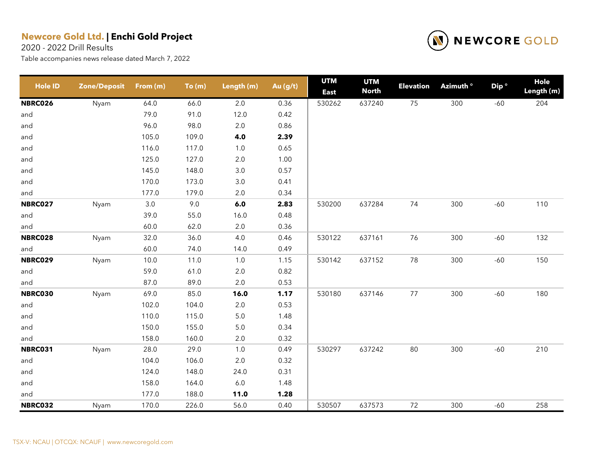2020 - 2022 Drill Results



| <b>Hole ID</b> | <b>Zone/Deposit</b> | From (m) | To(m) | Length (m) | Au (g/t) | <b>UTM</b><br><b>East</b> | <b>UTM</b><br><b>North</b> | <b>Elevation</b> | Azimuth <sup>o</sup> | Dip <sup>o</sup> | <b>Hole</b><br>Length (m) |
|----------------|---------------------|----------|-------|------------|----------|---------------------------|----------------------------|------------------|----------------------|------------------|---------------------------|
| <b>NBRC026</b> | Nyam                | 64.0     | 66.0  | 2.0        | 0.36     | 530262                    | 637240                     | 75               | 300                  | $-60$            | 204                       |
| and            |                     | 79.0     | 91.0  | 12.0       | 0.42     |                           |                            |                  |                      |                  |                           |
| and            |                     | 96.0     | 98.0  | $2.0\,$    | 0.86     |                           |                            |                  |                      |                  |                           |
| and            |                     | 105.0    | 109.0 | 4.0        | 2.39     |                           |                            |                  |                      |                  |                           |
| and            |                     | 116.0    | 117.0 | $1.0$      | 0.65     |                           |                            |                  |                      |                  |                           |
| and            |                     | 125.0    | 127.0 | $2.0\,$    | 1.00     |                           |                            |                  |                      |                  |                           |
| and            |                     | 145.0    | 148.0 | $3.0\,$    | 0.57     |                           |                            |                  |                      |                  |                           |
| and            |                     | 170.0    | 173.0 | 3.0        | 0.41     |                           |                            |                  |                      |                  |                           |
| and            |                     | 177.0    | 179.0 | $2.0\,$    | 0.34     |                           |                            |                  |                      |                  |                           |
| <b>NBRC027</b> | Nyam                | 3.0      | 9.0   | $6.0$      | 2.83     | 530200                    | 637284                     | 74               | 300                  | $-60$            | 110                       |
| and            |                     | 39.0     | 55.0  | 16.0       | 0.48     |                           |                            |                  |                      |                  |                           |
| and            |                     | 60.0     | 62.0  | $2.0\,$    | 0.36     |                           |                            |                  |                      |                  |                           |
| NBRC028        | Nyam                | 32.0     | 36.0  | 4.0        | 0.46     | 530122                    | 637161                     | 76               | 300                  | $-60$            | 132                       |
| and            |                     | 60.0     | 74.0  | 14.0       | 0.49     |                           |                            |                  |                      |                  |                           |
| <b>NBRC029</b> | Nyam                | 10.0     | 11.0  | $1.0$      | 1.15     | 530142                    | 637152                     | 78               | 300                  | $-60$            | 150                       |
| and            |                     | 59.0     | 61.0  | $2.0\,$    | 0.82     |                           |                            |                  |                      |                  |                           |
| and            |                     | 87.0     | 89.0  | $2.0\,$    | 0.53     |                           |                            |                  |                      |                  |                           |
| <b>NBRC030</b> | Nyam                | 69.0     | 85.0  | 16.0       | 1.17     | 530180                    | 637146                     | $77 \,$          | 300                  | $-60$            | 180                       |
| and            |                     | 102.0    | 104.0 | $2.0\,$    | 0.53     |                           |                            |                  |                      |                  |                           |
| and            |                     | 110.0    | 115.0 | $5.0\,$    | 1.48     |                           |                            |                  |                      |                  |                           |
| and            |                     | 150.0    | 155.0 | $5.0\,$    | 0.34     |                           |                            |                  |                      |                  |                           |
| and            |                     | 158.0    | 160.0 | 2.0        | 0.32     |                           |                            |                  |                      |                  |                           |
| <b>NBRC031</b> | Nyam                | 28.0     | 29.0  | $1.0$      | 0.49     | 530297                    | 637242                     | 80               | 300                  | $-60$            | 210                       |
| and            |                     | 104.0    | 106.0 | $2.0\,$    | 0.32     |                           |                            |                  |                      |                  |                           |
| and            |                     | 124.0    | 148.0 | 24.0       | 0.31     |                           |                            |                  |                      |                  |                           |
| and            |                     | 158.0    | 164.0 | $6.0\,$    | 1.48     |                           |                            |                  |                      |                  |                           |
| and            |                     | 177.0    | 188.0 | 11.0       | 1.28     |                           |                            |                  |                      |                  |                           |
| <b>NBRC032</b> | Nyam                | 170.0    | 226.0 | 56.0       | 0.40     | 530507                    | 637573                     | 72               | 300                  | $-60$            | 258                       |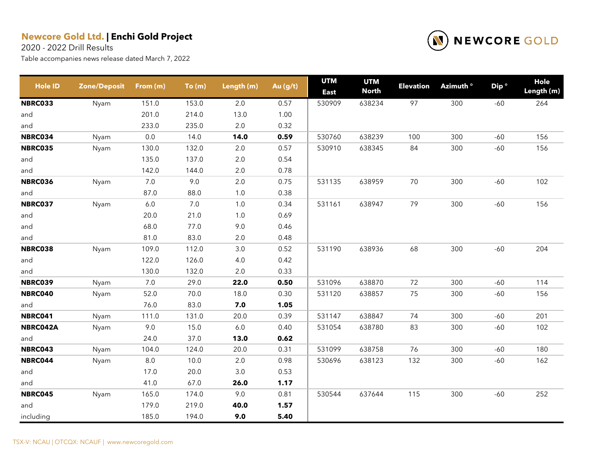2020 - 2022 Drill Results



| <b>Hole ID</b> | <b>Zone/Deposit</b> | From (m) | To(m) | Length (m) | Au (g/t) | <b>UTM</b><br><b>East</b> | <b>UTM</b><br><b>North</b> | <b>Elevation</b> | Azimuth <sup>o</sup> | Dip <sup>o</sup> | Hole<br>Length (m) |
|----------------|---------------------|----------|-------|------------|----------|---------------------------|----------------------------|------------------|----------------------|------------------|--------------------|
| NBRC033        | Nyam                | 151.0    | 153.0 | 2.0        | 0.57     | 530909                    | 638234                     | 97               | 300                  | $-60$            | 264                |
| and            |                     | 201.0    | 214.0 | 13.0       | 1.00     |                           |                            |                  |                      |                  |                    |
| and            |                     | 233.0    | 235.0 | 2.0        | 0.32     |                           |                            |                  |                      |                  |                    |
| NBRC034        | Nyam                | 0.0      | 14.0  | 14.0       | 0.59     | 530760                    | 638239                     | 100              | 300                  | $-60$            | 156                |
| <b>NBRC035</b> | Nyam                | 130.0    | 132.0 | 2.0        | 0.57     | 530910                    | 638345                     | 84               | 300                  | $-60$            | 156                |
| and            |                     | 135.0    | 137.0 | 2.0        | 0.54     |                           |                            |                  |                      |                  |                    |
| and            |                     | 142.0    | 144.0 | 2.0        | 0.78     |                           |                            |                  |                      |                  |                    |
| NBRC036        | Nyam                | 7.0      | 9.0   | $2.0\,$    | 0.75     | 531135                    | 638959                     | 70               | 300                  | $-60$            | 102                |
| and            |                     | 87.0     | 88.0  | 1.0        | 0.38     |                           |                            |                  |                      |                  |                    |
| NBRC037        | Nyam                | 6.0      | 7.0   | 1.0        | 0.34     | 531161                    | 638947                     | 79               | 300                  | $-60$            | 156                |
| and            |                     | 20.0     | 21.0  | $1.0$      | 0.69     |                           |                            |                  |                      |                  |                    |
| and            |                     | 68.0     | 77.0  | 9.0        | 0.46     |                           |                            |                  |                      |                  |                    |
| and            |                     | 81.0     | 83.0  | 2.0        | 0.48     |                           |                            |                  |                      |                  |                    |
| NBRC038        | Nyam                | 109.0    | 112.0 | 3.0        | 0.52     | 531190                    | 638936                     | 68               | 300                  | $-60$            | 204                |
| and            |                     | 122.0    | 126.0 | 4.0        | 0.42     |                           |                            |                  |                      |                  |                    |
| and            |                     | 130.0    | 132.0 | 2.0        | 0.33     |                           |                            |                  |                      |                  |                    |
| <b>NBRC039</b> | Nyam                | 7.0      | 29.0  | 22.0       | 0.50     | 531096                    | 638870                     | 72               | 300                  | $-60$            | 114                |
| NBRC040        | Nyam                | 52.0     | 70.0  | 18.0       | 0.30     | 531120                    | 638857                     | 75               | 300                  | $-60$            | 156                |
| and            |                     | 76.0     | 83.0  | 7.0        | 1.05     |                           |                            |                  |                      |                  |                    |
| NBRC041        | Nyam                | 111.0    | 131.0 | 20.0       | 0.39     | 531147                    | 638847                     | 74               | 300                  | $-60$            | 201                |
| NBRC042A       | Nyam                | 9.0      | 15.0  | 6.0        | 0.40     | 531054                    | 638780                     | 83               | 300                  | $-60$            | 102                |
| and            |                     | 24.0     | 37.0  | 13.0       | 0.62     |                           |                            |                  |                      |                  |                    |
| NBRC043        | Nyam                | 104.0    | 124.0 | 20.0       | 0.31     | 531099                    | 638758                     | 76               | 300                  | -60              | 180                |
| NBRC044        | Nyam                | $8.0\,$  | 10.0  | $2.0\,$    | 0.98     | 530696                    | 638123                     | 132              | 300                  | $-60$            | 162                |
| and            |                     | 17.0     | 20.0  | 3.0        | 0.53     |                           |                            |                  |                      |                  |                    |
| and            |                     | 41.0     | 67.0  | 26.0       | 1.17     |                           |                            |                  |                      |                  |                    |
| NBRC045        | Nyam                | 165.0    | 174.0 | 9.0        | 0.81     | 530544                    | 637644                     | 115              | 300                  | $-60$            | 252                |
| and            |                     | 179.0    | 219.0 | 40.0       | 1.57     |                           |                            |                  |                      |                  |                    |
| including      |                     | 185.0    | 194.0 | 9.0        | 5.40     |                           |                            |                  |                      |                  |                    |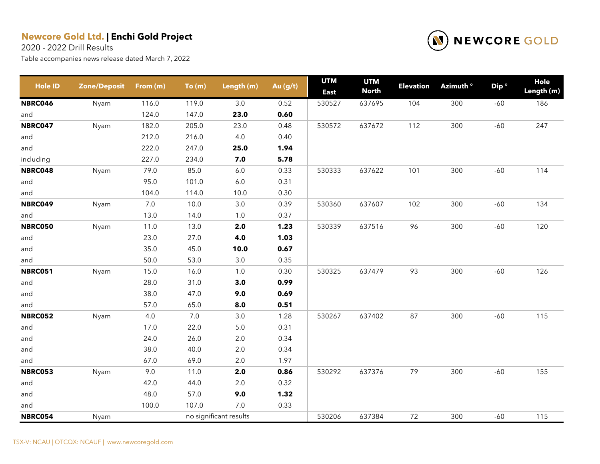2020 - 2022 Drill Results



| <b>Hole ID</b> | <b>Zone/Deposit</b> | From (m) | To(m) | Length (m)             | Au (g/t) | <b>UTM</b><br><b>East</b> | <b>UTM</b><br><b>North</b> | <b>Elevation</b> | Azimuth <sup>o</sup> | Dip <sup>o</sup> | Hole<br>Length (m) |
|----------------|---------------------|----------|-------|------------------------|----------|---------------------------|----------------------------|------------------|----------------------|------------------|--------------------|
| <b>NBRC046</b> | Nyam                | 116.0    | 119.0 | 3.0                    | 0.52     | 530527                    | 637695                     | 104              | 300                  | $-60$            | 186                |
| and            |                     | 124.0    | 147.0 | 23.0                   | 0.60     |                           |                            |                  |                      |                  |                    |
| NBRC047        | Nyam                | 182.0    | 205.0 | 23.0                   | 0.48     | 530572                    | 637672                     | 112              | 300                  | $-60$            | 247                |
| and            |                     | 212.0    | 216.0 | 4.0                    | 0.40     |                           |                            |                  |                      |                  |                    |
| and            |                     | 222.0    | 247.0 | 25.0                   | 1.94     |                           |                            |                  |                      |                  |                    |
| including      |                     | 227.0    | 234.0 | 7.0                    | 5.78     |                           |                            |                  |                      |                  |                    |
| NBRC048        | Nyam                | 79.0     | 85.0  | $6.0\,$                | 0.33     | 530333                    | 637622                     | 101              | 300                  | $-60$            | 114                |
| and            |                     | 95.0     | 101.0 | $6.0\,$                | 0.31     |                           |                            |                  |                      |                  |                    |
| and            |                     | 104.0    | 114.0 | 10.0                   | 0.30     |                           |                            |                  |                      |                  |                    |
| NBRC049        | Nyam                | $7.0$    | 10.0  | $3.0\,$                | 0.39     | 530360                    | 637607                     | 102              | 300                  | $-60$            | 134                |
| and            |                     | 13.0     | 14.0  | 1.0                    | 0.37     |                           |                            |                  |                      |                  |                    |
| <b>NBRC050</b> | Nyam                | 11.0     | 13.0  | 2.0                    | 1.23     | 530339                    | 637516                     | 96               | 300                  | $-60$            | 120                |
| and            |                     | 23.0     | 27.0  | 4.0                    | 1.03     |                           |                            |                  |                      |                  |                    |
| and            |                     | 35.0     | 45.0  | 10.0                   | 0.67     |                           |                            |                  |                      |                  |                    |
| and            |                     | 50.0     | 53.0  | $3.0\,$                | 0.35     |                           |                            |                  |                      |                  |                    |
| <b>NBRC051</b> | Nyam                | 15.0     | 16.0  | 1.0                    | 0.30     | 530325                    | 637479                     | 93               | 300                  | $-60$            | 126                |
| and            |                     | 28.0     | 31.0  | 3.0                    | 0.99     |                           |                            |                  |                      |                  |                    |
| and            |                     | 38.0     | 47.0  | 9.0                    | 0.69     |                           |                            |                  |                      |                  |                    |
| and            |                     | 57.0     | 65.0  | 8.0                    | 0.51     |                           |                            |                  |                      |                  |                    |
| <b>NBRC052</b> | Nyam                | 4.0      | 7.0   | 3.0                    | 1.28     | 530267                    | 637402                     | 87               | 300                  | $-60$            | 115                |
| and            |                     | 17.0     | 22.0  | $5.0$                  | 0.31     |                           |                            |                  |                      |                  |                    |
| and            |                     | 24.0     | 26.0  | $2.0\,$                | 0.34     |                           |                            |                  |                      |                  |                    |
| and            |                     | 38.0     | 40.0  | $2.0\,$                | 0.34     |                           |                            |                  |                      |                  |                    |
| and            |                     | 67.0     | 69.0  | 2.0                    | 1.97     |                           |                            |                  |                      |                  |                    |
| <b>NBRC053</b> | Nyam                | 9.0      | 11.0  | 2.0                    | 0.86     | 530292                    | 637376                     | 79               | 300                  | $-60$            | 155                |
| and            |                     | 42.0     | 44.0  | $2.0\,$                | 0.32     |                           |                            |                  |                      |                  |                    |
| and            |                     | 48.0     | 57.0  | 9.0                    | 1.32     |                           |                            |                  |                      |                  |                    |
| and            |                     | 100.0    | 107.0 | $7.0\,$                | 0.33     |                           |                            |                  |                      |                  |                    |
| <b>NBRC054</b> | Nyam                |          |       | no significant results |          | 530206                    | 637384                     | 72               | 300                  | $-60$            | 115                |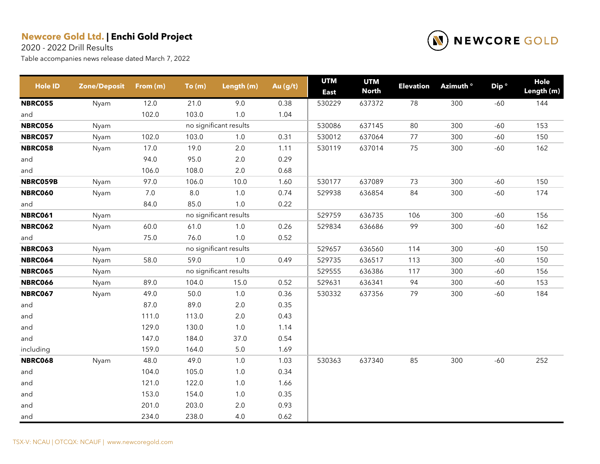2020 - 2022 Drill Results



| <b>Hole ID</b> | Zone/Deposit | From (m) | To(m)   | Length (m)             | Au $(g/t)$ | <b>UTM</b><br><b>East</b> | <b>UTM</b><br><b>North</b> | <b>Elevation</b> | Azimuth <sup>o</sup> | Dip <sup>o</sup> | Hole<br>Length (m) |
|----------------|--------------|----------|---------|------------------------|------------|---------------------------|----------------------------|------------------|----------------------|------------------|--------------------|
| <b>NBRC055</b> | Nyam         | 12.0     | 21.0    | 9.0                    | 0.38       | 530229                    | 637372                     | 78               | 300                  | $-60$            | 144                |
| and            |              | 102.0    | 103.0   | 1.0                    | 1.04       |                           |                            |                  |                      |                  |                    |
| <b>NBRC056</b> | Nyam         |          |         | no significant results |            | 530086                    | 637145                     | 80               | 300                  | $-60$            | 153                |
| <b>NBRC057</b> | Nyam         | 102.0    | 103.0   | 1.0                    | 0.31       | 530012                    | 637064                     | 77               | 300                  | $-60$            | 150                |
| <b>NBRC058</b> | Nyam         | 17.0     | 19.0    | $2.0\,$                | 1.11       | 530119                    | 637014                     | 75               | 300                  | $-60$            | 162                |
| and            |              | 94.0     | 95.0    | $2.0\,$                | 0.29       |                           |                            |                  |                      |                  |                    |
| and            |              | 106.0    | 108.0   | $2.0\,$                | 0.68       |                           |                            |                  |                      |                  |                    |
| NBRC059B       | Nyam         | 97.0     | 106.0   | 10.0                   | 1.60       | 530177                    | 637089                     | 73               | 300                  | $-60$            | 150                |
| <b>NBRC060</b> | Nyam         | $7.0\,$  | $8.0\,$ | 1.0                    | 0.74       | 529938                    | 636854                     | 84               | 300                  | $-60$            | 174                |
| and            |              | 84.0     | 85.0    | $1.0$                  | 0.22       |                           |                            |                  |                      |                  |                    |
| <b>NBRC061</b> | Nyam         |          |         | no significant results |            | 529759                    | 636735                     | 106              | 300                  | $-60$            | 156                |
| <b>NBRC062</b> | Nyam         | 60.0     | 61.0    | $1.0\,$                | 0.26       | 529834                    | 636686                     | 99               | 300                  | $-60$            | 162                |
| and            |              | 75.0     | 76.0    | $1.0\,$                | 0.52       |                           |                            |                  |                      |                  |                    |
| <b>NBRC063</b> | Nyam         |          |         | no significant results |            | 529657                    | 636560                     | 114              | 300                  | $-60$            | 150                |
| <b>NBRC064</b> | Nyam         | 58.0     | 59.0    | $1.0\,$                | 0.49       | 529735                    | 636517                     | 113              | 300                  | $-60$            | 150                |
| <b>NBRC065</b> | Nyam         |          |         | no significant results |            | 529555                    | 636386                     | 117              | 300                  | $-60$            | 156                |
| <b>NBRC066</b> | Nyam         | 89.0     | 104.0   | 15.0                   | 0.52       | 529631                    | 636341                     | 94               | 300                  | $-60$            | 153                |
| <b>NBRC067</b> | Nyam         | 49.0     | 50.0    | 1.0                    | 0.36       | 530332                    | 637356                     | 79               | 300                  | $-60$            | 184                |
| and            |              | 87.0     | 89.0    | $2.0\,$                | 0.35       |                           |                            |                  |                      |                  |                    |
| and            |              | 111.0    | 113.0   | $2.0\,$                | 0.43       |                           |                            |                  |                      |                  |                    |
| and            |              | 129.0    | 130.0   | $1.0$                  | 1.14       |                           |                            |                  |                      |                  |                    |
| and            |              | 147.0    | 184.0   | 37.0                   | 0.54       |                           |                            |                  |                      |                  |                    |
| including      |              | 159.0    | 164.0   | $5.0\,$                | 1.69       |                           |                            |                  |                      |                  |                    |
| <b>NBRC068</b> | Nyam         | 48.0     | 49.0    | 1.0                    | 1.03       | 530363                    | 637340                     | 85               | 300                  | $-60$            | 252                |
| and            |              | 104.0    | 105.0   | 1.0                    | 0.34       |                           |                            |                  |                      |                  |                    |
| and            |              | 121.0    | 122.0   | 1.0                    | 1.66       |                           |                            |                  |                      |                  |                    |
| and            |              | 153.0    | 154.0   | 1.0                    | 0.35       |                           |                            |                  |                      |                  |                    |
| and            |              | 201.0    | 203.0   | 2.0                    | 0.93       |                           |                            |                  |                      |                  |                    |
| and            |              | 234.0    | 238.0   | 4.0                    | 0.62       |                           |                            |                  |                      |                  |                    |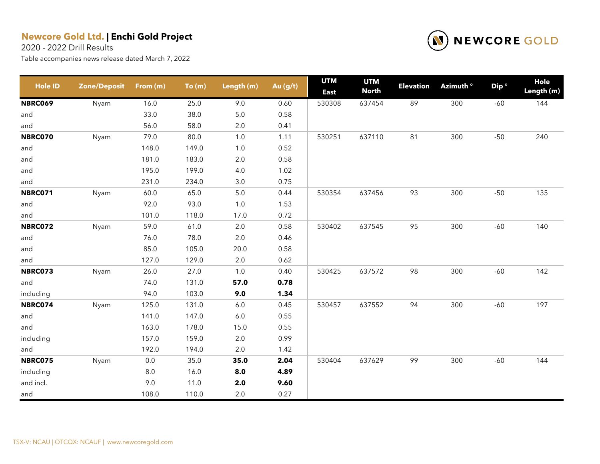2020 - 2022 Drill Results



| <b>Hole ID</b> | <b>Zone/Deposit</b> | From (m) | To(m) | Length (m) | Au (g/t) | <b>UTM</b><br><b>East</b> | <b>UTM</b><br><b>North</b> | <b>Elevation</b> | Azimuth <sup>o</sup> | Dip <sup>o</sup> | Hole<br>Length (m) |
|----------------|---------------------|----------|-------|------------|----------|---------------------------|----------------------------|------------------|----------------------|------------------|--------------------|
| <b>NBRC069</b> | Nyam                | 16.0     | 25.0  | 9.0        | 0.60     | 530308                    | 637454                     | 89               | 300                  | $-60$            | 144                |
| and            |                     | 33.0     | 38.0  | 5.0        | 0.58     |                           |                            |                  |                      |                  |                    |
| and            |                     | 56.0     | 58.0  | $2.0\,$    | 0.41     |                           |                            |                  |                      |                  |                    |
| NBRC070        | Nyam                | 79.0     | 80.0  | 1.0        | 1.11     | 530251                    | 637110                     | 81               | 300                  | $-50$            | 240                |
| and            |                     | 148.0    | 149.0 | 1.0        | 0.52     |                           |                            |                  |                      |                  |                    |
| and            |                     | 181.0    | 183.0 | $2.0\,$    | 0.58     |                           |                            |                  |                      |                  |                    |
| and            |                     | 195.0    | 199.0 | 4.0        | 1.02     |                           |                            |                  |                      |                  |                    |
| and            |                     | 231.0    | 234.0 | 3.0        | 0.75     |                           |                            |                  |                      |                  |                    |
| <b>NBRC071</b> | Nyam                | 60.0     | 65.0  | $5.0\,$    | 0.44     | 530354                    | 637456                     | 93               | 300                  | $-50$            | 135                |
| and            |                     | 92.0     | 93.0  | 1.0        | 1.53     |                           |                            |                  |                      |                  |                    |
| and            |                     | 101.0    | 118.0 | 17.0       | 0.72     |                           |                            |                  |                      |                  |                    |
| <b>NBRC072</b> | Nyam                | 59.0     | 61.0  | $2.0\,$    | 0.58     | 530402                    | 637545                     | 95               | 300                  | $-60$            | 140                |
| and            |                     | 76.0     | 78.0  | 2.0        | 0.46     |                           |                            |                  |                      |                  |                    |
| and            |                     | 85.0     | 105.0 | 20.0       | 0.58     |                           |                            |                  |                      |                  |                    |
| and            |                     | 127.0    | 129.0 | $2.0\,$    | 0.62     |                           |                            |                  |                      |                  |                    |
| NBRC073        | Nyam                | 26.0     | 27.0  | 1.0        | 0.40     | 530425                    | 637572                     | 98               | 300                  | $-60$            | 142                |
| and            |                     | 74.0     | 131.0 | 57.0       | 0.78     |                           |                            |                  |                      |                  |                    |
| including      |                     | 94.0     | 103.0 | 9.0        | 1.34     |                           |                            |                  |                      |                  |                    |
| NBRC074        | Nyam                | 125.0    | 131.0 | $6.0\,$    | 0.45     | 530457                    | 637552                     | 94               | 300                  | $-60$            | 197                |
| and            |                     | 141.0    | 147.0 | 6.0        | 0.55     |                           |                            |                  |                      |                  |                    |
| and            |                     | 163.0    | 178.0 | 15.0       | 0.55     |                           |                            |                  |                      |                  |                    |
| including      |                     | 157.0    | 159.0 | $2.0\,$    | 0.99     |                           |                            |                  |                      |                  |                    |
| and            |                     | 192.0    | 194.0 | $2.0\,$    | 1.42     |                           |                            |                  |                      |                  |                    |
| <b>NBRC075</b> | Nyam                | $0.0\,$  | 35.0  | 35.0       | 2.04     | 530404                    | 637629                     | 99               | 300                  | $-60$            | 144                |
| including      |                     | $8.0\,$  | 16.0  | 8.0        | 4.89     |                           |                            |                  |                      |                  |                    |
| and incl.      |                     | 9.0      | 11.0  | $2.0\,$    | 9.60     |                           |                            |                  |                      |                  |                    |
| and            |                     | 108.0    | 110.0 | 2.0        | 0.27     |                           |                            |                  |                      |                  |                    |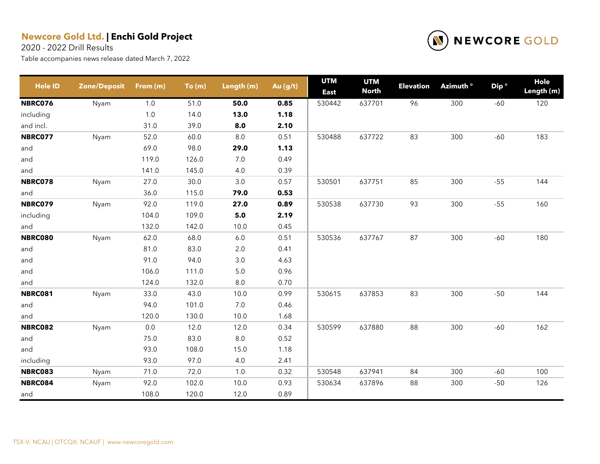2020 - 2022 Drill Results



| <b>Hole ID</b> | <b>Zone/Deposit</b> | From (m) | To(m) | Length (m) | Au (g/t) | <b>UTM</b><br><b>East</b> | <b>UTM</b><br><b>North</b> | <b>Elevation</b> | Azimuth <sup>o</sup> | Dip <sup>o</sup> | Hole<br>Length (m) |
|----------------|---------------------|----------|-------|------------|----------|---------------------------|----------------------------|------------------|----------------------|------------------|--------------------|
| <b>NBRC076</b> | Nyam                | 1.0      | 51.0  | 50.0       | 0.85     | 530442                    | 637701                     | 96               | 300                  | $-60$            | 120                |
| including      |                     | 1.0      | 14.0  | 13.0       | 1.18     |                           |                            |                  |                      |                  |                    |
| and incl.      |                     | 31.0     | 39.0  | 8.0        | 2.10     |                           |                            |                  |                      |                  |                    |
| <b>NBRC077</b> | Nyam                | 52.0     | 60.0  | $8.0\,$    | 0.51     | 530488                    | 637722                     | 83               | 300                  | $-60$            | 183                |
| and            |                     | 69.0     | 98.0  | 29.0       | 1.13     |                           |                            |                  |                      |                  |                    |
| and            |                     | 119.0    | 126.0 | 7.0        | 0.49     |                           |                            |                  |                      |                  |                    |
| and            |                     | 141.0    | 145.0 | 4.0        | 0.39     |                           |                            |                  |                      |                  |                    |
| NBRC078        | Nyam                | 27.0     | 30.0  | 3.0        | 0.57     | 530501                    | 637751                     | 85               | 300                  | $-55$            | 144                |
| and            |                     | 36.0     | 115.0 | 79.0       | 0.53     |                           |                            |                  |                      |                  |                    |
| NBRC079        | Nyam                | 92.0     | 119.0 | 27.0       | 0.89     | 530538                    | 637730                     | 93               | 300                  | $-55$            | 160                |
| including      |                     | 104.0    | 109.0 | 5.0        | 2.19     |                           |                            |                  |                      |                  |                    |
| and            |                     | 132.0    | 142.0 | 10.0       | 0.45     |                           |                            |                  |                      |                  |                    |
| <b>NBRC080</b> | Nyam                | 62.0     | 68.0  | 6.0        | 0.51     | 530536                    | 637767                     | 87               | 300                  | $-60$            | 180                |
| and            |                     | 81.0     | 83.0  | 2.0        | 0.41     |                           |                            |                  |                      |                  |                    |
| and            |                     | 91.0     | 94.0  | 3.0        | 4.63     |                           |                            |                  |                      |                  |                    |
| and            |                     | 106.0    | 111.0 | $5.0\,$    | 0.96     |                           |                            |                  |                      |                  |                    |
| and            |                     | 124.0    | 132.0 | $8.0\,$    | 0.70     |                           |                            |                  |                      |                  |                    |
| <b>NBRC081</b> | Nyam                | 33.0     | 43.0  | 10.0       | 0.99     | 530615                    | 637853                     | 83               | 300                  | $-50$            | 144                |
| and            |                     | 94.0     | 101.0 | $7.0\,$    | 0.46     |                           |                            |                  |                      |                  |                    |
| and            |                     | 120.0    | 130.0 | 10.0       | 1.68     |                           |                            |                  |                      |                  |                    |
| <b>NBRC082</b> | Nyam                | 0.0      | 12.0  | 12.0       | 0.34     | 530599                    | 637880                     | 88               | 300                  | $-60$            | 162                |
| and            |                     | 75.0     | 83.0  | $8.0\,$    | 0.52     |                           |                            |                  |                      |                  |                    |
| and            |                     | 93.0     | 108.0 | 15.0       | 1.18     |                           |                            |                  |                      |                  |                    |
| including      |                     | 93.0     | 97.0  | 4.0        | 2.41     |                           |                            |                  |                      |                  |                    |
| <b>NBRC083</b> | Nyam                | 71.0     | 72.0  | 1.0        | 0.32     | 530548                    | 637941                     | 84               | 300                  | $-60$            | 100                |
| NBRC084        | Nyam                | 92.0     | 102.0 | 10.0       | 0.93     | 530634                    | 637896                     | 88               | 300                  | $-50$            | 126                |
| and            |                     | 108.0    | 120.0 | 12.0       | 0.89     |                           |                            |                  |                      |                  |                    |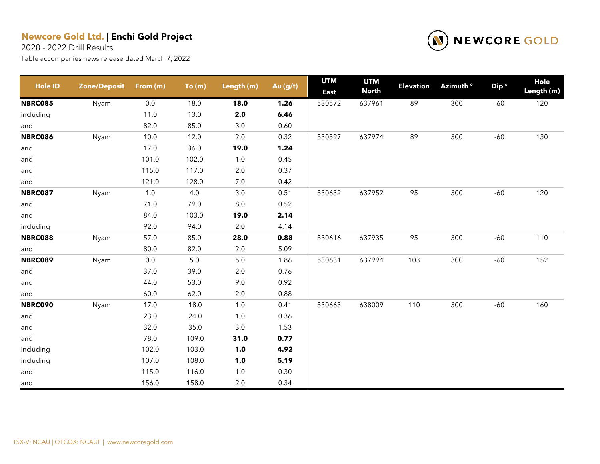2020 - 2022 Drill Results



| <b>Hole ID</b> | <b>Zone/Deposit</b> | From (m) | To(m) | Length (m) | Au (g/t) | <b>UTM</b><br><b>East</b> | <b>UTM</b><br><b>North</b> | <b>Elevation</b> | Azimuth <sup>o</sup> | Dip <sup>o</sup> | Hole<br>Length (m) |
|----------------|---------------------|----------|-------|------------|----------|---------------------------|----------------------------|------------------|----------------------|------------------|--------------------|
| <b>NBRC085</b> | Nyam                | 0.0      | 18.0  | 18.0       | 1.26     | 530572                    | 637961                     | 89               | 300                  | $-60$            | 120                |
| including      |                     | 11.0     | 13.0  | 2.0        | 6.46     |                           |                            |                  |                      |                  |                    |
| and            |                     | 82.0     | 85.0  | 3.0        | 0.60     |                           |                            |                  |                      |                  |                    |
| <b>NBRC086</b> | Nyam                | 10.0     | 12.0  | $2.0\,$    | 0.32     | 530597                    | 637974                     | 89               | 300                  | $-60$            | 130                |
| and            |                     | 17.0     | 36.0  | 19.0       | 1.24     |                           |                            |                  |                      |                  |                    |
| and            |                     | 101.0    | 102.0 | $1.0$      | 0.45     |                           |                            |                  |                      |                  |                    |
| and            |                     | 115.0    | 117.0 | $2.0\,$    | 0.37     |                           |                            |                  |                      |                  |                    |
| and            |                     | 121.0    | 128.0 | $7.0\,$    | 0.42     |                           |                            |                  |                      |                  |                    |
| <b>NBRC087</b> | Nyam                | 1.0      | 4.0   | $3.0\,$    | 0.51     | 530632                    | 637952                     | 95               | 300                  | $-60$            | 120                |
| and            |                     | 71.0     | 79.0  | $8.0\,$    | 0.52     |                           |                            |                  |                      |                  |                    |
| and            |                     | 84.0     | 103.0 | 19.0       | 2.14     |                           |                            |                  |                      |                  |                    |
| including      |                     | 92.0     | 94.0  | 2.0        | 4.14     |                           |                            |                  |                      |                  |                    |
| <b>NBRC088</b> | Nyam                | 57.0     | 85.0  | 28.0       | 0.88     | 530616                    | 637935                     | 95               | 300                  | $-60$            | 110                |
| and            |                     | 80.0     | 82.0  | 2.0        | 5.09     |                           |                            |                  |                      |                  |                    |
| <b>NBRC089</b> | Nyam                | $0.0\,$  | $5.0$ | $5.0\,$    | 1.86     | 530631                    | 637994                     | 103              | 300                  | $-60$            | 152                |
| and            |                     | 37.0     | 39.0  | $2.0\,$    | 0.76     |                           |                            |                  |                      |                  |                    |
| and            |                     | 44.0     | 53.0  | 9.0        | 0.92     |                           |                            |                  |                      |                  |                    |
| and            |                     | 60.0     | 62.0  | $2.0\,$    | 0.88     |                           |                            |                  |                      |                  |                    |
| <b>NBRC090</b> | Nyam                | 17.0     | 18.0  | $1.0$      | 0.41     | 530663                    | 638009                     | 110              | 300                  | $-60$            | 160                |
| and            |                     | 23.0     | 24.0  | $1.0$      | 0.36     |                           |                            |                  |                      |                  |                    |
| and            |                     | 32.0     | 35.0  | $3.0\,$    | 1.53     |                           |                            |                  |                      |                  |                    |
| and            |                     | 78.0     | 109.0 | 31.0       | 0.77     |                           |                            |                  |                      |                  |                    |
| including      |                     | 102.0    | 103.0 | 1.0        | 4.92     |                           |                            |                  |                      |                  |                    |
| including      |                     | 107.0    | 108.0 | $1.0$      | 5.19     |                           |                            |                  |                      |                  |                    |
| and            |                     | 115.0    | 116.0 | $1.0\,$    | 0.30     |                           |                            |                  |                      |                  |                    |
| and            |                     | 156.0    | 158.0 | 2.0        | 0.34     |                           |                            |                  |                      |                  |                    |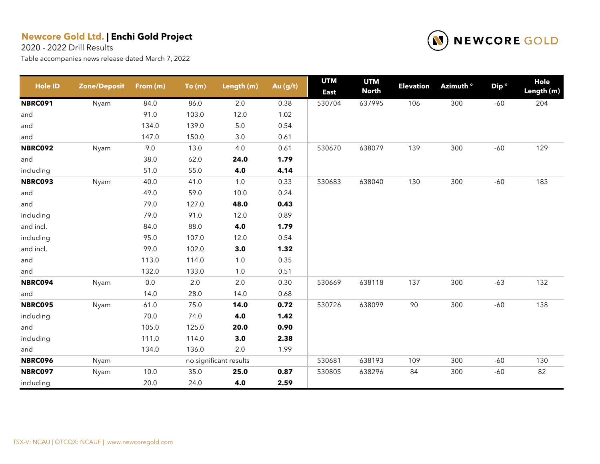2020 - 2022 Drill Results



| <b>Hole ID</b> | <b>Zone/Deposit</b> | From (m) | To(m) | Length (m)             | Au (g/t) | <b>UTM</b><br><b>East</b> | <b>UTM</b><br><b>North</b> | <b>Elevation</b> | Azimuth <sup>o</sup> | Dip <sup>o</sup> | Hole<br>Length (m) |
|----------------|---------------------|----------|-------|------------------------|----------|---------------------------|----------------------------|------------------|----------------------|------------------|--------------------|
| <b>NBRC091</b> | Nyam                | 84.0     | 86.0  | 2.0                    | 0.38     | 530704                    | 637995                     | 106              | 300                  | $-60$            | 204                |
| and            |                     | 91.0     | 103.0 | 12.0                   | 1.02     |                           |                            |                  |                      |                  |                    |
| and            |                     | 134.0    | 139.0 | 5.0                    | 0.54     |                           |                            |                  |                      |                  |                    |
| and            |                     | 147.0    | 150.0 | $3.0\,$                | 0.61     |                           |                            |                  |                      |                  |                    |
| <b>NBRC092</b> | Nyam                | 9.0      | 13.0  | 4.0                    | 0.61     | 530670                    | 638079                     | 139              | 300                  | $-60$            | 129                |
| and            |                     | 38.0     | 62.0  | 24.0                   | 1.79     |                           |                            |                  |                      |                  |                    |
| including      |                     | 51.0     | 55.0  | 4.0                    | 4.14     |                           |                            |                  |                      |                  |                    |
| <b>NBRC093</b> | Nyam                | 40.0     | 41.0  | 1.0                    | 0.33     | 530683                    | 638040                     | 130              | 300                  | $-60$            | 183                |
| and            |                     | 49.0     | 59.0  | 10.0                   | 0.24     |                           |                            |                  |                      |                  |                    |
| and            |                     | 79.0     | 127.0 | 48.0                   | 0.43     |                           |                            |                  |                      |                  |                    |
| including      |                     | 79.0     | 91.0  | 12.0                   | 0.89     |                           |                            |                  |                      |                  |                    |
| and incl.      |                     | 84.0     | 88.0  | 4.0                    | 1.79     |                           |                            |                  |                      |                  |                    |
| including      |                     | 95.0     | 107.0 | 12.0                   | 0.54     |                           |                            |                  |                      |                  |                    |
| and incl.      |                     | 99.0     | 102.0 | 3.0                    | 1.32     |                           |                            |                  |                      |                  |                    |
| and            |                     | 113.0    | 114.0 | 1.0                    | 0.35     |                           |                            |                  |                      |                  |                    |
| and            |                     | 132.0    | 133.0 | $1.0$                  | 0.51     |                           |                            |                  |                      |                  |                    |
| <b>NBRC094</b> | Nyam                | $0.0\,$  | 2.0   | 2.0                    | 0.30     | 530669                    | 638118                     | 137              | 300                  | $-63$            | 132                |
| and            |                     | 14.0     | 28.0  | 14.0                   | 0.68     |                           |                            |                  |                      |                  |                    |
| <b>NBRC095</b> | Nyam                | 61.0     | 75.0  | 14.0                   | 0.72     | 530726                    | 638099                     | 90               | 300                  | $-60$            | 138                |
| including      |                     | 70.0     | 74.0  | 4.0                    | 1.42     |                           |                            |                  |                      |                  |                    |
| and            |                     | 105.0    | 125.0 | 20.0                   | 0.90     |                           |                            |                  |                      |                  |                    |
| including      |                     | 111.0    | 114.0 | 3.0                    | 2.38     |                           |                            |                  |                      |                  |                    |
| and            |                     | 134.0    | 136.0 | $2.0\,$                | 1.99     |                           |                            |                  |                      |                  |                    |
| <b>NBRC096</b> | Nyam                |          |       | no significant results |          | 530681                    | 638193                     | 109              | 300                  | $-60$            | 130                |
| <b>NBRC097</b> | Nyam                | 10.0     | 35.0  | 25.0                   | 0.87     | 530805                    | 638296                     | 84               | 300                  | $-60$            | 82                 |
| including      |                     | 20.0     | 24.0  | 4.0                    | 2.59     |                           |                            |                  |                      |                  |                    |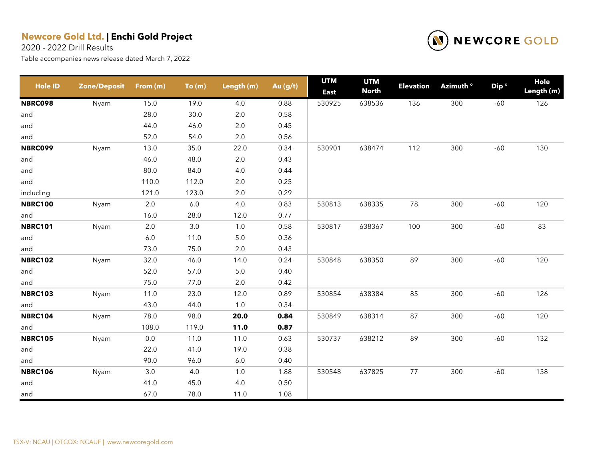2020 - 2022 Drill Results



| <b>Hole ID</b> | <b>Zone/Deposit</b> | From (m) | To(m)   | Length (m) | Au (g/t) | <b>UTM</b><br><b>East</b> | <b>UTM</b><br><b>North</b> | <b>Elevation</b> | Azimuth <sup>o</sup> | Dip <sup>o</sup> | Hole<br>Length (m) |
|----------------|---------------------|----------|---------|------------|----------|---------------------------|----------------------------|------------------|----------------------|------------------|--------------------|
| <b>NBRC098</b> | Nyam                | 15.0     | 19.0    | 4.0        | 0.88     | 530925                    | 638536                     | 136              | 300                  | $-60$            | 126                |
| and            |                     | 28.0     | 30.0    | 2.0        | 0.58     |                           |                            |                  |                      |                  |                    |
| and            |                     | 44.0     | 46.0    | 2.0        | 0.45     |                           |                            |                  |                      |                  |                    |
| and            |                     | 52.0     | 54.0    | 2.0        | 0.56     |                           |                            |                  |                      |                  |                    |
| <b>NBRC099</b> | Nyam                | 13.0     | 35.0    | 22.0       | 0.34     | 530901                    | 638474                     | 112              | 300                  | $-60$            | 130                |
| and            |                     | 46.0     | 48.0    | 2.0        | 0.43     |                           |                            |                  |                      |                  |                    |
| and            |                     | 80.0     | 84.0    | 4.0        | 0.44     |                           |                            |                  |                      |                  |                    |
| and            |                     | 110.0    | 112.0   | 2.0        | 0.25     |                           |                            |                  |                      |                  |                    |
| including      |                     | 121.0    | 123.0   | 2.0        | 0.29     |                           |                            |                  |                      |                  |                    |
| <b>NBRC100</b> | Nyam                | 2.0      | $6.0\,$ | 4.0        | 0.83     | 530813                    | 638335                     | 78               | 300                  | $-60$            | 120                |
| and            |                     | 16.0     | 28.0    | 12.0       | 0.77     |                           |                            |                  |                      |                  |                    |
| <b>NBRC101</b> | Nyam                | $2.0\,$  | $3.0\,$ | $1.0$      | 0.58     | 530817                    | 638367                     | 100              | 300                  | $-60$            | 83                 |
| and            |                     | $6.0\,$  | 11.0    | $5.0\,$    | 0.36     |                           |                            |                  |                      |                  |                    |
| and            |                     | 73.0     | 75.0    | 2.0        | 0.43     |                           |                            |                  |                      |                  |                    |
| <b>NBRC102</b> | Nyam                | 32.0     | 46.0    | 14.0       | 0.24     | 530848                    | 638350                     | 89               | 300                  | $-60$            | 120                |
| and            |                     | 52.0     | 57.0    | $5.0\,$    | 0.40     |                           |                            |                  |                      |                  |                    |
| and            |                     | 75.0     | 77.0    | $2.0\,$    | 0.42     |                           |                            |                  |                      |                  |                    |
| <b>NBRC103</b> | Nyam                | 11.0     | 23.0    | 12.0       | 0.89     | 530854                    | 638384                     | 85               | 300                  | $-60$            | 126                |
| and            |                     | 43.0     | 44.0    | $1.0$      | 0.34     |                           |                            |                  |                      |                  |                    |
| <b>NBRC104</b> | Nyam                | 78.0     | 98.0    | 20.0       | 0.84     | 530849                    | 638314                     | 87               | 300                  | $-60$            | 120                |
| and            |                     | 108.0    | 119.0   | 11.0       | 0.87     |                           |                            |                  |                      |                  |                    |
| <b>NBRC105</b> | Nyam                | 0.0      | 11.0    | 11.0       | 0.63     | 530737                    | 638212                     | 89               | 300                  | $-60$            | 132                |
| and            |                     | 22.0     | 41.0    | 19.0       | 0.38     |                           |                            |                  |                      |                  |                    |
| and            |                     | 90.0     | 96.0    | $6.0\,$    | 0.40     |                           |                            |                  |                      |                  |                    |
| <b>NBRC106</b> | Nyam                | 3.0      | 4.0     | 1.0        | 1.88     | 530548                    | 637825                     | 77               | 300                  | $-60$            | 138                |
| and            |                     | 41.0     | 45.0    | 4.0        | 0.50     |                           |                            |                  |                      |                  |                    |
| and            |                     | 67.0     | 78.0    | 11.0       | 1.08     |                           |                            |                  |                      |                  |                    |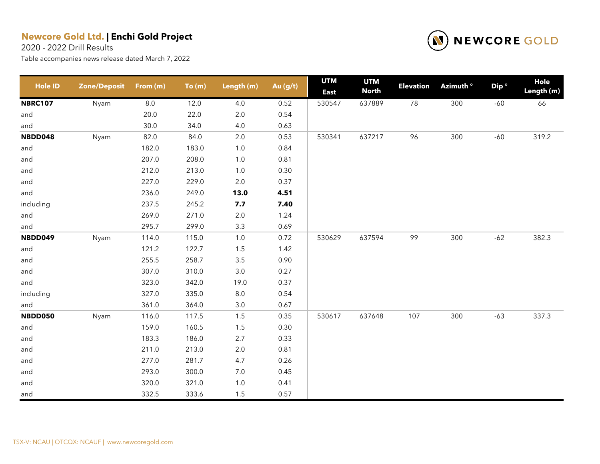2020 - 2022 Drill Results



| <b>Hole ID</b> | <b>Zone/Deposit</b> | From (m) | To(m) | Length (m) | Au (g/t) | <b>UTM</b><br><b>East</b> | <b>UTM</b><br><b>North</b> | <b>Elevation</b> | Azimuth <sup>o</sup> | Dip <sup>o</sup> | Hole<br>Length (m) |
|----------------|---------------------|----------|-------|------------|----------|---------------------------|----------------------------|------------------|----------------------|------------------|--------------------|
| <b>NBRC107</b> | Nyam                | $8.0\,$  | 12.0  | 4.0        | 0.52     | 530547                    | 637889                     | $78\,$           | 300                  | $-60$            | 66                 |
| and            |                     | 20.0     | 22.0  | 2.0        | 0.54     |                           |                            |                  |                      |                  |                    |
| and            |                     | 30.0     | 34.0  | 4.0        | 0.63     |                           |                            |                  |                      |                  |                    |
| NBDD048        | Nyam                | 82.0     | 84.0  | $2.0\,$    | 0.53     | 530341                    | 637217                     | 96               | 300                  | $-60$            | 319.2              |
| and            |                     | 182.0    | 183.0 | 1.0        | 0.84     |                           |                            |                  |                      |                  |                    |
| and            |                     | 207.0    | 208.0 | 1.0        | 0.81     |                           |                            |                  |                      |                  |                    |
| and            |                     | 212.0    | 213.0 | 1.0        | 0.30     |                           |                            |                  |                      |                  |                    |
| and            |                     | 227.0    | 229.0 | 2.0        | 0.37     |                           |                            |                  |                      |                  |                    |
| and            |                     | 236.0    | 249.0 | 13.0       | 4.51     |                           |                            |                  |                      |                  |                    |
| including      |                     | 237.5    | 245.2 | 7.7        | 7.40     |                           |                            |                  |                      |                  |                    |
| and            |                     | 269.0    | 271.0 | 2.0        | 1.24     |                           |                            |                  |                      |                  |                    |
| and            |                     | 295.7    | 299.0 | 3.3        | 0.69     |                           |                            |                  |                      |                  |                    |
| NBDD049        | Nyam                | 114.0    | 115.0 | 1.0        | 0.72     | 530629                    | 637594                     | 99               | 300                  | $-62$            | 382.3              |
| and            |                     | 121.2    | 122.7 | 1.5        | 1.42     |                           |                            |                  |                      |                  |                    |
| and            |                     | 255.5    | 258.7 | $3.5$      | 0.90     |                           |                            |                  |                      |                  |                    |
| and            |                     | 307.0    | 310.0 | $3.0\,$    | 0.27     |                           |                            |                  |                      |                  |                    |
| and            |                     | 323.0    | 342.0 | 19.0       | 0.37     |                           |                            |                  |                      |                  |                    |
| including      |                     | 327.0    | 335.0 | 8.0        | 0.54     |                           |                            |                  |                      |                  |                    |
| and            |                     | 361.0    | 364.0 | 3.0        | 0.67     |                           |                            |                  |                      |                  |                    |
| NBDD050        | Nyam                | 116.0    | 117.5 | 1.5        | 0.35     | 530617                    | 637648                     | 107              | 300                  | $-63$            | 337.3              |
| and            |                     | 159.0    | 160.5 | 1.5        | 0.30     |                           |                            |                  |                      |                  |                    |
| and            |                     | 183.3    | 186.0 | 2.7        | 0.33     |                           |                            |                  |                      |                  |                    |
| and            |                     | 211.0    | 213.0 | 2.0        | 0.81     |                           |                            |                  |                      |                  |                    |
| and            |                     | 277.0    | 281.7 | 4.7        | 0.26     |                           |                            |                  |                      |                  |                    |
| and            |                     | 293.0    | 300.0 | 7.0        | 0.45     |                           |                            |                  |                      |                  |                    |
| and            |                     | 320.0    | 321.0 | 1.0        | 0.41     |                           |                            |                  |                      |                  |                    |
| and            |                     | 332.5    | 333.6 | 1.5        | 0.57     |                           |                            |                  |                      |                  |                    |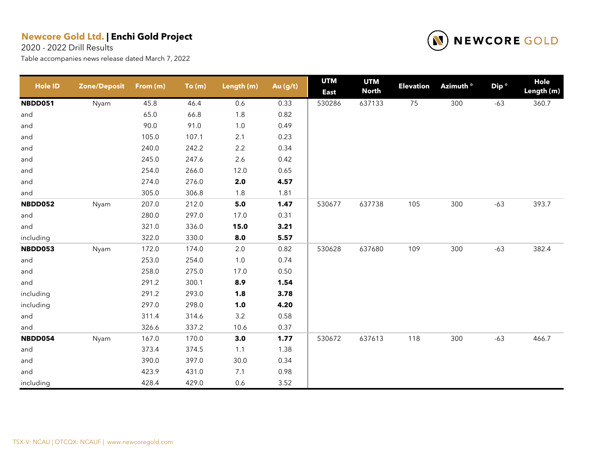2020 - 2022 Drill Results



| <b>Hole ID</b> | <b>Zone/Deposit</b> | From (m) | To(m) | Length (m) | Au (g/t) | <b>UTM</b><br><b>East</b> | <b>UTM</b><br><b>North</b> | <b>Elevation</b> | Azimuth <sup>o</sup> | Dip <sup>o</sup> | Hole<br>Length (m) |
|----------------|---------------------|----------|-------|------------|----------|---------------------------|----------------------------|------------------|----------------------|------------------|--------------------|
| <b>NBDD051</b> | Nyam                | 45.8     | 46.4  | 0.6        | 0.33     | 530286                    | 637133                     | 75               | 300                  | $-63$            | 360.7              |
| and            |                     | 65.0     | 66.8  | $1.8$      | 0.82     |                           |                            |                  |                      |                  |                    |
| and            |                     | 90.0     | 91.0  | $1.0$      | 0.49     |                           |                            |                  |                      |                  |                    |
| and            |                     | 105.0    | 107.1 | 2.1        | 0.23     |                           |                            |                  |                      |                  |                    |
| and            |                     | 240.0    | 242.2 | $2.2\,$    | 0.34     |                           |                            |                  |                      |                  |                    |
| and            |                     | 245.0    | 247.6 | $2.6\,$    | 0.42     |                           |                            |                  |                      |                  |                    |
| and            |                     | 254.0    | 266.0 | 12.0       | 0.65     |                           |                            |                  |                      |                  |                    |
| and            |                     | 274.0    | 276.0 | 2.0        | 4.57     |                           |                            |                  |                      |                  |                    |
| and            |                     | 305.0    | 306.8 | 1.8        | 1.81     |                           |                            |                  |                      |                  |                    |
| NBDD052        | Nyam                | 207.0    | 212.0 | $5.0$      | 1.47     | 530677                    | 637738                     | 105              | 300                  | $-63$            | 393.7              |
| and            |                     | 280.0    | 297.0 | 17.0       | 0.31     |                           |                            |                  |                      |                  |                    |
| and            |                     | 321.0    | 336.0 | 15.0       | 3.21     |                           |                            |                  |                      |                  |                    |
| including      |                     | 322.0    | 330.0 | 8.0        | 5.57     |                           |                            |                  |                      |                  |                    |
| NBDD053        | Nyam                | 172.0    | 174.0 | $2.0\,$    | 0.82     | 530628                    | 637680                     | 109              | 300                  | $-63$            | 382.4              |
| and            |                     | 253.0    | 254.0 | $1.0$      | 0.74     |                           |                            |                  |                      |                  |                    |
| and            |                     | 258.0    | 275.0 | 17.0       | 0.50     |                           |                            |                  |                      |                  |                    |
| and            |                     | 291.2    | 300.1 | 8.9        | 1.54     |                           |                            |                  |                      |                  |                    |
| including      |                     | 291.2    | 293.0 | 1.8        | 3.78     |                           |                            |                  |                      |                  |                    |
| including      |                     | 297.0    | 298.0 | 1.0        | 4.20     |                           |                            |                  |                      |                  |                    |
| and            |                     | 311.4    | 314.6 | $3.2\,$    | 0.58     |                           |                            |                  |                      |                  |                    |
| and            |                     | 326.6    | 337.2 | 10.6       | 0.37     |                           |                            |                  |                      |                  |                    |
| NBDD054        | Nyam                | 167.0    | 170.0 | 3.0        | 1.77     | 530672                    | 637613                     | 118              | 300                  | $-63$            | 466.7              |
| and            |                     | 373.4    | 374.5 | 1.1        | 1.38     |                           |                            |                  |                      |                  |                    |
| and            |                     | 390.0    | 397.0 | 30.0       | 0.34     |                           |                            |                  |                      |                  |                    |
| and            |                     | 423.9    | 431.0 | 7.1        | 0.98     |                           |                            |                  |                      |                  |                    |
| including      |                     | 428.4    | 429.0 | 0.6        | 3.52     |                           |                            |                  |                      |                  |                    |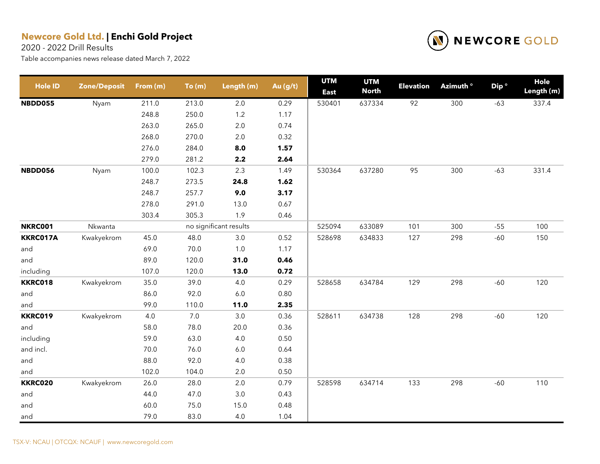2020 - 2022 Drill Results



| <b>Hole ID</b> | <b>Zone/Deposit</b> | From (m) | To(m) | Length (m)             | Au (g/t) | <b>UTM</b><br><b>East</b> | <b>UTM</b><br><b>North</b> | <b>Elevation</b> | Azimuth <sup>o</sup> | Dip <sup>o</sup> | Hole<br>Length (m) |
|----------------|---------------------|----------|-------|------------------------|----------|---------------------------|----------------------------|------------------|----------------------|------------------|--------------------|
| <b>NBDD055</b> | Nyam                | 211.0    | 213.0 | $2.0\,$                | 0.29     | 530401                    | 637334                     | 92               | 300                  | $-63$            | 337.4              |
|                |                     | 248.8    | 250.0 | $1.2$                  | 1.17     |                           |                            |                  |                      |                  |                    |
|                |                     | 263.0    | 265.0 | $2.0\,$                | 0.74     |                           |                            |                  |                      |                  |                    |
|                |                     | 268.0    | 270.0 | $2.0\,$                | 0.32     |                           |                            |                  |                      |                  |                    |
|                |                     | 276.0    | 284.0 | 8.0                    | 1.57     |                           |                            |                  |                      |                  |                    |
|                |                     | 279.0    | 281.2 | 2.2                    | 2.64     |                           |                            |                  |                      |                  |                    |
| NBDD056        | Nyam                | 100.0    | 102.3 | 2.3                    | 1.49     | 530364                    | 637280                     | 95               | 300                  | $-63$            | 331.4              |
|                |                     | 248.7    | 273.5 | 24.8                   | 1.62     |                           |                            |                  |                      |                  |                    |
|                |                     | 248.7    | 257.7 | 9.0                    | 3.17     |                           |                            |                  |                      |                  |                    |
|                |                     | 278.0    | 291.0 | 13.0                   | 0.67     |                           |                            |                  |                      |                  |                    |
|                |                     | 303.4    | 305.3 | 1.9                    | 0.46     |                           |                            |                  |                      |                  |                    |
| <b>NKRC001</b> | Nkwanta             |          |       | no significant results |          | 525094                    | 633089                     | 101              | 300                  | $-55$            | 100                |
| KKRC017A       | Kwakyekrom          | 45.0     | 48.0  | $3.0\,$                | 0.52     | 528698                    | 634833                     | 127              | 298                  | $-60$            | 150                |
| and            |                     | 69.0     | 70.0  | $1.0\,$                | 1.17     |                           |                            |                  |                      |                  |                    |
| and            |                     | 89.0     | 120.0 | 31.0                   | 0.46     |                           |                            |                  |                      |                  |                    |
| including      |                     | 107.0    | 120.0 | 13.0                   | 0.72     |                           |                            |                  |                      |                  |                    |
| <b>KKRC018</b> | Kwakyekrom          | 35.0     | 39.0  | $4.0\,$                | 0.29     | 528658                    | 634784                     | 129              | 298                  | $-60$            | 120                |
| and            |                     | 86.0     | 92.0  | $6.0\,$                | 0.80     |                           |                            |                  |                      |                  |                    |
| and            |                     | 99.0     | 110.0 | 11.0                   | 2.35     |                           |                            |                  |                      |                  |                    |
| <b>KKRC019</b> | Kwakyekrom          | 4.0      | $7.0$ | $3.0\,$                | 0.36     | 528611                    | 634738                     | 128              | 298                  | $-60$            | 120                |
| and            |                     | 58.0     | 78.0  | 20.0                   | 0.36     |                           |                            |                  |                      |                  |                    |
| including      |                     | 59.0     | 63.0  | 4.0                    | 0.50     |                           |                            |                  |                      |                  |                    |
| and incl.      |                     | 70.0     | 76.0  | $6.0\,$                | 0.64     |                           |                            |                  |                      |                  |                    |
| and            |                     | 88.0     | 92.0  | 4.0                    | 0.38     |                           |                            |                  |                      |                  |                    |
| and            |                     | 102.0    | 104.0 | $2.0\,$                | 0.50     |                           |                            |                  |                      |                  |                    |
| <b>KKRC020</b> | Kwakyekrom          | 26.0     | 28.0  | 2.0                    | 0.79     | 528598                    | 634714                     | 133              | 298                  | $-60$            | 110                |
| and            |                     | 44.0     | 47.0  | $3.0\,$                | 0.43     |                           |                            |                  |                      |                  |                    |
| and            |                     | 60.0     | 75.0  | 15.0                   | 0.48     |                           |                            |                  |                      |                  |                    |
| and            |                     | 79.0     | 83.0  | 4.0                    | 1.04     |                           |                            |                  |                      |                  |                    |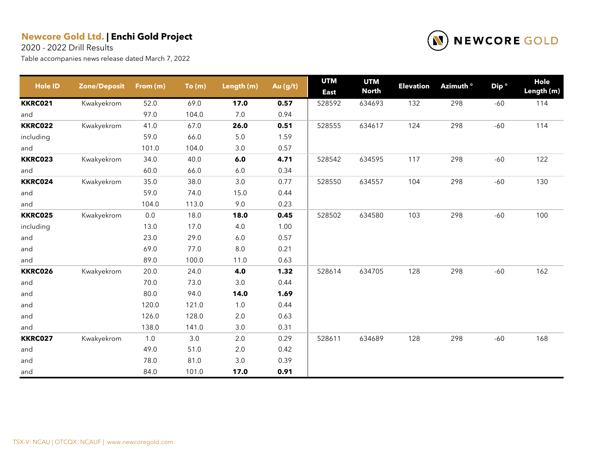2020 - 2022 Drill Results



| <b>Hole ID</b> | <b>Zone/Deposit</b> | From (m) | To(m) | Length (m) | Au (g/t) | <b>UTM</b><br><b>East</b> | <b>UTM</b><br><b>North</b> | <b>Elevation</b> | Azimuth <sup>o</sup> | Dip <sup>o</sup> | <b>Hole</b><br>Length (m) |
|----------------|---------------------|----------|-------|------------|----------|---------------------------|----------------------------|------------------|----------------------|------------------|---------------------------|
| <b>KKRC021</b> | Kwakyekrom          | 52.0     | 69.0  | 17.0       | 0.57     | 528592                    | 634693                     | 132              | 298                  | $-60$            | 114                       |
| and            |                     | 97.0     | 104.0 | $7.0$      | 0.94     |                           |                            |                  |                      |                  |                           |
| <b>KKRC022</b> | Kwakyekrom          | 41.0     | 67.0  | 26.0       | 0.51     | 528555                    | 634617                     | 124              | 298                  | $-60$            | 114                       |
| including      |                     | 59.0     | 66.0  | $5.0\,$    | 1.59     |                           |                            |                  |                      |                  |                           |
| and            |                     | 101.0    | 104.0 | 3.0        | 0.57     |                           |                            |                  |                      |                  |                           |
| <b>KKRC023</b> | Kwakyekrom          | 34.0     | 40.0  | 6.0        | 4.71     | 528542                    | 634595                     | 117              | 298                  | $-60$            | 122                       |
| and            |                     | 60.0     | 66.0  | $6.0$      | 0.34     |                           |                            |                  |                      |                  |                           |
| KKRC024        | Kwakyekrom          | 35.0     | 38.0  | $3.0\,$    | 0.77     | 528550                    | 634557                     | 104              | 298                  | $-60$            | 130                       |
| and            |                     | 59.0     | 74.0  | 15.0       | 0.44     |                           |                            |                  |                      |                  |                           |
| and            |                     | 104.0    | 113.0 | 9.0        | 0.23     |                           |                            |                  |                      |                  |                           |
| <b>KKRC025</b> | Kwakyekrom          | $0.0\,$  | 18.0  | 18.0       | 0.45     | 528502                    | 634580                     | 103              | 298                  | $-60$            | 100                       |
| including      |                     | 13.0     | 17.0  | 4.0        | 1.00     |                           |                            |                  |                      |                  |                           |
| and            |                     | 23.0     | 29.0  | $6.0\,$    | 0.57     |                           |                            |                  |                      |                  |                           |
| and            |                     | 69.0     | 77.0  | 8.0        | 0.21     |                           |                            |                  |                      |                  |                           |
| and            |                     | 89.0     | 100.0 | 11.0       | 0.63     |                           |                            |                  |                      |                  |                           |
| <b>KKRC026</b> | Kwakyekrom          | 20.0     | 24.0  | 4.0        | 1.32     | 528614                    | 634705                     | 128              | 298                  | $-60$            | 162                       |
| and            |                     | 70.0     | 73.0  | 3.0        | 0.44     |                           |                            |                  |                      |                  |                           |
| and            |                     | 80.0     | 94.0  | 14.0       | 1.69     |                           |                            |                  |                      |                  |                           |
| and            |                     | 120.0    | 121.0 | $1.0$      | 0.44     |                           |                            |                  |                      |                  |                           |
| and            |                     | 126.0    | 128.0 | 2.0        | 0.63     |                           |                            |                  |                      |                  |                           |
| and            |                     | 138.0    | 141.0 | 3.0        | 0.31     |                           |                            |                  |                      |                  |                           |
| <b>KKRC027</b> | Kwakyekrom          | 1.0      | 3.0   | 2.0        | 0.29     | 528611                    | 634689                     | 128              | 298                  | $-60$            | 168                       |
| and            |                     | 49.0     | 51.0  | 2.0        | 0.42     |                           |                            |                  |                      |                  |                           |
| and            |                     | 78.0     | 81.0  | $3.0\,$    | 0.39     |                           |                            |                  |                      |                  |                           |
| and            |                     | 84.0     | 101.0 | 17.0       | 0.91     |                           |                            |                  |                      |                  |                           |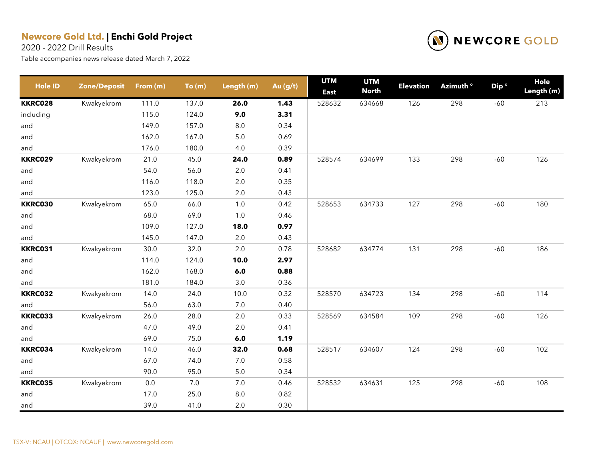2020 - 2022 Drill Results



| <b>Hole ID</b> | <b>Zone/Deposit</b> | From (m) | To(m) | Length (m) | Au $(g/t)$ | <b>UTM</b><br><b>East</b> | <b>UTM</b><br><b>North</b> | <b>Elevation</b> | Azimuth <sup>o</sup> | Dip <sup>o</sup> | Hole<br>Length (m) |
|----------------|---------------------|----------|-------|------------|------------|---------------------------|----------------------------|------------------|----------------------|------------------|--------------------|
| <b>KKRC028</b> | Kwakyekrom          | 111.0    | 137.0 | 26.0       | 1.43       | 528632                    | 634668                     | 126              | 298                  | $-60$            | 213                |
| including      |                     | 115.0    | 124.0 | 9.0        | 3.31       |                           |                            |                  |                      |                  |                    |
| and            |                     | 149.0    | 157.0 | 8.0        | 0.34       |                           |                            |                  |                      |                  |                    |
| and            |                     | 162.0    | 167.0 | 5.0        | 0.69       |                           |                            |                  |                      |                  |                    |
| and            |                     | 176.0    | 180.0 | 4.0        | 0.39       |                           |                            |                  |                      |                  |                    |
| <b>KKRC029</b> | Kwakyekrom          | 21.0     | 45.0  | 24.0       | 0.89       | 528574                    | 634699                     | 133              | 298                  | $-60$            | 126                |
| and            |                     | 54.0     | 56.0  | 2.0        | 0.41       |                           |                            |                  |                      |                  |                    |
| and            |                     | 116.0    | 118.0 | 2.0        | 0.35       |                           |                            |                  |                      |                  |                    |
| and            |                     | 123.0    | 125.0 | 2.0        | 0.43       |                           |                            |                  |                      |                  |                    |
| <b>KKRC030</b> | Kwakyekrom          | 65.0     | 66.0  | 1.0        | 0.42       | 528653                    | 634733                     | 127              | 298                  | $-60$            | 180                |
| and            |                     | 68.0     | 69.0  | 1.0        | 0.46       |                           |                            |                  |                      |                  |                    |
| and            |                     | 109.0    | 127.0 | 18.0       | 0.97       |                           |                            |                  |                      |                  |                    |
| and            |                     | 145.0    | 147.0 | 2.0        | 0.43       |                           |                            |                  |                      |                  |                    |
| <b>KKRC031</b> | Kwakyekrom          | 30.0     | 32.0  | 2.0        | 0.78       | 528682                    | 634774                     | 131              | 298                  | $-60$            | 186                |
| and            |                     | 114.0    | 124.0 | 10.0       | 2.97       |                           |                            |                  |                      |                  |                    |
| and            |                     | 162.0    | 168.0 | 6.0        | 0.88       |                           |                            |                  |                      |                  |                    |
| and            |                     | 181.0    | 184.0 | 3.0        | 0.36       |                           |                            |                  |                      |                  |                    |
| <b>KKRC032</b> | Kwakyekrom          | 14.0     | 24.0  | 10.0       | 0.32       | 528570                    | 634723                     | 134              | 298                  | $-60$            | 114                |
| and            |                     | 56.0     | 63.0  | 7.0        | 0.40       |                           |                            |                  |                      |                  |                    |
| <b>KKRC033</b> | Kwakyekrom          | 26.0     | 28.0  | 2.0        | 0.33       | 528569                    | 634584                     | 109              | 298                  | $-60$            | 126                |
| and            |                     | 47.0     | 49.0  | 2.0        | 0.41       |                           |                            |                  |                      |                  |                    |
| and            |                     | 69.0     | 75.0  | 6.0        | 1.19       |                           |                            |                  |                      |                  |                    |
| KKRC034        | Kwakyekrom          | 14.0     | 46.0  | 32.0       | 0.68       | 528517                    | 634607                     | 124              | 298                  | $-60$            | 102                |
| and            |                     | 67.0     | 74.0  | 7.0        | 0.58       |                           |                            |                  |                      |                  |                    |
| and            |                     | 90.0     | 95.0  | 5.0        | 0.34       |                           |                            |                  |                      |                  |                    |
| <b>KKRC035</b> | Kwakyekrom          | $0.0\,$  | 7.0   | 7.0        | 0.46       | 528532                    | 634631                     | 125              | 298                  | $-60$            | 108                |
| and            |                     | 17.0     | 25.0  | 8.0        | 0.82       |                           |                            |                  |                      |                  |                    |
| and            |                     | 39.0     | 41.0  | 2.0        | 0.30       |                           |                            |                  |                      |                  |                    |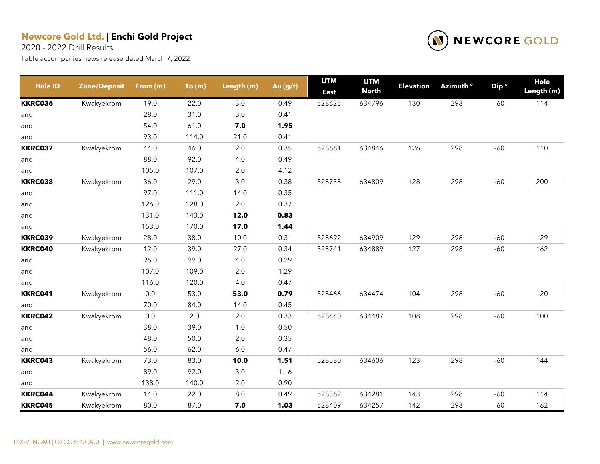2020 - 2022 Drill Results



| <b>Hole ID</b> | <b>Zone/Deposit</b> | From (m) | To(m) | Length (m) | Au (g/t) | <b>UTM</b><br><b>East</b> | <b>UTM</b><br><b>North</b> | <b>Elevation</b> | Azimuth <sup>o</sup> | Dip <sup>o</sup> | Hole<br>Length (m) |
|----------------|---------------------|----------|-------|------------|----------|---------------------------|----------------------------|------------------|----------------------|------------------|--------------------|
| <b>KKRC036</b> | Kwakyekrom          | 19.0     | 22.0  | 3.0        | 0.49     | 528625                    | 634796                     | 130              | 298                  | $-60$            | 114                |
| and            |                     | 28.0     | 31.0  | 3.0        | 0.41     |                           |                            |                  |                      |                  |                    |
| and            |                     | 54.0     | 61.0  | 7.0        | 1.95     |                           |                            |                  |                      |                  |                    |
| and            |                     | 93.0     | 114.0 | 21.0       | 0.41     |                           |                            |                  |                      |                  |                    |
| <b>KKRC037</b> | Kwakyekrom          | 44.0     | 46.0  | 2.0        | 0.35     | 528661                    | 634846                     | 126              | 298                  | $-60$            | 110                |
| and            |                     | 88.0     | 92.0  | 4.0        | 0.49     |                           |                            |                  |                      |                  |                    |
| and            |                     | 105.0    | 107.0 | 2.0        | 4.12     |                           |                            |                  |                      |                  |                    |
| <b>KKRC038</b> | Kwakyekrom          | 36.0     | 29.0  | 3.0        | 0.38     | 528738                    | 634809                     | 128              | 298                  | $-60$            | 200                |
| and            |                     | 97.0     | 111.0 | 14.0       | 0.35     |                           |                            |                  |                      |                  |                    |
| and            |                     | 126.0    | 128.0 | 2.0        | 0.37     |                           |                            |                  |                      |                  |                    |
| and            |                     | 131.0    | 143.0 | 12.0       | 0.83     |                           |                            |                  |                      |                  |                    |
| and            |                     | 153.0    | 170.0 | 17.0       | 1.44     |                           |                            |                  |                      |                  |                    |
| KKRC039        | Kwakyekrom          | 28.0     | 38.0  | 10.0       | 0.31     | 528692                    | 634909                     | 129              | 298                  | $-60$            | 129                |
| <b>KKRC040</b> | Kwakyekrom          | 12.0     | 39.0  | 27.0       | 0.34     | 528741                    | 634889                     | 127              | 298                  | $-60$            | 162                |
| and            |                     | 95.0     | 99.0  | 4.0        | 0.29     |                           |                            |                  |                      |                  |                    |
| and            |                     | 107.0    | 109.0 | 2.0        | 1.29     |                           |                            |                  |                      |                  |                    |
| and            |                     | 116.0    | 120.0 | 4.0        | 0.47     |                           |                            |                  |                      |                  |                    |
| <b>KKRC041</b> | Kwakyekrom          | 0.0      | 53.0  | 53.0       | 0.79     | 528466                    | 634474                     | 104              | 298                  | $-60$            | 120                |
| and            |                     | 70.0     | 84.0  | 14.0       | 0.45     |                           |                            |                  |                      |                  |                    |
| <b>KKRC042</b> | Kwakyekrom          | 0.0      | 2.0   | 2.0        | 0.33     | 528440                    | 634487                     | 108              | 298                  | $-60$            | 100                |
| and            |                     | 38.0     | 39.0  | 1.0        | 0.50     |                           |                            |                  |                      |                  |                    |
| and            |                     | 48.0     | 50.0  | 2.0        | 0.35     |                           |                            |                  |                      |                  |                    |
| and            |                     | 56.0     | 62.0  | 6.0        | 0.47     |                           |                            |                  |                      |                  |                    |
| KKRC043        | Kwakyekrom          | 73.0     | 83.0  | 10.0       | 1.51     | 528580                    | 634606                     | 123              | 298                  | $-60$            | 144                |
| and            |                     | 89.0     | 92.0  | 3.0        | 1.16     |                           |                            |                  |                      |                  |                    |
| and            |                     | 138.0    | 140.0 | 2.0        | 0.90     |                           |                            |                  |                      |                  |                    |
| KKRC044        | Kwakyekrom          | 14.0     | 22.0  | 8.0        | 0.49     | 528362                    | 634281                     | 143              | 298                  | $-60$            | 114                |
| <b>KKRC045</b> | Kwakyekrom          | 80.0     | 87.0  | 7.0        | 1.03     | 528409                    | 634257                     | 142              | 298                  | $-60$            | 162                |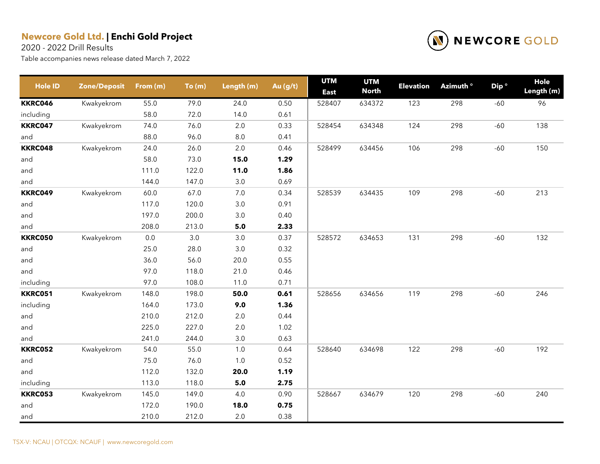2020 - 2022 Drill Results



| <b>Hole ID</b> | <b>Zone/Deposit</b> | From (m) | To(m) | Length (m) | Au (g/t) | <b>UTM</b><br><b>East</b> | <b>UTM</b><br><b>North</b> | <b>Elevation</b> | Azimuth ° | Dip <sup>o</sup> | Hole<br>Length (m) |
|----------------|---------------------|----------|-------|------------|----------|---------------------------|----------------------------|------------------|-----------|------------------|--------------------|
| <b>KKRC046</b> | Kwakyekrom          | 55.0     | 79.0  | 24.0       | 0.50     | 528407                    | 634372                     | 123              | 298       | $-60$            | 96                 |
| including      |                     | 58.0     | 72.0  | 14.0       | 0.61     |                           |                            |                  |           |                  |                    |
| <b>KKRC047</b> | Kwakyekrom          | 74.0     | 76.0  | 2.0        | 0.33     | 528454                    | 634348                     | 124              | 298       | $-60$            | 138                |
| and            |                     | 88.0     | 96.0  | 8.0        | 0.41     |                           |                            |                  |           |                  |                    |
| <b>KKRC048</b> | Kwakyekrom          | 24.0     | 26.0  | 2.0        | 0.46     | 528499                    | 634456                     | 106              | 298       | $-60$            | 150                |
| and            |                     | 58.0     | 73.0  | 15.0       | 1.29     |                           |                            |                  |           |                  |                    |
| and            |                     | 111.0    | 122.0 | 11.0       | 1.86     |                           |                            |                  |           |                  |                    |
| and            |                     | 144.0    | 147.0 | 3.0        | 0.69     |                           |                            |                  |           |                  |                    |
| <b>KKRC049</b> | Kwakyekrom          | 60.0     | 67.0  | 7.0        | 0.34     | 528539                    | 634435                     | 109              | 298       | $-60$            | 213                |
| and            |                     | 117.0    | 120.0 | 3.0        | 0.91     |                           |                            |                  |           |                  |                    |
| and            |                     | 197.0    | 200.0 | 3.0        | 0.40     |                           |                            |                  |           |                  |                    |
| and            |                     | 208.0    | 213.0 | 5.0        | 2.33     |                           |                            |                  |           |                  |                    |
| <b>KKRC050</b> | Kwakyekrom          | 0.0      | 3.0   | $3.0\,$    | 0.37     | 528572                    | 634653                     | 131              | 298       | $-60$            | 132                |
| and            |                     | 25.0     | 28.0  | 3.0        | 0.32     |                           |                            |                  |           |                  |                    |
| and            |                     | 36.0     | 56.0  | 20.0       | 0.55     |                           |                            |                  |           |                  |                    |
| and            |                     | 97.0     | 118.0 | 21.0       | 0.46     |                           |                            |                  |           |                  |                    |
| including      |                     | 97.0     | 108.0 | 11.0       | 0.71     |                           |                            |                  |           |                  |                    |
| <b>KKRC051</b> | Kwakyekrom          | 148.0    | 198.0 | 50.0       | 0.61     | 528656                    | 634656                     | 119              | 298       | $-60$            | 246                |
| including      |                     | 164.0    | 173.0 | 9.0        | 1.36     |                           |                            |                  |           |                  |                    |
| and            |                     | 210.0    | 212.0 | 2.0        | 0.44     |                           |                            |                  |           |                  |                    |
| and            |                     | 225.0    | 227.0 | 2.0        | 1.02     |                           |                            |                  |           |                  |                    |
| and            |                     | 241.0    | 244.0 | 3.0        | 0.63     |                           |                            |                  |           |                  |                    |
| <b>KKRC052</b> | Kwakyekrom          | 54.0     | 55.0  | 1.0        | 0.64     | 528640                    | 634698                     | 122              | 298       | $-60$            | 192                |
| and            |                     | 75.0     | 76.0  | 1.0        | 0.52     |                           |                            |                  |           |                  |                    |
| and            |                     | 112.0    | 132.0 | 20.0       | 1.19     |                           |                            |                  |           |                  |                    |
| including      |                     | 113.0    | 118.0 | 5.0        | 2.75     |                           |                            |                  |           |                  |                    |
| <b>KKRC053</b> | Kwakyekrom          | 145.0    | 149.0 | 4.0        | 0.90     | 528667                    | 634679                     | 120              | 298       | $-60$            | 240                |
| and            |                     | 172.0    | 190.0 | 18.0       | 0.75     |                           |                            |                  |           |                  |                    |
| and            |                     | 210.0    | 212.0 | 2.0        | 0.38     |                           |                            |                  |           |                  |                    |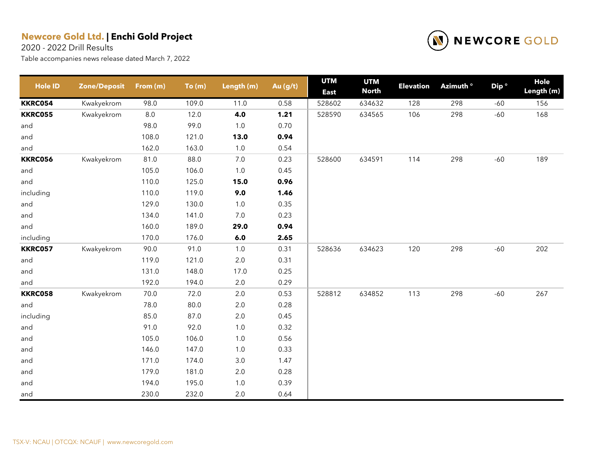2020 - 2022 Drill Results



| <b>Hole ID</b> | <b>Zone/Deposit</b> | From (m) | To(m) | Length (m) | Au (g/t) | <b>UTM</b><br><b>East</b> | <b>UTM</b><br><b>North</b> | <b>Elevation</b> | Azimuth <sup>o</sup> | Dip <sup>o</sup> | Hole<br>Length (m) |
|----------------|---------------------|----------|-------|------------|----------|---------------------------|----------------------------|------------------|----------------------|------------------|--------------------|
| <b>KKRC054</b> | Kwakyekrom          | 98.0     | 109.0 | 11.0       | 0.58     | 528602                    | 634632                     | 128              | 298                  | $-60$            | 156                |
| <b>KKRC055</b> | Kwakyekrom          | $8.0\,$  | 12.0  | 4.0        | 1.21     | 528590                    | 634565                     | 106              | 298                  | $-60$            | 168                |
| and            |                     | 98.0     | 99.0  | 1.0        | 0.70     |                           |                            |                  |                      |                  |                    |
| and            |                     | 108.0    | 121.0 | 13.0       | 0.94     |                           |                            |                  |                      |                  |                    |
| and            |                     | 162.0    | 163.0 | 1.0        | 0.54     |                           |                            |                  |                      |                  |                    |
| <b>KKRC056</b> | Kwakyekrom          | 81.0     | 88.0  | 7.0        | 0.23     | 528600                    | 634591                     | 114              | 298                  | $-60$            | 189                |
| and            |                     | 105.0    | 106.0 | 1.0        | 0.45     |                           |                            |                  |                      |                  |                    |
| and            |                     | 110.0    | 125.0 | 15.0       | 0.96     |                           |                            |                  |                      |                  |                    |
| including      |                     | 110.0    | 119.0 | 9.0        | 1.46     |                           |                            |                  |                      |                  |                    |
| and            |                     | 129.0    | 130.0 | 1.0        | 0.35     |                           |                            |                  |                      |                  |                    |
| and            |                     | 134.0    | 141.0 | 7.0        | 0.23     |                           |                            |                  |                      |                  |                    |
| and            |                     | 160.0    | 189.0 | 29.0       | 0.94     |                           |                            |                  |                      |                  |                    |
| including      |                     | 170.0    | 176.0 | 6.0        | 2.65     |                           |                            |                  |                      |                  |                    |
| <b>KKRC057</b> | Kwakyekrom          | 90.0     | 91.0  | 1.0        | 0.31     | 528636                    | 634623                     | 120              | 298                  | $-60$            | 202                |
| and            |                     | 119.0    | 121.0 | $2.0\,$    | 0.31     |                           |                            |                  |                      |                  |                    |
| and            |                     | 131.0    | 148.0 | 17.0       | 0.25     |                           |                            |                  |                      |                  |                    |
| and            |                     | 192.0    | 194.0 | 2.0        | 0.29     |                           |                            |                  |                      |                  |                    |
| <b>KKRC058</b> | Kwakyekrom          | 70.0     | 72.0  | 2.0        | 0.53     | 528812                    | 634852                     | 113              | 298                  | $-60$            | 267                |
| and            |                     | 78.0     | 80.0  | $2.0\,$    | 0.28     |                           |                            |                  |                      |                  |                    |
| including      |                     | 85.0     | 87.0  | $2.0\,$    | 0.45     |                           |                            |                  |                      |                  |                    |
| and            |                     | 91.0     | 92.0  | 1.0        | 0.32     |                           |                            |                  |                      |                  |                    |
| and            |                     | 105.0    | 106.0 | 1.0        | 0.56     |                           |                            |                  |                      |                  |                    |
| and            |                     | 146.0    | 147.0 | 1.0        | 0.33     |                           |                            |                  |                      |                  |                    |
| and            |                     | 171.0    | 174.0 | $3.0\,$    | 1.47     |                           |                            |                  |                      |                  |                    |
| and            |                     | 179.0    | 181.0 | $2.0\,$    | 0.28     |                           |                            |                  |                      |                  |                    |
| and            |                     | 194.0    | 195.0 | 1.0        | 0.39     |                           |                            |                  |                      |                  |                    |
| and            |                     | 230.0    | 232.0 | 2.0        | 0.64     |                           |                            |                  |                      |                  |                    |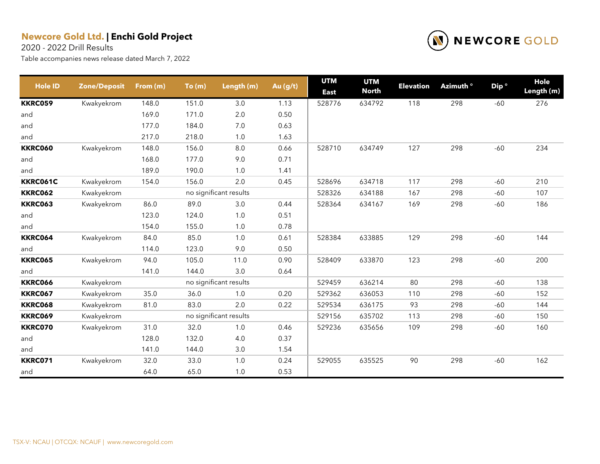2020 - 2022 Drill Results



| <b>Hole ID</b> | <b>Zone/Deposit</b> | From (m) | To(m) | Length (m)             | Au (g/t) | <b>UTM</b><br><b>East</b> | <b>UTM</b><br><b>North</b> | <b>Elevation</b> | Azimuth <sup>o</sup> | Dip <sup>o</sup> | Hole<br>Length (m) |
|----------------|---------------------|----------|-------|------------------------|----------|---------------------------|----------------------------|------------------|----------------------|------------------|--------------------|
| <b>KKRC059</b> | Kwakyekrom          | 148.0    | 151.0 | 3.0                    | 1.13     | 528776                    | 634792                     | 118              | 298                  | $-60$            | 276                |
| and            |                     | 169.0    | 171.0 | $2.0\,$                | 0.50     |                           |                            |                  |                      |                  |                    |
| and            |                     | 177.0    | 184.0 | 7.0                    | 0.63     |                           |                            |                  |                      |                  |                    |
| and            |                     | 217.0    | 218.0 | 1.0                    | 1.63     |                           |                            |                  |                      |                  |                    |
| <b>KKRC060</b> | Kwakyekrom          | 148.0    | 156.0 | 8.0                    | 0.66     | 528710                    | 634749                     | 127              | 298                  | $-60$            | 234                |
| and            |                     | 168.0    | 177.0 | 9.0                    | 0.71     |                           |                            |                  |                      |                  |                    |
| and            |                     | 189.0    | 190.0 | 1.0                    | 1.41     |                           |                            |                  |                      |                  |                    |
| KKRC061C       | Kwakyekrom          | 154.0    | 156.0 | 2.0                    | 0.45     | 528696                    | 634718                     | 117              | 298                  | $-60$            | 210                |
| <b>KKRC062</b> | Kwakyekrom          |          |       | no significant results |          | 528326                    | 634188                     | 167              | 298                  | $-60$            | 107                |
| <b>KKRC063</b> | Kwakyekrom          | 86.0     | 89.0  | 3.0                    | 0.44     | 528364                    | 634167                     | 169              | 298                  | $-60$            | 186                |
| and            |                     | 123.0    | 124.0 | 1.0                    | 0.51     |                           |                            |                  |                      |                  |                    |
| and            |                     | 154.0    | 155.0 | 1.0                    | 0.78     |                           |                            |                  |                      |                  |                    |
| <b>KKRC064</b> | Kwakyekrom          | 84.0     | 85.0  | 1.0                    | 0.61     | 528384                    | 633885                     | 129              | 298                  | $-60$            | 144                |
| and            |                     | 114.0    | 123.0 | 9.0                    | 0.50     |                           |                            |                  |                      |                  |                    |
| <b>KKRC065</b> | Kwakyekrom          | 94.0     | 105.0 | 11.0                   | 0.90     | 528409                    | 633870                     | 123              | 298                  | $-60$            | 200                |
| and            |                     | 141.0    | 144.0 | 3.0                    | 0.64     |                           |                            |                  |                      |                  |                    |
| <b>KKRC066</b> | Kwakyekrom          |          |       | no significant results |          | 529459                    | 636214                     | 80               | 298                  | $-60$            | 138                |
| <b>KKRC067</b> | Kwakyekrom          | 35.0     | 36.0  | 1.0                    | 0.20     | 529362                    | 636053                     | 110              | 298                  | $-60$            | 152                |
| <b>KKRC068</b> | Kwakyekrom          | 81.0     | 83.0  | 2.0                    | 0.22     | 529534                    | 636175                     | 93               | 298                  | $-60$            | 144                |
| <b>KKRC069</b> | Kwakyekrom          |          |       | no significant results |          | 529156                    | 635702                     | 113              | 298                  | $-60$            | 150                |
| <b>KKRC070</b> | Kwakyekrom          | 31.0     | 32.0  | 1.0                    | 0.46     | 529236                    | 635656                     | 109              | 298                  | $-60$            | 160                |
| and            |                     | 128.0    | 132.0 | 4.0                    | 0.37     |                           |                            |                  |                      |                  |                    |
| and            |                     | 141.0    | 144.0 | 3.0                    | 1.54     |                           |                            |                  |                      |                  |                    |
| KKRC071        | Kwakyekrom          | 32.0     | 33.0  | 1.0                    | 0.24     | 529055                    | 635525                     | 90               | 298                  | $-60$            | 162                |
| and            |                     | 64.0     | 65.0  | 1.0                    | 0.53     |                           |                            |                  |                      |                  |                    |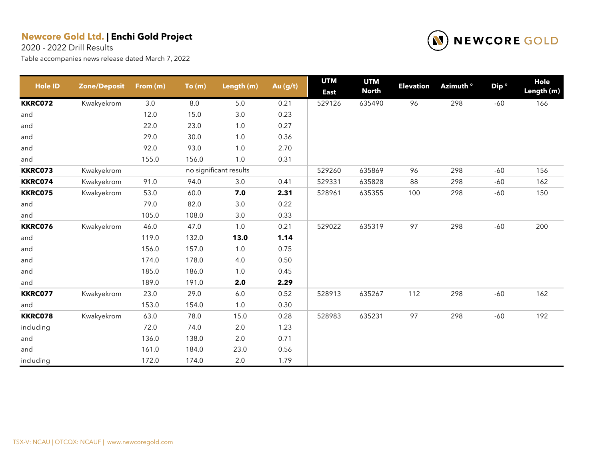2020 - 2022 Drill Results



| <b>Hole ID</b> | <b>Zone/Deposit</b> | From (m) | To(m) | Length (m)             | Au (g/t) | <b>UTM</b><br><b>East</b> | <b>UTM</b><br><b>North</b> | <b>Elevation</b> | Azimuth <sup>o</sup> | Dip <sup>o</sup> | Hole<br>Length (m) |
|----------------|---------------------|----------|-------|------------------------|----------|---------------------------|----------------------------|------------------|----------------------|------------------|--------------------|
| <b>KKRC072</b> | Kwakyekrom          | 3.0      | 8.0   | 5.0                    | 0.21     | 529126                    | 635490                     | 96               | 298                  | $-60$            | 166                |
| and            |                     | 12.0     | 15.0  | $3.0\,$                | 0.23     |                           |                            |                  |                      |                  |                    |
| and            |                     | 22.0     | 23.0  | 1.0                    | 0.27     |                           |                            |                  |                      |                  |                    |
| and            |                     | 29.0     | 30.0  | 1.0                    | 0.36     |                           |                            |                  |                      |                  |                    |
| and            |                     | 92.0     | 93.0  | 1.0                    | 2.70     |                           |                            |                  |                      |                  |                    |
| and            |                     | 155.0    | 156.0 | 1.0                    | 0.31     |                           |                            |                  |                      |                  |                    |
| <b>KKRC073</b> | Kwakyekrom          |          |       | no significant results |          | 529260                    | 635869                     | 96               | 298                  | $-60$            | 156                |
| <b>KKRC074</b> | Kwakyekrom          | 91.0     | 94.0  | 3.0                    | 0.41     | 529331                    | 635828                     | 88               | 298                  | $-60$            | 162                |
| <b>KKRC075</b> | Kwakyekrom          | 53.0     | 60.0  | 7.0                    | 2.31     | 528961                    | 635355                     | 100              | 298                  | $-60$            | 150                |
| and            |                     | 79.0     | 82.0  | $3.0\,$                | 0.22     |                           |                            |                  |                      |                  |                    |
| and            |                     | 105.0    | 108.0 | 3.0                    | 0.33     |                           |                            |                  |                      |                  |                    |
| <b>KKRC076</b> | Kwakyekrom          | 46.0     | 47.0  | 1.0                    | 0.21     | 529022                    | 635319                     | 97               | 298                  | $-60$            | 200                |
| and            |                     | 119.0    | 132.0 | 13.0                   | 1.14     |                           |                            |                  |                      |                  |                    |
| and            |                     | 156.0    | 157.0 | 1.0                    | 0.75     |                           |                            |                  |                      |                  |                    |
| and            |                     | 174.0    | 178.0 | $4.0$                  | 0.50     |                           |                            |                  |                      |                  |                    |
| and            |                     | 185.0    | 186.0 | 1.0                    | 0.45     |                           |                            |                  |                      |                  |                    |
| and            |                     | 189.0    | 191.0 | 2.0                    | 2.29     |                           |                            |                  |                      |                  |                    |
| <b>KKRC077</b> | Kwakyekrom          | 23.0     | 29.0  | $6.0\,$                | 0.52     | 528913                    | 635267                     | 112              | 298                  | $-60$            | 162                |
| and            |                     | 153.0    | 154.0 | 1.0                    | 0.30     |                           |                            |                  |                      |                  |                    |
| <b>KKRC078</b> | Kwakyekrom          | 63.0     | 78.0  | 15.0                   | 0.28     | 528983                    | 635231                     | 97               | 298                  | $-60$            | 192                |
| including      |                     | 72.0     | 74.0  | 2.0                    | 1.23     |                           |                            |                  |                      |                  |                    |
| and            |                     | 136.0    | 138.0 | 2.0                    | 0.71     |                           |                            |                  |                      |                  |                    |
| and            |                     | 161.0    | 184.0 | 23.0                   | 0.56     |                           |                            |                  |                      |                  |                    |
| including      |                     | 172.0    | 174.0 | 2.0                    | 1.79     |                           |                            |                  |                      |                  |                    |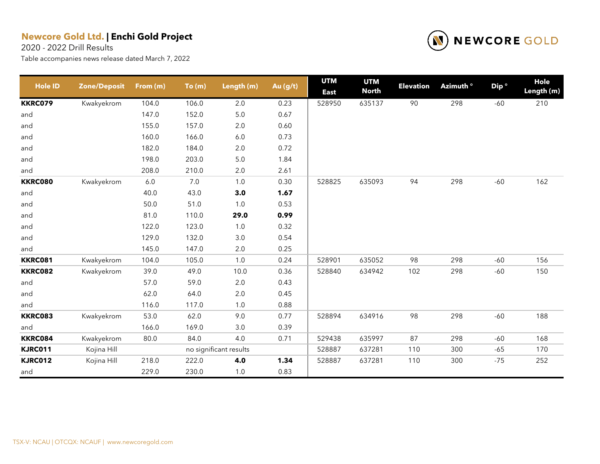2020 - 2022 Drill Results



| <b>Hole ID</b> | <b>Zone/Deposit</b> | From (m) | To(m) | Length (m)             | Au (g/t) | <b>UTM</b><br><b>East</b> | <b>UTM</b><br><b>North</b> | <b>Elevation</b> | Azimuth <sup>o</sup> | Dip <sup>o</sup> | Hole<br>Length (m) |
|----------------|---------------------|----------|-------|------------------------|----------|---------------------------|----------------------------|------------------|----------------------|------------------|--------------------|
| <b>KKRC079</b> | Kwakyekrom          | 104.0    | 106.0 | 2.0                    | 0.23     | 528950                    | 635137                     | 90               | 298                  | $-60$            | 210                |
| and            |                     | 147.0    | 152.0 | $5.0\,$                | 0.67     |                           |                            |                  |                      |                  |                    |
| and            |                     | 155.0    | 157.0 | 2.0                    | 0.60     |                           |                            |                  |                      |                  |                    |
| and            |                     | 160.0    | 166.0 | $6.0\,$                | 0.73     |                           |                            |                  |                      |                  |                    |
| and            |                     | 182.0    | 184.0 | 2.0                    | 0.72     |                           |                            |                  |                      |                  |                    |
| and            |                     | 198.0    | 203.0 | 5.0                    | 1.84     |                           |                            |                  |                      |                  |                    |
| and            |                     | 208.0    | 210.0 | 2.0                    | 2.61     |                           |                            |                  |                      |                  |                    |
| <b>KKRC080</b> | Kwakyekrom          | 6.0      | 7.0   | 1.0                    | 0.30     | 528825                    | 635093                     | 94               | 298                  | $-60$            | 162                |
| and            |                     | 40.0     | 43.0  | 3.0                    | 1.67     |                           |                            |                  |                      |                  |                    |
| and            |                     | 50.0     | 51.0  | 1.0                    | 0.53     |                           |                            |                  |                      |                  |                    |
| and            |                     | 81.0     | 110.0 | 29.0                   | 0.99     |                           |                            |                  |                      |                  |                    |
| and            |                     | 122.0    | 123.0 | 1.0                    | 0.32     |                           |                            |                  |                      |                  |                    |
| and            |                     | 129.0    | 132.0 | $3.0\,$                | 0.54     |                           |                            |                  |                      |                  |                    |
| and            |                     | 145.0    | 147.0 | 2.0                    | 0.25     |                           |                            |                  |                      |                  |                    |
| <b>KKRC081</b> | Kwakyekrom          | 104.0    | 105.0 | $1.0$                  | 0.24     | 528901                    | 635052                     | 98               | 298                  | $-60$            | 156                |
| <b>KKRC082</b> | Kwakyekrom          | 39.0     | 49.0  | 10.0                   | 0.36     | 528840                    | 634942                     | 102              | 298                  | $-60$            | 150                |
| and            |                     | 57.0     | 59.0  | 2.0                    | 0.43     |                           |                            |                  |                      |                  |                    |
| and            |                     | 62.0     | 64.0  | $2.0\,$                | 0.45     |                           |                            |                  |                      |                  |                    |
| and            |                     | 116.0    | 117.0 | 1.0                    | 0.88     |                           |                            |                  |                      |                  |                    |
| <b>KKRC083</b> | Kwakyekrom          | 53.0     | 62.0  | 9.0                    | 0.77     | 528894                    | 634916                     | 98               | 298                  | $-60$            | 188                |
| and            |                     | 166.0    | 169.0 | 3.0                    | 0.39     |                           |                            |                  |                      |                  |                    |
| <b>KKRC084</b> | Kwakyekrom          | 80.0     | 84.0  | 4.0                    | 0.71     | 529438                    | 635997                     | 87               | 298                  | $-60$            | 168                |
| <b>KJRC011</b> | Kojina Hill         |          |       | no significant results |          | 528887                    | 637281                     | 110              | 300                  | $-65$            | 170                |
| <b>KJRC012</b> | Kojina Hill         | 218.0    | 222.0 | 4.0                    | 1.34     | 528887                    | 637281                     | 110              | 300                  | $-75$            | 252                |
| and            |                     | 229.0    | 230.0 | 1.0                    | 0.83     |                           |                            |                  |                      |                  |                    |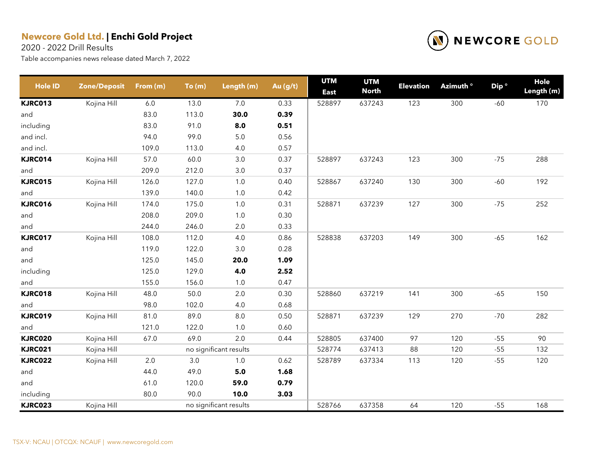2020 - 2022 Drill Results



| <b>Hole ID</b> | <b>Zone/Deposit</b> | From (m) | To(m) | Length (m)             | Au (g/t) | <b>UTM</b><br><b>East</b> | <b>UTM</b><br><b>North</b> | <b>Elevation</b> | Azimuth <sup>o</sup> | Dip <sup>o</sup> | Hole<br>Length (m) |
|----------------|---------------------|----------|-------|------------------------|----------|---------------------------|----------------------------|------------------|----------------------|------------------|--------------------|
| <b>KJRC013</b> | Kojina Hill         | 6.0      | 13.0  | 7.0                    | 0.33     | 528897                    | 637243                     | 123              | 300                  | $-60$            | 170                |
| and            |                     | 83.0     | 113.0 | 30.0                   | 0.39     |                           |                            |                  |                      |                  |                    |
| including      |                     | 83.0     | 91.0  | 8.0                    | 0.51     |                           |                            |                  |                      |                  |                    |
| and incl.      |                     | 94.0     | 99.0  | 5.0                    | 0.56     |                           |                            |                  |                      |                  |                    |
| and incl.      |                     | 109.0    | 113.0 | 4.0                    | 0.57     |                           |                            |                  |                      |                  |                    |
| KJRC014        | Kojina Hill         | 57.0     | 60.0  | 3.0                    | 0.37     | 528897                    | 637243                     | 123              | 300                  | $-75$            | 288                |
| and            |                     | 209.0    | 212.0 | 3.0                    | 0.37     |                           |                            |                  |                      |                  |                    |
| <b>KJRC015</b> | Kojina Hill         | 126.0    | 127.0 | $1.0$                  | 0.40     | 528867                    | 637240                     | 130              | 300                  | $-60$            | 192                |
| and            |                     | 139.0    | 140.0 | 1.0                    | 0.42     |                           |                            |                  |                      |                  |                    |
| <b>KJRC016</b> | Kojina Hill         | 174.0    | 175.0 | 1.0                    | 0.31     | 528871                    | 637239                     | 127              | 300                  | $-75$            | 252                |
| and            |                     | 208.0    | 209.0 | $1.0$                  | 0.30     |                           |                            |                  |                      |                  |                    |
| and            |                     | 244.0    | 246.0 | 2.0                    | 0.33     |                           |                            |                  |                      |                  |                    |
| <b>KJRC017</b> | Kojina Hill         | 108.0    | 112.0 | 4.0                    | 0.86     | 528838                    | 637203                     | 149              | 300                  | $-65$            | 162                |
| and            |                     | 119.0    | 122.0 | 3.0                    | 0.28     |                           |                            |                  |                      |                  |                    |
| and            |                     | 125.0    | 145.0 | 20.0                   | 1.09     |                           |                            |                  |                      |                  |                    |
| including      |                     | 125.0    | 129.0 | 4.0                    | 2.52     |                           |                            |                  |                      |                  |                    |
| and            |                     | 155.0    | 156.0 | 1.0                    | 0.47     |                           |                            |                  |                      |                  |                    |
| <b>KJRC018</b> | Kojina Hill         | 48.0     | 50.0  | $2.0\,$                | 0.30     | 528860                    | 637219                     | 141              | 300                  | $-65$            | 150                |
| and            |                     | 98.0     | 102.0 | 4.0                    | 0.68     |                           |                            |                  |                      |                  |                    |
| <b>KJRC019</b> | Kojina Hill         | 81.0     | 89.0  | $8.0\,$                | 0.50     | 528871                    | 637239                     | 129              | 270                  | $-70$            | 282                |
| and            |                     | 121.0    | 122.0 | 1.0                    | 0.60     |                           |                            |                  |                      |                  |                    |
| <b>KJRC020</b> | Kojina Hill         | 67.0     | 69.0  | 2.0                    | 0.44     | 528805                    | 637400                     | 97               | 120                  | $-55$            | 90                 |
| <b>KJRC021</b> | Kojina Hill         |          |       | no significant results |          | 528774                    | 637413                     | 88               | 120                  | $-55$            | 132                |
| <b>KJRC022</b> | Kojina Hill         | $2.0\,$  | 3.0   | $1.0$                  | 0.62     | 528789                    | 637334                     | 113              | 120                  | $-55$            | 120                |
| and            |                     | 44.0     | 49.0  | 5.0                    | 1.68     |                           |                            |                  |                      |                  |                    |
| and            |                     | 61.0     | 120.0 | 59.0                   | 0.79     |                           |                            |                  |                      |                  |                    |
| including      |                     | 80.0     | 90.0  | 10.0                   | 3.03     |                           |                            |                  |                      |                  |                    |
| <b>KJRC023</b> | Kojina Hill         |          |       | no significant results |          | 528766                    | 637358                     | 64               | 120                  | $-55$            | 168                |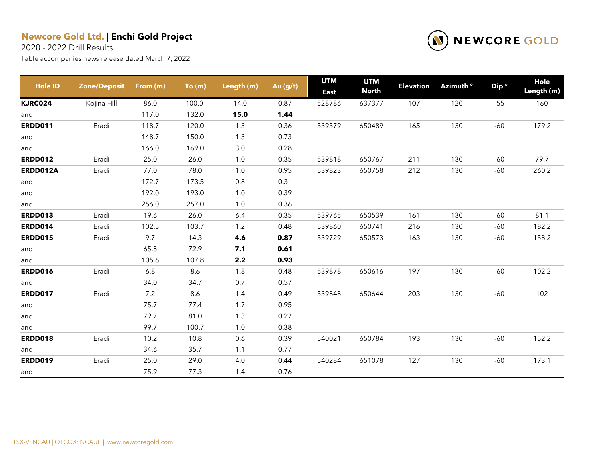2020 - 2022 Drill Results



| <b>Hole ID</b> | <b>Zone/Deposit</b> | From (m) | To(m) | Length (m) | Au (g/t) | <b>UTM</b><br><b>East</b> | <b>UTM</b><br><b>North</b> | <b>Elevation</b> | Azimuth <sup>o</sup> | Dip <sup>o</sup> | Hole<br>Length (m) |
|----------------|---------------------|----------|-------|------------|----------|---------------------------|----------------------------|------------------|----------------------|------------------|--------------------|
| <b>KJRC024</b> | Kojina Hill         | 86.0     | 100.0 | 14.0       | 0.87     | 528786                    | 637377                     | 107              | 120                  | $-55$            | 160                |
| and            |                     | 117.0    | 132.0 | 15.0       | 1.44     |                           |                            |                  |                      |                  |                    |
| <b>ERDD011</b> | Eradi               | 118.7    | 120.0 | 1.3        | 0.36     | 539579                    | 650489                     | 165              | 130                  | $-60$            | 179.2              |
| and            |                     | 148.7    | 150.0 | 1.3        | 0.73     |                           |                            |                  |                      |                  |                    |
| and            |                     | 166.0    | 169.0 | 3.0        | 0.28     |                           |                            |                  |                      |                  |                    |
| <b>ERDD012</b> | Eradi               | 25.0     | 26.0  | 1.0        | 0.35     | 539818                    | 650767                     | 211              | 130                  | $-60$            | 79.7               |
| ERDD012A       | Eradi               | 77.0     | 78.0  | 1.0        | 0.95     | 539823                    | 650758                     | 212              | 130                  | $-60$            | 260.2              |
| and            |                     | 172.7    | 173.5 | $0.8\,$    | 0.31     |                           |                            |                  |                      |                  |                    |
| and            |                     | 192.0    | 193.0 | 1.0        | 0.39     |                           |                            |                  |                      |                  |                    |
| and            |                     | 256.0    | 257.0 | 1.0        | 0.36     |                           |                            |                  |                      |                  |                    |
| <b>ERDD013</b> | Eradi               | 19.6     | 26.0  | 6.4        | 0.35     | 539765                    | 650539                     | 161              | 130                  | $-60$            | 81.1               |
| <b>ERDD014</b> | Eradi               | 102.5    | 103.7 | 1.2        | 0.48     | 539860                    | 650741                     | 216              | 130                  | $-60$            | 182.2              |
| <b>ERDD015</b> | Eradi               | 9.7      | 14.3  | 4.6        | 0.87     | 539729                    | 650573                     | 163              | 130                  | $-60$            | 158.2              |
| and            |                     | 65.8     | 72.9  | 7.1        | 0.61     |                           |                            |                  |                      |                  |                    |
| and            |                     | 105.6    | 107.8 | 2.2        | 0.93     |                           |                            |                  |                      |                  |                    |
| <b>ERDD016</b> | Eradi               | 6.8      | 8.6   | 1.8        | 0.48     | 539878                    | 650616                     | 197              | 130                  | $-60$            | 102.2              |
| and            |                     | 34.0     | 34.7  | 0.7        | 0.57     |                           |                            |                  |                      |                  |                    |
| <b>ERDD017</b> | Eradi               | 7.2      | 8.6   | 1.4        | 0.49     | 539848                    | 650644                     | 203              | 130                  | $-60$            | 102                |
| and            |                     | 75.7     | 77.4  | 1.7        | 0.95     |                           |                            |                  |                      |                  |                    |
| and            |                     | 79.7     | 81.0  | 1.3        | 0.27     |                           |                            |                  |                      |                  |                    |
| and            |                     | 99.7     | 100.7 | 1.0        | 0.38     |                           |                            |                  |                      |                  |                    |
| <b>ERDD018</b> | Eradi               | 10.2     | 10.8  | 0.6        | 0.39     | 540021                    | 650784                     | 193              | 130                  | $-60$            | 152.2              |
| and            |                     | 34.6     | 35.7  | 1.1        | 0.77     |                           |                            |                  |                      |                  |                    |
| <b>ERDD019</b> | Eradi               | 25.0     | 29.0  | 4.0        | 0.44     | 540284                    | 651078                     | 127              | 130                  | $-60$            | 173.1              |
| and            |                     | 75.9     | 77.3  | 1.4        | 0.76     |                           |                            |                  |                      |                  |                    |